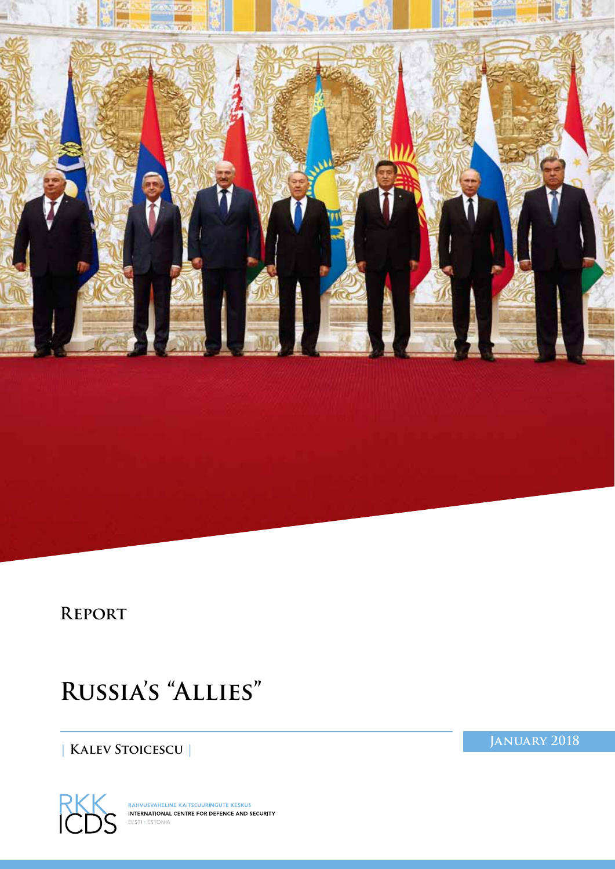

# **Report**

# **Russia's "Allies"**

**| Kalev Stoicescu |**

**January 2018**



RAHVUSVAHELINE KAITSEUURINGUTE KESKUS INTERNATIONAL CENTRE FOR DEFENCE AND SECURITY **EESTI • ESTONIA**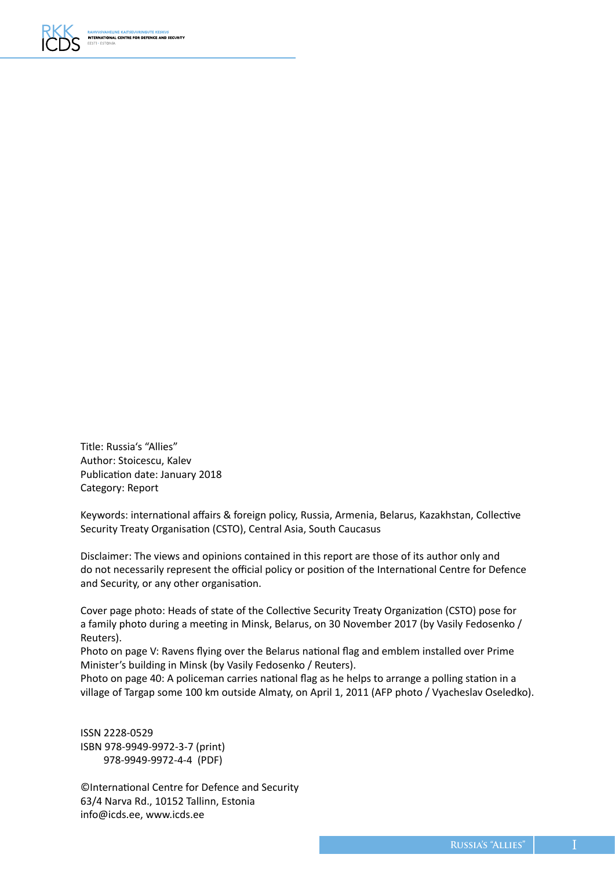

Title: Russia's "Allies" Author: Stoicescu, Kalev Publication date: January 2018 Category: Report

Keywords: international affairs & foreign policy, Russia, Armenia, Belarus, Kazakhstan, Collective Security Treaty Organisation (CSTO), Central Asia, South Caucasus

Disclaimer: The views and opinions contained in this report are those of its author only and do not necessarily represent the official policy or position of the International Centre for Defence and Security, or any other organisation.

Cover page photo: Heads of state of the Collective Security Treaty Organization (CSTO) pose for a family photo during a meeting in Minsk, Belarus, on 30 November 2017 (by Vasily Fedosenko / Reuters).

Photo on page V: Ravens flying over the Belarus national flag and emblem installed over Prime Minister's building in Minsk (by Vasily Fedosenko / Reuters).

Photo on page 40: A policeman carries national flag as he helps to arrange a polling station in a village of Targap some 100 km outside Almaty, on April 1, 2011 (AFP photo / Vyacheslav Oseledko).

ISSN 2228-0529 ISBN 978-9949-9972-3-7 (print) 978-9949-9972-4-4 (PDF)

©International Centre for Defence and Security 63/4 Narva Rd., 10152 Tallinn, Estonia info@icds.ee, www.icds.ee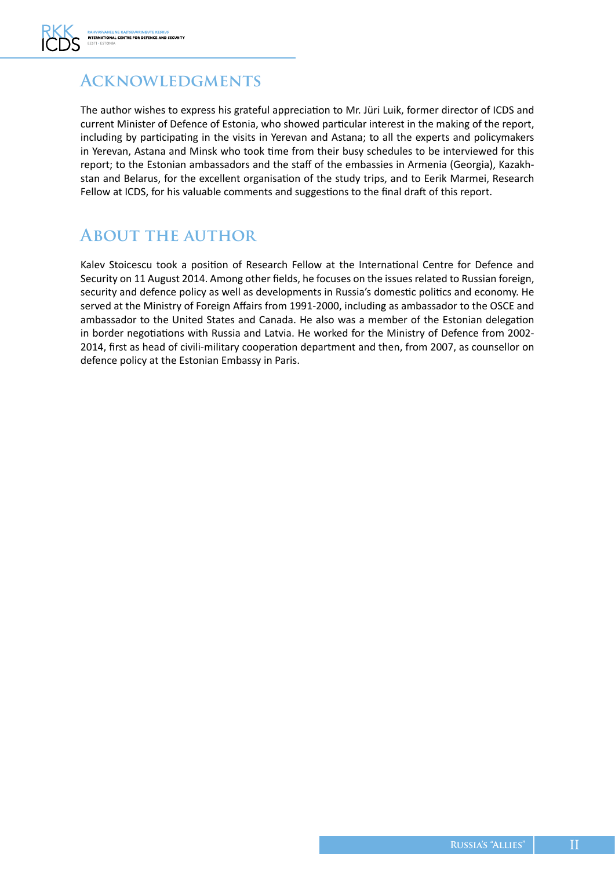### **Acknowledgments**

The author wishes to express his grateful appreciation to Mr. Jüri Luik, former director of ICDS and current Minister of Defence of Estonia, who showed particular interest in the making of the report, including by participating in the visits in Yerevan and Astana; to all the experts and policymakers in Yerevan, Astana and Minsk who took time from their busy schedules to be interviewed for this report; to the Estonian ambassadors and the staff of the embassies in Armenia (Georgia), Kazakhstan and Belarus, for the excellent organisation of the study trips, and to Eerik Marmei, Research Fellow at ICDS, for his valuable comments and suggestions to the final draft of this report.

### **About the author**

Kalev Stoicescu took a position of Research Fellow at the International Centre for Defence and Security on 11 August 2014. Among other fields, he focuses on the issues related to Russian foreign, security and defence policy as well as developments in Russia's domestic politics and economy. He served at the Ministry of Foreign Affairs from 1991-2000, including as ambassador to the OSCE and ambassador to the United States and Canada. He also was a member of the Estonian delegation in border negotiations with Russia and Latvia. He worked for the Ministry of Defence from 2002- 2014, first as head of civili-military cooperation department and then, from 2007, as counsellor on defence policy at the Estonian Embassy in Paris.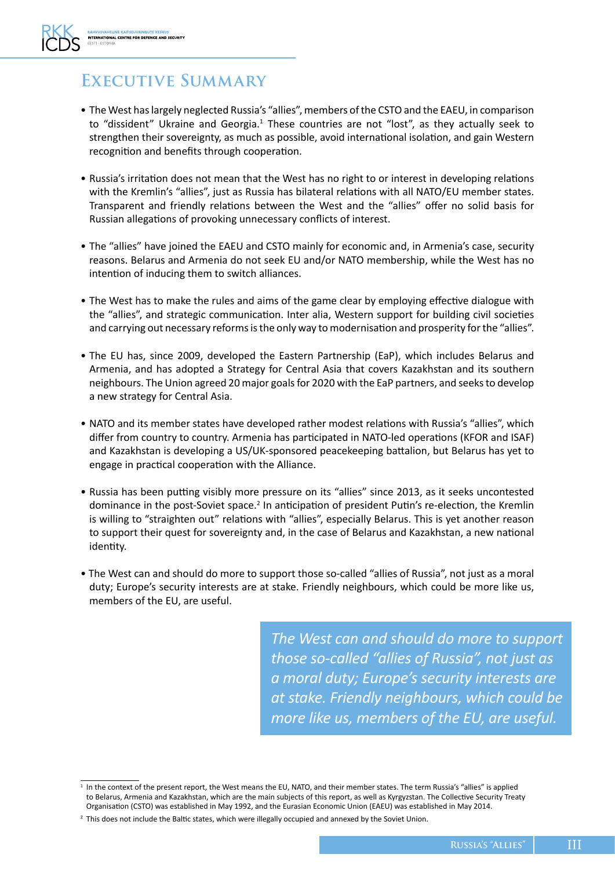# **Executive Summary**

- The West has largely neglected Russia's "allies", members of the CSTO and the EAEU, in comparison to "dissident" Ukraine and Georgia.<sup>1</sup> These countries are not "lost", as they actually seek to strengthen their sovereignty, as much as possible, avoid international isolation, and gain Western recognition and benefits through cooperation.
- Russia's irritation does not mean that the West has no right to or interest in developing relations with the Kremlin's "allies", just as Russia has bilateral relations with all NATO/EU member states. Transparent and friendly relations between the West and the "allies" offer no solid basis for Russian allegations of provoking unnecessary conflicts of interest.
- The "allies" have joined the EAEU and CSTO mainly for economic and, in Armenia's case, security reasons. Belarus and Armenia do not seek EU and/or NATO membership, while the West has no intention of inducing them to switch alliances.
- The West has to make the rules and aims of the game clear by employing effective dialogue with the "allies", and strategic communication. Inter alia, Western support for building civil societies and carrying out necessary reforms is the only way to modernisation and prosperity for the "allies".
- The EU has, since 2009, developed the Eastern Partnership (EaP), which includes Belarus and Armenia, and has adopted a Strategy for Central Asia that covers Kazakhstan and its southern neighbours. The Union agreed 20 major goals for 2020 with the EaP partners, and seeks to develop a new strategy for Central Asia.
- NATO and its member states have developed rather modest relations with Russia's "allies", which differ from country to country. Armenia has participated in NATO-led operations (KFOR and ISAF) and Kazakhstan is developing a US/UK-sponsored peacekeeping battalion, but Belarus has yet to engage in practical cooperation with the Alliance.
- Russia has been putting visibly more pressure on its "allies" since 2013, as it seeks uncontested dominance in the post-Soviet space.<sup>2</sup> In anticipation of president Putin's re-election, the Kremlin is willing to "straighten out" relations with "allies", especially Belarus. This is yet another reason to support their quest for sovereignty and, in the case of Belarus and Kazakhstan, a new national identity.
- The West can and should do more to support those so-called "allies of Russia", not just as a moral duty; Europe's security interests are at stake. Friendly neighbours, which could be more like us, members of the EU, are useful.

*The West can and should do more to support those so-called "allies of Russia", not just as a moral duty; Europe's security interests are at stake. Friendly neighbours, which could be more like us, members of the EU, are useful.* 

 $1$  In the context of the present report, the West means the EU, NATO, and their member states. The term Russia's "allies" is applied to Belarus, Armenia and Kazakhstan, which are the main subjects of this report, as well as Kyrgyzstan. The Collective Security Treaty Organisation (CSTO) was established in May 1992, and the Eurasian Economic Union (EAEU) was established in May 2014.

<sup>&</sup>lt;sup>2</sup> This does not include the Baltic states, which were illegally occupied and annexed by the Soviet Union.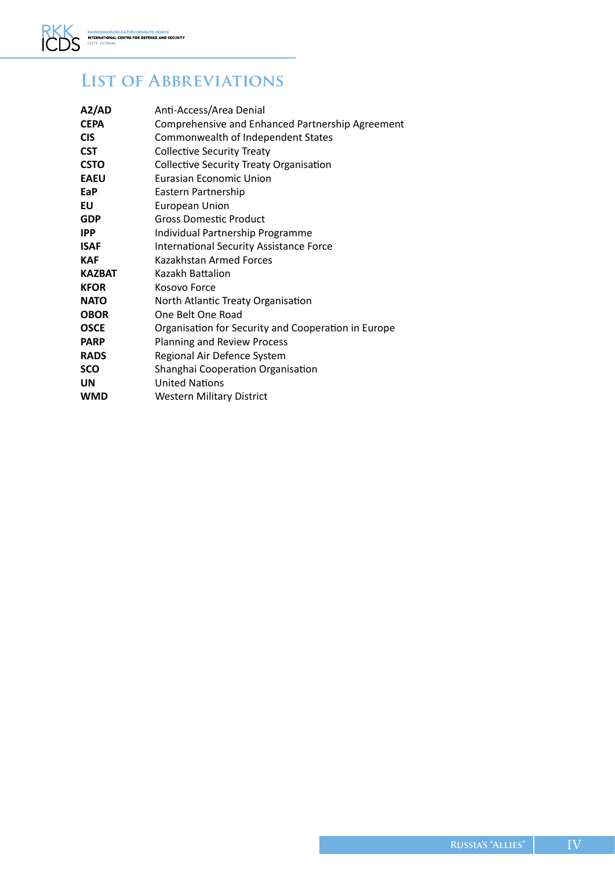

# **List of Abbreviations**

| A2/AD         | Anti-Access/Area Denial                             |
|---------------|-----------------------------------------------------|
| <b>CEPA</b>   | Comprehensive and Enhanced Partnership Agreement    |
| <b>CIS</b>    | Commonwealth of Independent States                  |
| <b>CST</b>    | <b>Collective Security Treaty</b>                   |
| <b>CSTO</b>   | <b>Collective Security Treaty Organisation</b>      |
| <b>EAEU</b>   | Eurasian Economic Union                             |
| EaP           | Eastern Partnership                                 |
| EU            | <b>European Union</b>                               |
| <b>GDP</b>    | Gross Domestic Product                              |
| <b>IPP</b>    | Individual Partnership Programme                    |
| <b>ISAF</b>   | <b>International Security Assistance Force</b>      |
| <b>KAF</b>    | Kazakhstan Armed Forces                             |
| <b>KAZBAT</b> | Kazakh Battalion                                    |
| <b>KFOR</b>   | Kosovo Force                                        |
| <b>NATO</b>   | North Atlantic Treaty Organisation                  |
| <b>OBOR</b>   | One Belt One Road                                   |
| <b>OSCE</b>   | Organisation for Security and Cooperation in Europe |
| <b>PARP</b>   | <b>Planning and Review Process</b>                  |
| <b>RADS</b>   | Regional Air Defence System                         |
| <b>SCO</b>    | Shanghai Cooperation Organisation                   |
| <b>UN</b>     | <b>United Nations</b>                               |
| <b>WMD</b>    | <b>Western Military District</b>                    |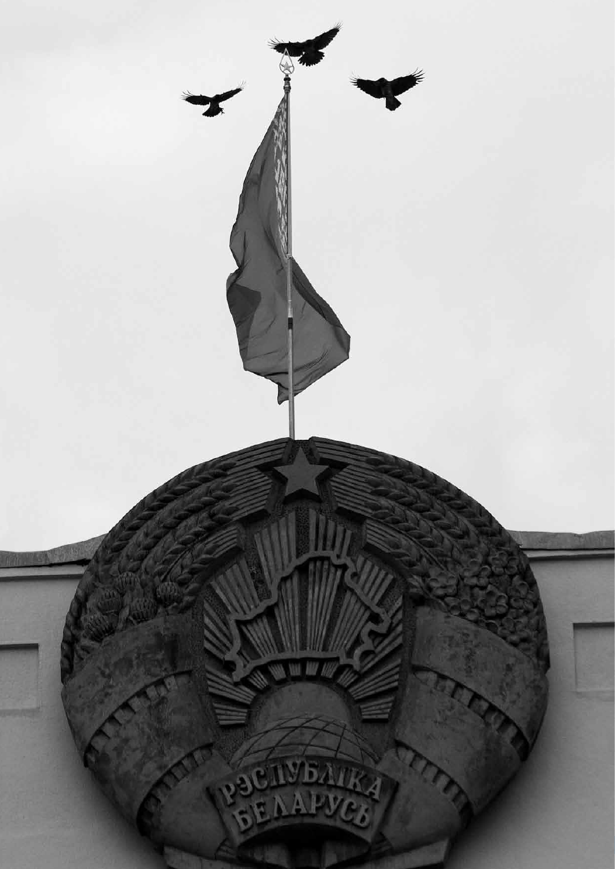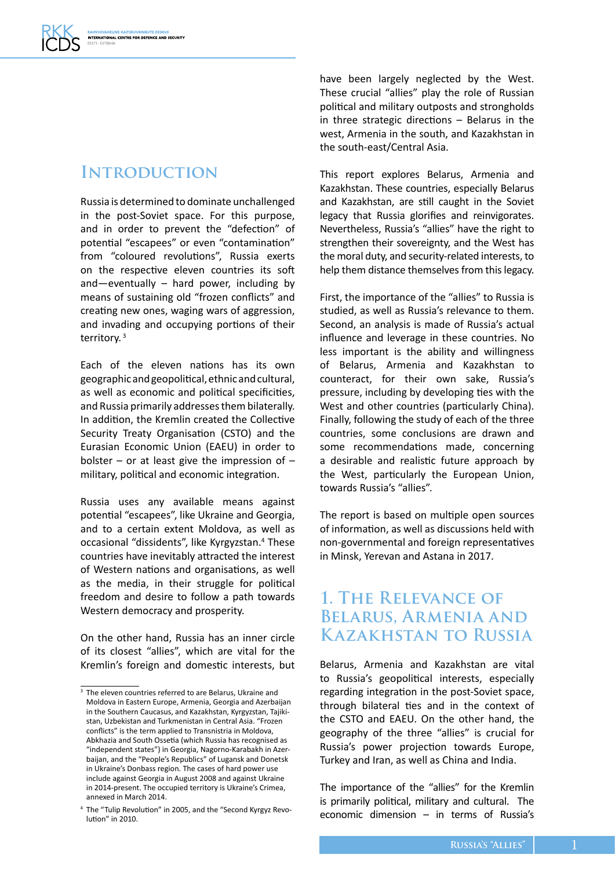### **Introduction**

Russia is determined to dominate unchallenged in the post-Soviet space. For this purpose, and in order to prevent the "defection" of potential "escapees" or even "contamination" from "coloured revolutions", Russia exerts on the respective eleven countries its soft and—eventually – hard power, including by means of sustaining old "frozen conflicts" and creating new ones, waging wars of aggression, and invading and occupying portions of their territory. 3

Each of the eleven nations has its own geographic and geopolitical, ethnic and cultural, as well as economic and political specificities, and Russia primarily addresses them bilaterally. In addition, the Kremlin created the Collective Security Treaty Organisation (CSTO) and the Eurasian Economic Union (EAEU) in order to bolster – or at least give the impression of  $$ military, political and economic integration.

Russia uses any available means against potential "escapees", like Ukraine and Georgia, and to a certain extent Moldova, as well as occasional "dissidents", like Kyrgyzstan.<sup>4</sup> These countries have inevitably attracted the interest of Western nations and organisations, as well as the media, in their struggle for political freedom and desire to follow a path towards Western democracy and prosperity.

On the other hand, Russia has an inner circle of its closest "allies", which are vital for the Kremlin's foreign and domestic interests, but have been largely neglected by the West. These crucial "allies" play the role of Russian political and military outposts and strongholds in three strategic directions – Belarus in the west, Armenia in the south, and Kazakhstan in the south-east/Central Asia.

This report explores Belarus, Armenia and Kazakhstan. These countries, especially Belarus and Kazakhstan, are still caught in the Soviet legacy that Russia glorifies and reinvigorates. Nevertheless, Russia's "allies" have the right to strengthen their sovereignty, and the West has the moral duty, and security-related interests, to help them distance themselves from this legacy.

First, the importance of the "allies" to Russia is studied, as well as Russia's relevance to them. Second, an analysis is made of Russia's actual influence and leverage in these countries. No less important is the ability and willingness of Belarus, Armenia and Kazakhstan to counteract, for their own sake, Russia's pressure, including by developing ties with the West and other countries (particularly China). Finally, following the study of each of the three countries, some conclusions are drawn and some recommendations made, concerning a desirable and realistic future approach by the West, particularly the European Union, towards Russia's "allies".

The report is based on multiple open sources of information, as well as discussions held with non-governmental and foreign representatives in Minsk, Yerevan and Astana in 2017.

### **1. The Relevance of Belarus, Armenia and Kazakhstan to Russia**

Belarus, Armenia and Kazakhstan are vital to Russia's geopolitical interests, especially regarding integration in the post-Soviet space, through bilateral ties and in the context of the CSTO and EAEU. On the other hand, the geography of the three "allies" is crucial for Russia's power projection towards Europe, Turkey and Iran, as well as China and India.

The importance of the "allies" for the Kremlin is primarily political, military and cultural. The economic dimension – in terms of Russia's

<sup>&</sup>lt;sup>3</sup> The eleven countries referred to are Belarus, Ukraine and Moldova in Eastern Europe, Armenia, Georgia and Azerbaijan in the Southern Caucasus, and Kazakhstan, Kyrgyzstan, Tajikistan, Uzbekistan and Turkmenistan in Central Asia. "Frozen conflicts" is the term applied to Transnistria in Moldova, Abkhazia and South Ossetia (which Russia has recognised as "independent states") in Georgia, Nagorno-Karabakh in Azerbaijan, and the "People's Republics" of Lugansk and Donetsk in Ukraine's Donbass region. The cases of hard power use include against Georgia in August 2008 and against Ukraine in 2014-present. The occupied territory is Ukraine's Crimea, annexed in March 2014.

<sup>4</sup> The "Tulip Revolution" in 2005, and the "Second Kyrgyz Revolution" in 2010.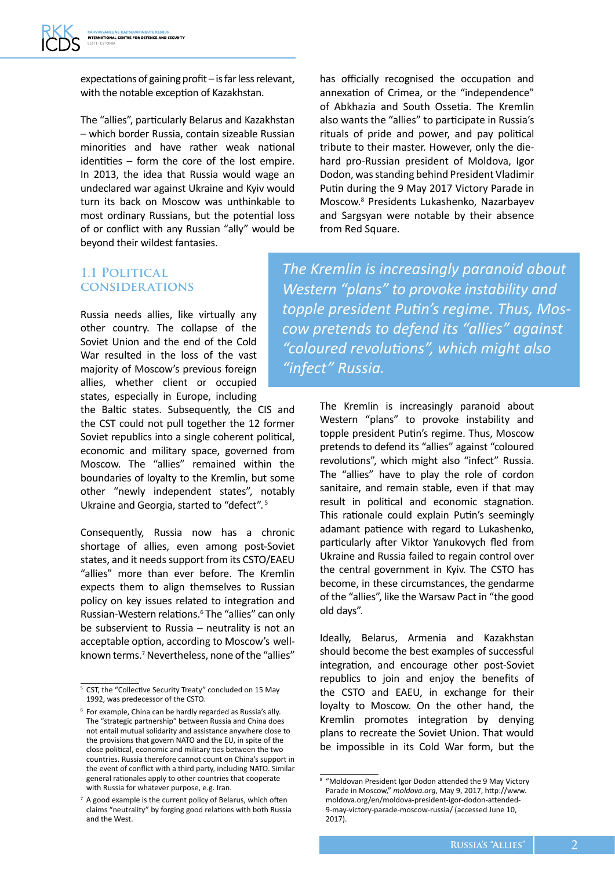expectations of gaining profit – is far less relevant, with the notable exception of Kazakhstan.

The "allies", particularly Belarus and Kazakhstan – which border Russia, contain sizeable Russian minorities and have rather weak national identities – form the core of the lost empire. In 2013, the idea that Russia would wage an undeclared war against Ukraine and Kyiv would turn its back on Moscow was unthinkable to most ordinary Russians, but the potential loss of or conflict with any Russian "ally" would be beyond their wildest fantasies.

has officially recognised the occupation and annexation of Crimea, or the "independence" of Abkhazia and South Ossetia. The Kremlin also wants the "allies" to participate in Russia's rituals of pride and power, and pay political tribute to their master. However, only the diehard pro-Russian president of Moldova, Igor Dodon, was standing behind President Vladimir Putin during the 9 May 2017 Victory Parade in Moscow.8 Presidents Lukashenko, Nazarbayev and Sargsyan were notable by their absence from Red Square.

#### **1.1 Political considerations**

Russia needs allies, like virtually any other country. The collapse of the Soviet Union and the end of the Cold War resulted in the loss of the vast majority of Moscow's previous foreign allies, whether client or occupied states, especially in Europe, including

the Baltic states. Subsequently, the CIS and the CST could not pull together the 12 former Soviet republics into a single coherent political, economic and military space, governed from Moscow. The "allies" remained within the boundaries of loyalty to the Kremlin, but some other "newly independent states", notably Ukraine and Georgia, started to "defect". 5

Consequently, Russia now has a chronic shortage of allies, even among post-Soviet states, and it needs support from its CSTO/EAEU "allies" more than ever before. The Kremlin expects them to align themselves to Russian policy on key issues related to integration and Russian-Western relations.<sup>6</sup> The "allies" can only be subservient to Russia – neutrality is not an acceptable option, according to Moscow's wellknown terms.<sup>7</sup> Nevertheless, none of the "allies"

*The Kremlin is increasingly paranoid about Western "plans" to provoke instability and topple president Putin's regime. Thus, Moscow pretends to defend its "allies" against "coloured revolutions", which might also "infect" Russia.* 

> The Kremlin is increasingly paranoid about Western "plans" to provoke instability and topple president Putin's regime. Thus, Moscow pretends to defend its "allies" against "coloured revolutions", which might also "infect" Russia. The "allies" have to play the role of cordon sanitaire, and remain stable, even if that may result in political and economic stagnation. This rationale could explain Putin's seemingly adamant patience with regard to Lukashenko, particularly after Viktor Yanukovych fled from Ukraine and Russia failed to regain control over the central government in Kyiv. The CSTO has become, in these circumstances, the gendarme of the "allies", like the Warsaw Pact in "the good old days".

> Ideally, Belarus, Armenia and Kazakhstan should become the best examples of successful integration, and encourage other post-Soviet republics to join and enjoy the benefits of the CSTO and EAEU, in exchange for their loyalty to Moscow. On the other hand, the Kremlin promotes integration by denying plans to recreate the Soviet Union. That would be impossible in its Cold War form, but the

<sup>5</sup> CST, the "Collective Security Treaty" concluded on 15 May 1992, was predecessor of the CSTO.

<sup>6</sup> For example, China can be hardly regarded as Russia's ally. The "strategic partnership" between Russia and China does not entail mutual solidarity and assistance anywhere close to the provisions that govern NATO and the EU, in spite of the close political, economic and military ties between the two countries. Russia therefore cannot count on China's support in the event of conflict with a third party, including NATO. Similar general rationales apply to other countries that cooperate with Russia for whatever purpose, e.g. Iran.

A good example is the current policy of Belarus, which often claims "neutrality" by forging good relations with both Russia and the West.

<sup>8</sup> "Moldovan President Igor Dodon attended the 9 May Victory Parade in Moscow," *moldova.org*, May 9, 2017, http://www. moldova.org/en/moldova-president-igor-dodon-attended-9-may-victory-parade-moscow-russia/ (accessed June 10, 2017).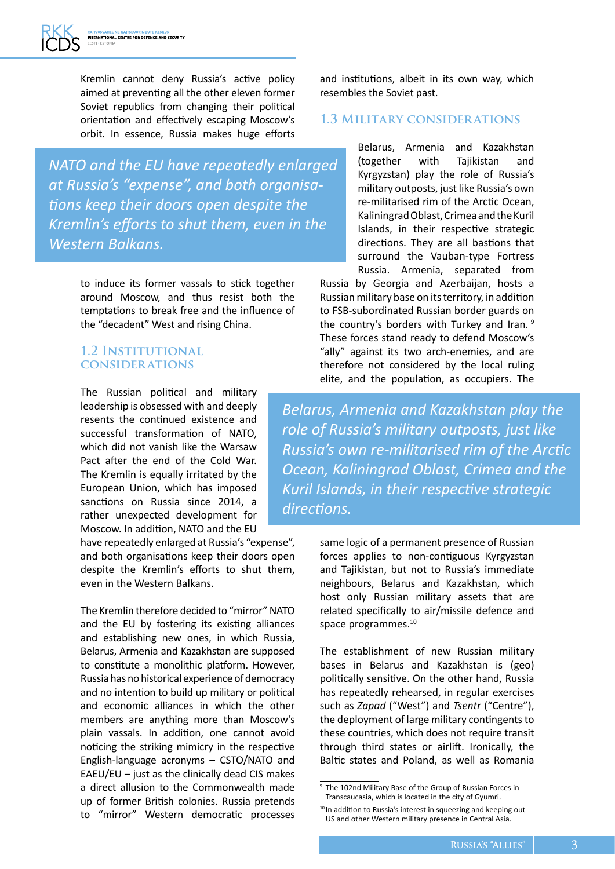Kremlin cannot deny Russia's active policy aimed at preventing all the other eleven former Soviet republics from changing their political orientation and effectively escaping Moscow's orbit. In essence, Russia makes huge efforts

*NATO and the EU have repeatedly enlarged at Russia's "expense", and both organisations keep their doors open despite the Kremlin's efforts to shut them, even in the Western Balkans.* 

> to induce its former vassals to stick together around Moscow, and thus resist both the temptations to break free and the influence of the "decadent" West and rising China.

#### **1.2 Institutional considerations**

The Russian political and military leadership is obsessed with and deeply resents the continued existence and successful transformation of NATO, which did not vanish like the Warsaw Pact after the end of the Cold War. The Kremlin is equally irritated by the European Union, which has imposed sanctions on Russia since 2014, a rather unexpected development for Moscow. In addition, NATO and the EU

have repeatedly enlarged at Russia's "expense", and both organisations keep their doors open despite the Kremlin's efforts to shut them, even in the Western Balkans.

The Kremlin therefore decided to "mirror" NATO and the EU by fostering its existing alliances and establishing new ones, in which Russia, Belarus, Armenia and Kazakhstan are supposed to constitute a monolithic platform. However, Russia has no historical experience of democracy and no intention to build up military or political and economic alliances in which the other members are anything more than Moscow's plain vassals. In addition, one cannot avoid noticing the striking mimicry in the respective English-language acronyms – CSTO/NATO and EAEU/EU – just as the clinically dead CIS makes a direct allusion to the Commonwealth made up of former British colonies. Russia pretends to "mirror" Western democratic processes

and institutions, albeit in its own way, which resembles the Soviet past.

#### **1.3 Military considerations**

Belarus, Armenia and Kazakhstan (together with Tajikistan and Kyrgyzstan) play the role of Russia's military outposts, just like Russia's own re-militarised rim of the Arctic Ocean, Kaliningrad Oblast, Crimea and the Kuril Islands, in their respective strategic directions. They are all bastions that surround the Vauban-type Fortress Russia. Armenia, separated from

Russia by Georgia and Azerbaijan, hosts a Russian military base on its territory, in addition to FSB-subordinated Russian border guards on the country's borders with Turkey and Iran.<sup>9</sup> These forces stand ready to defend Moscow's "ally" against its two arch-enemies, and are therefore not considered by the local ruling elite, and the population, as occupiers. The

*Belarus, Armenia and Kazakhstan play the role of Russia's military outposts, just like Russia's own re-militarised rim of the Arctic Ocean, Kaliningrad Oblast, Crimea and the Kuril Islands, in their respective strategic directions.* 

> same logic of a permanent presence of Russian forces applies to non-contiguous Kyrgyzstan and Tajikistan, but not to Russia's immediate neighbours, Belarus and Kazakhstan, which host only Russian military assets that are related specifically to air/missile defence and space programmes.<sup>10</sup>

> The establishment of new Russian military bases in Belarus and Kazakhstan is (geo) politically sensitive. On the other hand, Russia has repeatedly rehearsed, in regular exercises such as *Zapad* ("West") and *Tsentr* ("Centre"), the deployment of large military contingents to these countries, which does not require transit through third states or airlift. Ironically, the Baltic states and Poland, as well as Romania

<sup>9</sup> The 102nd Military Base of the Group of Russian Forces in Transcaucasia, which is located in the city of Gyumri.

<sup>&</sup>lt;sup>10</sup> In addition to Russia's interest in squeezing and keeping out US and other Western military presence in Central Asia.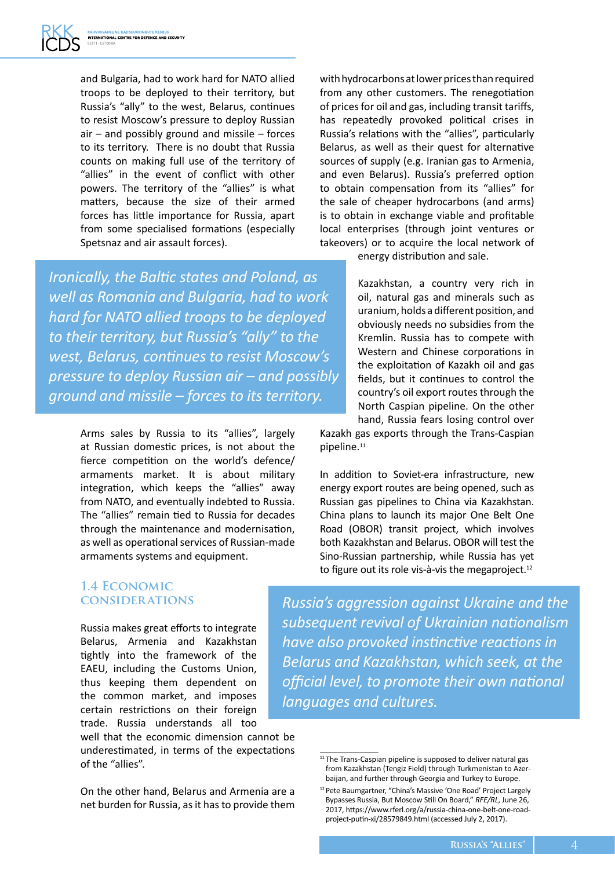

and Bulgaria, had to work hard for NATO allied troops to be deployed to their territory, but Russia's "ally" to the west, Belarus, continues to resist Moscow's pressure to deploy Russian air – and possibly ground and missile – forces to its territory. There is no doubt that Russia counts on making full use of the territory of "allies" in the event of conflict with other powers. The territory of the "allies" is what matters, because the size of their armed forces has little importance for Russia, apart from some specialised formations (especially Spetsnaz and air assault forces).

*Ironically, the Baltic states and Poland, as well as Romania and Bulgaria, had to work hard for NATO allied troops to be deployed to their territory, but Russia's "ally" to the west, Belarus, continues to resist Moscow's pressure to deploy Russian air – and possibly ground and missile – forces to its territory.*

> Arms sales by Russia to its "allies", largely at Russian domestic prices, is not about the fierce competition on the world's defence/ armaments market. It is about military integration, which keeps the "allies" away from NATO, and eventually indebted to Russia. The "allies" remain tied to Russia for decades through the maintenance and modernisation, as well as operational services of Russian-made armaments systems and equipment.

#### **1.4 Economic considerations**

Russia makes great efforts to integrate Belarus, Armenia and Kazakhstan tightly into the framework of the EAEU, including the Customs Union, thus keeping them dependent on the common market, and imposes certain restrictions on their foreign trade. Russia understands all too

well that the economic dimension cannot be underestimated, in terms of the expectations of the "allies".

On the other hand, Belarus and Armenia are a net burden for Russia, as it has to provide them

with hydrocarbons at lower prices than required from any other customers. The renegotiation of prices for oil and gas, including transit tariffs, has repeatedly provoked political crises in Russia's relations with the "allies", particularly Belarus, as well as their quest for alternative sources of supply (e.g. Iranian gas to Armenia, and even Belarus). Russia's preferred option to obtain compensation from its "allies" for the sale of cheaper hydrocarbons (and arms) is to obtain in exchange viable and profitable local enterprises (through joint ventures or takeovers) or to acquire the local network of

energy distribution and sale.

Kazakhstan, a country very rich in oil, natural gas and minerals such as uranium, holds a different position, and obviously needs no subsidies from the Kremlin. Russia has to compete with Western and Chinese corporations in the exploitation of Kazakh oil and gas fields, but it continues to control the country's oil export routes through the North Caspian pipeline. On the other hand, Russia fears losing control over

Kazakh gas exports through the Trans-Caspian pipeline.<sup>11</sup>

In addition to Soviet-era infrastructure, new energy export routes are being opened, such as Russian gas pipelines to China via Kazakhstan. China plans to launch its major One Belt One Road (OBOR) transit project, which involves both Kazakhstan and Belarus. OBOR will test the Sino-Russian partnership, while Russia has yet to figure out its role vis-à-vis the megaproject.<sup>12</sup>

*Russia's aggression against Ukraine and the subsequent revival of Ukrainian nationalism have also provoked instinctive reactions in Belarus and Kazakhstan, which seek, at the official level, to promote their own national languages and cultures.* 

<sup>&</sup>lt;sup>11</sup> The Trans-Caspian pipeline is supposed to deliver natural gas from Kazakhstan (Tengiz Field) through Turkmenistan to Azerbaijan, and further through Georgia and Turkey to Europe.

<sup>&</sup>lt;sup>12</sup> Pete Baumgartner, "China's Massive 'One Road' Project Largely Bypasses Russia, But Moscow Still On Board," *RFE/RL*, June 26, 2017, https://www.rferl.org/a/russia-china-one-belt-one-roadproject-putin-xi/28579849.html (accessed July 2, 2017).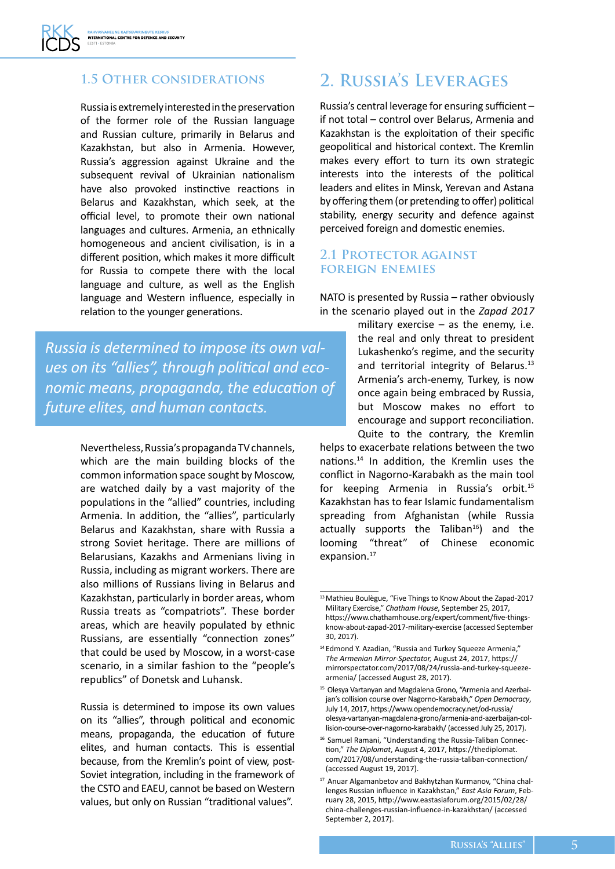#### **1.5 Other considerations**

Russia is extremely interested in the preservation of the former role of the Russian language and Russian culture, primarily in Belarus and Kazakhstan, but also in Armenia. However, Russia's aggression against Ukraine and the subsequent revival of Ukrainian nationalism have also provoked instinctive reactions in Belarus and Kazakhstan, which seek, at the official level, to promote their own national languages and cultures. Armenia, an ethnically homogeneous and ancient civilisation, is in a different position, which makes it more difficult for Russia to compete there with the local language and culture, as well as the English language and Western influence, especially in relation to the younger generations.

*Russia is determined to impose its own values on its "allies", through political and economic means, propaganda, the education of future elites, and human contacts.* 

> Nevertheless, Russia's propaganda TV channels, which are the main building blocks of the common information space sought by Moscow, are watched daily by a vast majority of the populations in the "allied" countries, including Armenia. In addition, the "allies", particularly Belarus and Kazakhstan, share with Russia a strong Soviet heritage. There are millions of Belarusians, Kazakhs and Armenians living in Russia, including as migrant workers. There are also millions of Russians living in Belarus and Kazakhstan, particularly in border areas, whom Russia treats as "compatriots". These border areas, which are heavily populated by ethnic Russians, are essentially "connection zones" that could be used by Moscow, in a worst-case scenario, in a similar fashion to the "people's republics" of Donetsk and Luhansk.

> Russia is determined to impose its own values on its "allies", through political and economic means, propaganda, the education of future elites, and human contacts. This is essential because, from the Kremlin's point of view, post-Soviet integration, including in the framework of the CSTO and EAEU, cannot be based on Western values, but only on Russian "traditional values".

### **2. Russia's Leverages**

Russia's central leverage for ensuring sufficient – if not total – control over Belarus, Armenia and Kazakhstan is the exploitation of their specific geopolitical and historical context. The Kremlin makes every effort to turn its own strategic interests into the interests of the political leaders and elites in Minsk, Yerevan and Astana by offering them (or pretending to offer) political stability, energy security and defence against perceived foreign and domestic enemies.

#### **2.1 Protector against foreign enemies**

NATO is presented by Russia – rather obviously in the scenario played out in the *Zapad 2017*

> military exercise  $-$  as the enemy, i.e. the real and only threat to president Lukashenko's regime, and the security and territorial integrity of Belarus.<sup>13</sup> Armenia's arch-enemy, Turkey, is now once again being embraced by Russia, but Moscow makes no effort to encourage and support reconciliation. Quite to the contrary, the Kremlin

helps to exacerbate relations between the two nations.14 In addition, the Kremlin uses the conflict in Nagorno-Karabakh as the main tool for keeping Armenia in Russia's orbit.15 Kazakhstan has to fear Islamic fundamentalism spreading from Afghanistan (while Russia actually supports the Taliban $16$ ) and the looming "threat" of Chinese economic expansion.<sup>17</sup>

<sup>13</sup> Mathieu Boulègue, "Five Things to Know About the Zapad-2017 Military Exercise," *Chatham House*, September 25, 2017, https://www.chathamhouse.org/expert/comment/five-thingsknow-about-zapad-2017-military-exercise (accessed September 30, 2017).

<sup>&</sup>lt;sup>14</sup> Edmond Y. Azadian, "Russia and Turkey Squeeze Armenia," *The Armenian Mirror-Spectator,* August 24, 2017, https:// mirrorspectator.com/2017/08/24/russia-and-turkey-squeezearmenia/ (accessed August 28, 2017).

<sup>15</sup> Olesya Vartanyan and Magdalena Grono, "Armenia and Azerbaijan's collision course over Nagorno-Karabakh," *Open Democracy*, July 14, 2017, https://www.opendemocracy.net/od-russia/ olesya-vartanyan-magdalena-grono/armenia-and-azerbaijan-collision-course-over-nagorno-karabakh/ (accessed July 25, 2017).

<sup>&</sup>lt;sup>16</sup> Samuel Ramani, "Understanding the Russia-Taliban Connection," *The Diplomat*, August 4, 2017, https://thediplomat. com/2017/08/understanding-the-russia-taliban-connection/ (accessed August 19, 2017).

<sup>&</sup>lt;sup>17</sup> Anuar Algamanbetov and Bakhytzhan Kurmanov, "China challenges Russian influence in Kazakhstan," *East Asia Forum*, February 28, 2015, http://www.eastasiaforum.org/2015/02/28/ china-challenges-russian-influence-in-kazakhstan/ (accessed September 2, 2017).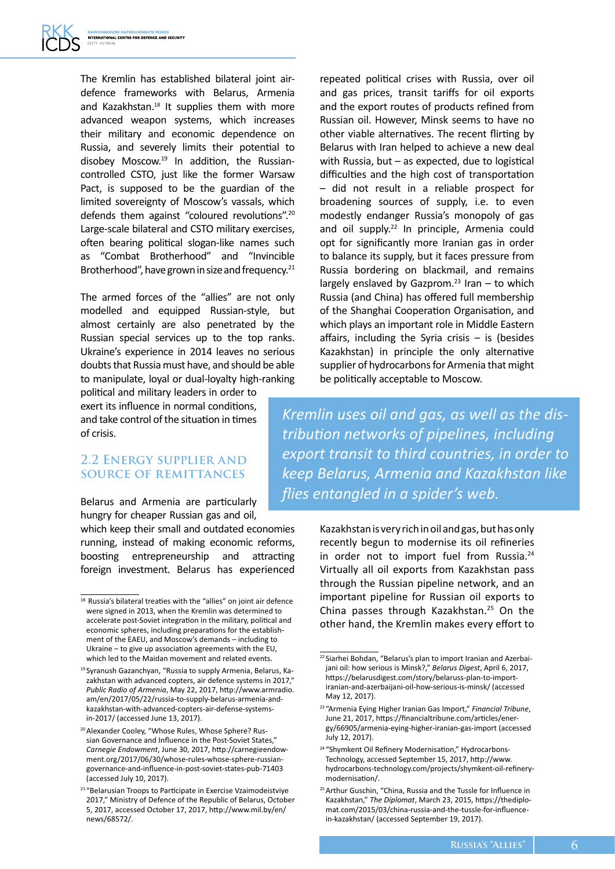The Kremlin has established bilateral joint airdefence frameworks with Belarus, Armenia and Kazakhstan.<sup>18</sup> It supplies them with more advanced weapon systems, which increases their military and economic dependence on Russia, and severely limits their potential to disobey Moscow.19 In addition, the Russiancontrolled CSTO, just like the former Warsaw Pact, is supposed to be the guardian of the limited sovereignty of Moscow's vassals, which defends them against "coloured revolutions".<sup>20</sup> Large-scale bilateral and CSTO military exercises, often bearing political slogan-like names such as "Combat Brotherhood" and "Invincible Brotherhood", have grown in size and frequency.<sup>21</sup>

The armed forces of the "allies" are not only modelled and equipped Russian-style, but almost certainly are also penetrated by the Russian special services up to the top ranks. Ukraine's experience in 2014 leaves no serious doubts that Russia must have, and should be able to manipulate, loyal or dual-loyalty high-ranking

political and military leaders in order to exert its influence in normal conditions, and take control of the situation in times of crisis.

#### **2.2 Energy supplier and source of remittances**

Belarus and Armenia are particularly hungry for cheaper Russian gas and oil,

which keep their small and outdated economies running, instead of making economic reforms, boosting entrepreneurship and attracting foreign investment. Belarus has experienced repeated political crises with Russia, over oil and gas prices, transit tariffs for oil exports and the export routes of products refined from Russian oil. However, Minsk seems to have no other viable alternatives. The recent flirting by Belarus with Iran helped to achieve a new deal with Russia, but – as expected, due to logistical difficulties and the high cost of transportation – did not result in a reliable prospect for broadening sources of supply, i.e. to even modestly endanger Russia's monopoly of gas and oil supply.<sup>22</sup> In principle, Armenia could opt for significantly more Iranian gas in order to balance its supply, but it faces pressure from Russia bordering on blackmail, and remains largely enslaved by Gazprom.<sup>23</sup> Iran  $-$  to which Russia (and China) has offered full membership of the Shanghai Cooperation Organisation, and which plays an important role in Middle Eastern affairs, including the Syria crisis  $-$  is (besides Kazakhstan) in principle the only alternative supplier of hydrocarbons for Armenia that might be politically acceptable to Moscow.

*Kremlin uses oil and gas, as well as the distribution networks of pipelines, including export transit to third countries, in order to keep Belarus, Armenia and Kazakhstan like flies entangled in a spider's web.* 

> Kazakhstan is very rich in oil and gas, but has only recently begun to modernise its oil refineries in order not to import fuel from Russia.<sup>24</sup> Virtually all oil exports from Kazakhstan pass through the Russian pipeline network, and an important pipeline for Russian oil exports to China passes through Kazakhstan.25 On the other hand, the Kremlin makes every effort to

<sup>&</sup>lt;sup>18</sup> Russia's bilateral treaties with the "allies" on joint air defence were signed in 2013, when the Kremlin was determined to accelerate post-Soviet integration in the military, political and economic spheres, including preparations for the establishment of the EAEU, and Moscow's demands – including to Ukraine – to give up association agreements with the EU, which led to the Maidan movement and related events.

<sup>19</sup> Syranush Gazanchyan, "Russia to supply Armenia, Belarus, Kazakhstan with advanced copters, air defence systems in 2017," *Public Radio of Armenia*, May 22, 2017, http://www.armradio. am/en/2017/05/22/russia-to-supply-belarus-armenia-andkazakhstan-with-advanced-copters-air-defense-systemsin-2017/ (accessed June 13, 2017).

<sup>&</sup>lt;sup>20</sup> Alexander Cooley, "Whose Rules, Whose Sphere? Russian Governance and Influence in the Post-Soviet States," *Carnegie Endowment*, June 30, 2017, http://carnegieendowment.org/2017/06/30/whose-rules-whose-sphere-russiangovernance-and-influence-in-post-soviet-states-pub-71403 (accessed July 10, 2017).

<sup>&</sup>lt;sup>21</sup> "Belarusian Troops to Participate in Exercise Vzaimodeistviye 2017." Ministry of Defence of the Republic of Belarus, October 5, 2017, accessed October 17, 2017, http://www.mil.by/en/ news/68572/.

<sup>&</sup>lt;sup>22</sup> Siarhei Bohdan, "Belarus's plan to import Iranian and Azerbaijani oil: how serious is Minsk?," *Belarus Digest*, April 6, 2017, https://belarusdigest.com/story/belaruss-plan-to-importiranian-and-azerbaijani-oil-how-serious-is-minsk/ (accessed May 12, 2017).

<sup>23</sup> "Armenia Eying Higher Iranian Gas Import," *Financial Tribune*, June 21, 2017, https://financialtribune.com/articles/energy/66905/armenia-eying-higher-iranian-gas-import (accessed July 12, 2017).

<sup>&</sup>lt;sup>24</sup> "Shymkent Oil Refinery Modernisation," Hydrocarbons-Technology, accessed September 15, 2017, http://www. hydrocarbons-technology.com/projects/shymkent-oil-refinerymodernisation/.

<sup>&</sup>lt;sup>25</sup> Arthur Guschin, "China, Russia and the Tussle for Influence in Kazakhstan," *The Diplomat*, March 23, 2015, https://thediplomat.com/2015/03/china-russia-and-the-tussle-for-influencein-kazakhstan/ (accessed September 19, 2017).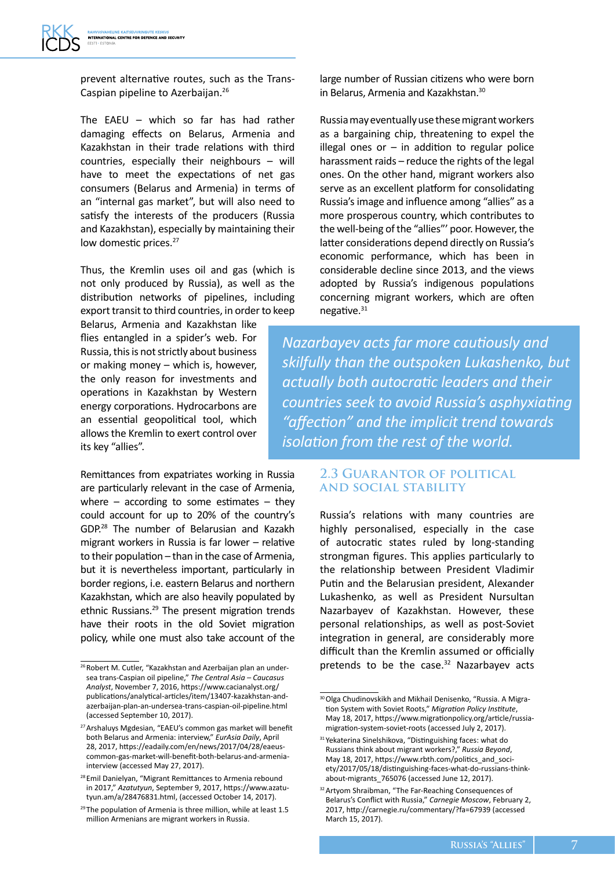prevent alternative routes, such as the Trans-Caspian pipeline to Azerbaijan.26

The EAEU – which so far has had rather damaging effects on Belarus, Armenia and Kazakhstan in their trade relations with third countries, especially their neighbours – will have to meet the expectations of net gas consumers (Belarus and Armenia) in terms of an "internal gas market", but will also need to satisfy the interests of the producers (Russia and Kazakhstan), especially by maintaining their low domestic prices.<sup>27</sup>

Thus, the Kremlin uses oil and gas (which is not only produced by Russia), as well as the distribution networks of pipelines, including export transit to third countries, in order to keep

Belarus, Armenia and Kazakhstan like flies entangled in a spider's web. For Russia, this is not strictly about business or making money – which is, however, the only reason for investments and operations in Kazakhstan by Western energy corporations. Hydrocarbons are an essential geopolitical tool, which allows the Kremlin to exert control over its key "allies".

Remittances from expatriates working in Russia are particularly relevant in the case of Armenia, where  $-$  according to some estimates  $-$  they could account for up to 20% of the country's GDP.28 The number of Belarusian and Kazakh migrant workers in Russia is far lower – relative to their population – than in the case of Armenia, but it is nevertheless important, particularly in border regions, i.e. eastern Belarus and northern Kazakhstan, which are also heavily populated by ethnic Russians.29 The present migration trends have their roots in the old Soviet migration policy, while one must also take account of the large number of Russian citizens who were born in Belarus, Armenia and Kazakhstan.<sup>30</sup>

Russia may eventually use these migrant workers as a bargaining chip, threatening to expel the illegal ones or  $-$  in addition to regular police harassment raids – reduce the rights of the legal ones. On the other hand, migrant workers also serve as an excellent platform for consolidating Russia's image and influence among "allies" as a more prosperous country, which contributes to the well-being of the "allies"' poor. However, the latter considerations depend directly on Russia's economic performance, which has been in considerable decline since 2013, and the views adopted by Russia's indigenous populations concerning migrant workers, which are often negative.31

*Nazarbayev acts far more cautiously and skilfully than the outspoken Lukashenko, but actually both autocratic leaders and their countries seek to avoid Russia's asphyxiating "affection" and the implicit trend towards isolation from the rest of the world.*

#### **2.3 Guarantor of political and social stability**

Russia's relations with many countries are highly personalised, especially in the case of autocratic states ruled by long-standing strongman figures. This applies particularly to the relationship between President Vladimir Putin and the Belarusian president, Alexander Lukashenko, as well as President Nursultan Nazarbayev of Kazakhstan. However, these personal relationships, as well as post-Soviet integration in general, are considerably more difficult than the Kremlin assumed or officially pretends to be the case.<sup>32</sup> Nazarbayev acts

<sup>&</sup>lt;sup>26</sup> Robert M. Cutler, "Kazakhstan and Azerbaijan plan an undersea trans-Caspian oil pipeline," *The Central Asia – Caucasus Analyst*, November 7, 2016, https://www.cacianalyst.org/ publications/analytical-articles/item/13407-kazakhstan-andazerbaijan-plan-an-undersea-trans-caspian-oil-pipeline.html (accessed September 10, 2017).

<sup>&</sup>lt;sup>27</sup> Arshaluys Mgdesian, "EAEU's common gas market will benefit both Belarus and Armenia: interview," *EurAsia Daily*, April 28, 2017, https://eadaily.com/en/news/2017/04/28/eaeuscommon-gas-market-will-benefit-both-belarus-and-armeniainterview (accessed May 27, 2017).

<sup>28</sup> Emil Danielyan, "Migrant Remittances to Armenia rebound in 2017," *Azatutyun*, September 9, 2017, https://www.azatutyun.am/a/28476831.html, (accessed October 14, 2017).

<sup>&</sup>lt;sup>29</sup> The population of Armenia is three million, while at least 1.5 million Armenians are migrant workers in Russia.

<sup>&</sup>lt;sup>30</sup> Olga Chudinovskikh and Mikhail Denisenko, "Russia. A Migration System with Soviet Roots," *Migration Policy Institute*, May 18, 2017, https://www.migrationpolicy.org/article/russiamigration-system-soviet-roots (accessed July 2, 2017).

<sup>31</sup> Yekaterina Sinelshikova, "Distinguishing faces: what do Russians think about migrant workers?," *Russia Beyond*, May 18, 2017, https://www.rbth.com/politics\_and\_society/2017/05/18/distinguishing-faces-what-do-russians-thinkabout-migrants 765076 (accessed June 12, 2017).

<sup>&</sup>lt;sup>32</sup> Artyom Shraibman, "The Far-Reaching Consequences of Belarus's Conflict with Russia," *Carnegie Moscow*, February 2, 2017, http://carnegie.ru/commentary/?fa=67939 (accessed March 15, 2017).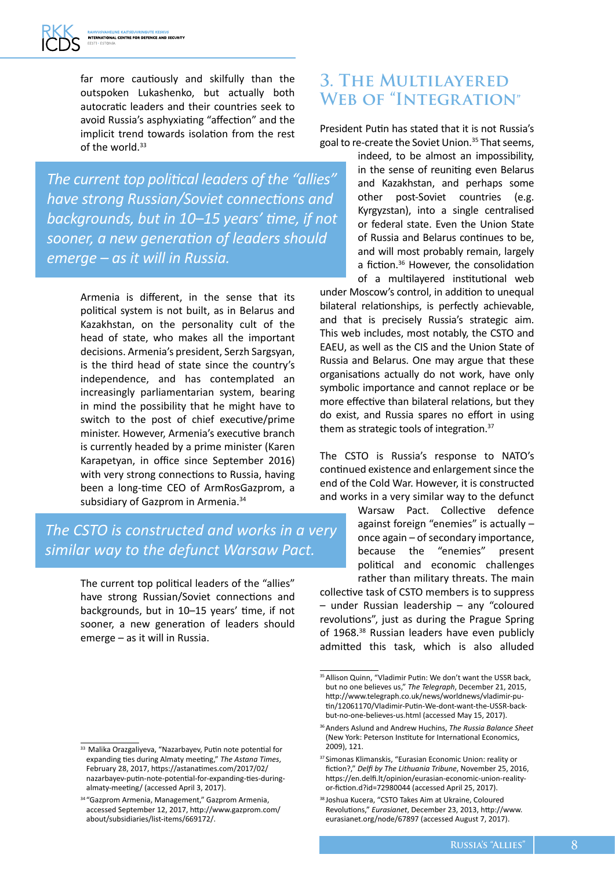far more cautiously and skilfully than the outspoken Lukashenko, but actually both autocratic leaders and their countries seek to avoid Russia's asphyxiating "affection" and the implicit trend towards isolation from the rest of the world.<sup>33</sup>

*The current top political leaders of the "allies" have strong Russian/Soviet connections and backgrounds, but in 10–15 years' time, if not sooner, a new generation of leaders should emerge – as it will in Russia.*

> Armenia is different, in the sense that its political system is not built, as in Belarus and Kazakhstan, on the personality cult of the head of state, who makes all the important decisions. Armenia's president, Serzh Sargsyan, is the third head of state since the country's independence, and has contemplated an increasingly parliamentarian system, bearing in mind the possibility that he might have to switch to the post of chief executive/prime minister. However, Armenia's executive branch is currently headed by a prime minister (Karen Karapetyan, in office since September 2016) with very strong connections to Russia, having been a long-time CEO of ArmRosGazprom, a subsidiary of Gazprom in Armenia.<sup>34</sup>

### *The CSTO is constructed and works in a very similar way to the defunct Warsaw Pact.*

The current top political leaders of the "allies" have strong Russian/Soviet connections and backgrounds, but in 10–15 years' time, if not sooner, a new generation of leaders should emerge – as it will in Russia.

### **3. The Multilayered Web of "Integration"**

President Putin has stated that it is not Russia's goal to re-create the Soviet Union.<sup>35</sup> That seems.

indeed, to be almost an impossibility, in the sense of reuniting even Belarus and Kazakhstan, and perhaps some other post-Soviet countries (e.g. Kyrgyzstan), into a single centralised or federal state. Even the Union State of Russia and Belarus continues to be, and will most probably remain, largely a fiction.<sup>36</sup> However, the consolidation of a multilayered institutional web

under Moscow's control, in addition to unequal bilateral relationships, is perfectly achievable, and that is precisely Russia's strategic aim. This web includes, most notably, the CSTO and EAEU, as well as the CIS and the Union State of Russia and Belarus. One may argue that these organisations actually do not work, have only symbolic importance and cannot replace or be more effective than bilateral relations, but they do exist, and Russia spares no effort in using them as strategic tools of integration.<sup>37</sup>

The CSTO is Russia's response to NATO's continued existence and enlargement since the end of the Cold War. However, it is constructed and works in a very similar way to the defunct

> Warsaw Pact. Collective defence against foreign "enemies" is actually – once again – of secondary importance, because the "enemies" present political and economic challenges rather than military threats. The main

collective task of CSTO members is to suppress – under Russian leadership – any "coloured revolutions", just as during the Prague Spring of 1968.<sup>38</sup> Russian leaders have even publicly admitted this task, which is also alluded

<sup>&</sup>lt;sup>33</sup> Malika Orazgaliyeva, "Nazarbayev, Putin note potential for expanding ties during Almaty meeting," *The Astana Times*, February 28, 2017, https://astanatimes.com/2017/02/ nazarbayev-putin-note-potential-for-expanding-ties-duringalmaty-meeting/ (accessed April 3, 2017).

<sup>&</sup>lt;sup>34</sup> "Gazprom Armenia, Management," Gazprom Armenia, accessed September 12, 2017, http://www.gazprom.com/ about/subsidiaries/list-items/669172/.

<sup>&</sup>lt;sup>35</sup> Allison Quinn, "Vladimir Putin: We don't want the USSR back, but no one believes us," *The Telegraph*, December 21, 2015, http://www.telegraph.co.uk/news/worldnews/vladimir-putin/12061170/Vladimir-Putin-We-dont-want-the-USSR-backbut-no-one-believes-us.html (accessed May 15, 2017).

<sup>36</sup>Anders Aslund and Andrew Huchins, *The Russia Balance Sheet* (New York: Peterson Institute for International Economics, 2009), 121.

<sup>37</sup> Simonas Klimanskis, "Eurasian Economic Union: reality or fiction?," *Delfi by The Lithuania Tribune*, November 25, 2016, https://en.delfi.lt/opinion/eurasian-economic-union-realityor-fiction.d?id=72980044 (accessed April 25, 2017).

<sup>38</sup> Joshua Kucera, "CSTO Takes Aim at Ukraine, Coloured Revolutions," *Eurasianet*, December 23, 2013, http://www. eurasianet.org/node/67897 (accessed August 7, 2017).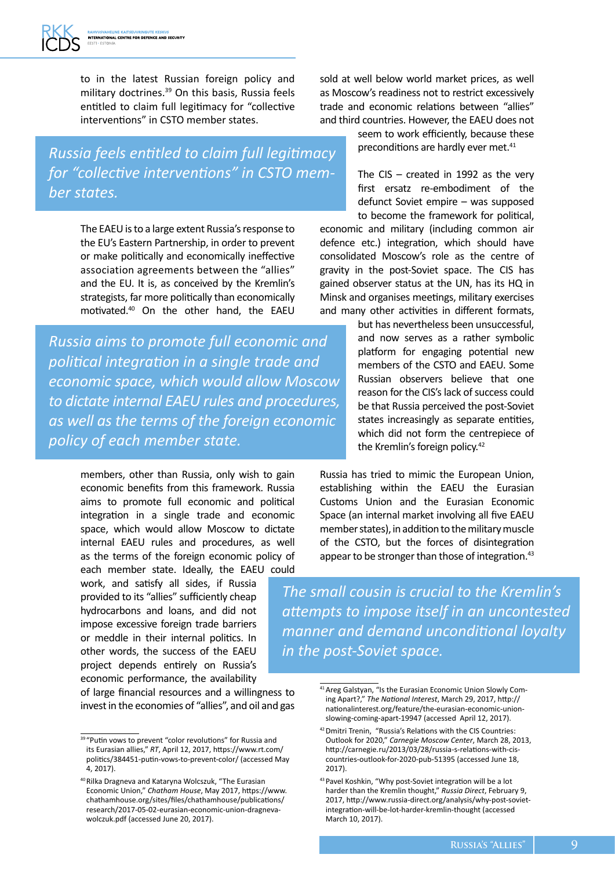to in the latest Russian foreign policy and military doctrines.39 On this basis, Russia feels entitled to claim full legitimacy for "collective interventions" in CSTO member states.

*Russia feels entitled to claim full legitimacy for "collective interventions" in CSTO member states.*

> The EAEU is to a large extent Russia's response to the EU's Eastern Partnership, in order to prevent or make politically and economically ineffective association agreements between the "allies" and the EU. It is, as conceived by the Kremlin's strategists, far more politically than economically motivated.40 On the other hand, the EAEU

*Russia aims to promote full economic and political integration in a single trade and economic space, which would allow Moscow to dictate internal EAEU rules and procedures, as well as the terms of the foreign economic policy of each member state.*

> members, other than Russia, only wish to gain economic benefits from this framework. Russia aims to promote full economic and political integration in a single trade and economic space, which would allow Moscow to dictate internal EAEU rules and procedures, as well as the terms of the foreign economic policy of each member state. Ideally, the EAEU could

work, and satisfy all sides, if Russia provided to its "allies" sufficiently cheap hydrocarbons and loans, and did not impose excessive foreign trade barriers or meddle in their internal politics. In other words, the success of the EAEU project depends entirely on Russia's economic performance, the availability

of large financial resources and a willingness to invest in the economies of "allies", and oil and gas sold at well below world market prices, as well as Moscow's readiness not to restrict excessively trade and economic relations between "allies" and third countries. However, the EAEU does not

> seem to work efficiently, because these preconditions are hardly ever met.<sup>41</sup>

The CIS – created in 1992 as the very first ersatz re-embodiment of the defunct Soviet empire – was supposed to become the framework for political,

economic and military (including common air defence etc.) integration, which should have consolidated Moscow's role as the centre of gravity in the post-Soviet space. The CIS has gained observer status at the UN, has its HQ in Minsk and organises meetings, military exercises and many other activities in different formats,

> but has nevertheless been unsuccessful, and now serves as a rather symbolic platform for engaging potential new members of the CSTO and EAEU. Some Russian observers believe that one reason for the CIS's lack of success could be that Russia perceived the post-Soviet states increasingly as separate entities, which did not form the centrepiece of the Kremlin's foreign policy.42

Russia has tried to mimic the European Union, establishing within the EAEU the Eurasian Customs Union and the Eurasian Economic Space (an internal market involving all five EAEU member states), in addition to the military muscle of the CSTO, but the forces of disintegration appear to be stronger than those of integration.<sup>43</sup>

*The small cousin is crucial to the Kremlin's attempts to impose itself in an uncontested manner and demand unconditional loyalty in the post-Soviet space.*

<sup>&</sup>lt;sup>39</sup> "Putin vows to prevent "color revolutions" for Russia and its Eurasian allies," *RT*, April 12, 2017, https://www.rt.com/ politics/384451-putin-vows-to-prevent-color/ (accessed May 4, 2017).

<sup>40</sup>Rilka Dragneva and Kataryna Wolcszuk, "The Eurasian Economic Union," *Chatham House*, May 2017, https://www. chathamhouse.org/sites/files/chathamhouse/publications/ research/2017-05-02-eurasian-economic-union-dragnevawolczuk.pdf (accessed June 20, 2017).

<sup>41</sup>Areg Galstyan, "Is the Eurasian Economic Union Slowly Coming Apart?," *The National Interest*, March 29, 2017, http:// nationalinterest.org/feature/the-eurasian-economic-unionslowing-coming-apart-19947 (accessed April 12, 2017).

<sup>42</sup>Dmitri Trenin, "Russia's Relations with the CIS Countries: Outlook for 2020," *Carnegie Moscow Center*, March 28, 2013, http://carnegie.ru/2013/03/28/russia-s-relations-with-ciscountries-outlook-for-2020-pub-51395 (accessed June 18, 2017).

<sup>43</sup> Pavel Koshkin, "Why post-Soviet integration will be a lot harder than the Kremlin thought," *Russia Direct*, February 9, 2017, http://www.russia-direct.org/analysis/why-post-sovietintegration-will-be-lot-harder-kremlin-thought (accessed March 10, 2017).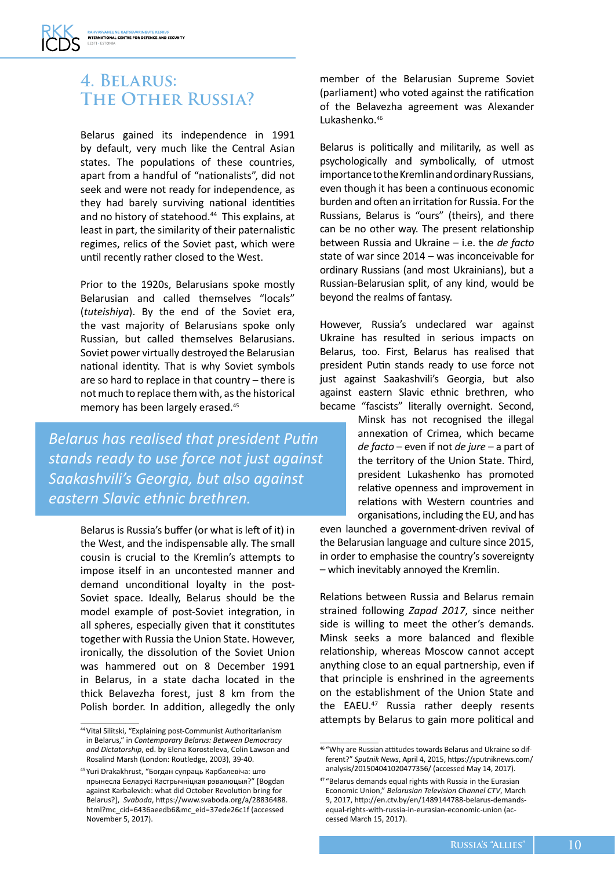### **4. Belarus: The Other Russia?**

Belarus gained its independence in 1991 by default, very much like the Central Asian states. The populations of these countries, apart from a handful of "nationalists", did not seek and were not ready for independence, as they had barely surviving national identities and no history of statehood.<sup>44</sup> This explains, at least in part, the similarity of their paternalistic regimes, relics of the Soviet past, which were until recently rather closed to the West.

Prior to the 1920s, Belarusians spoke mostly Belarusian and called themselves "locals" (*tuteishiya*). By the end of the Soviet era, the vast majority of Belarusians spoke only Russian, but called themselves Belarusians. Soviet power virtually destroyed the Belarusian national identity. That is why Soviet symbols are so hard to replace in that country – there is not much to replace them with, as the historical memory has been largely erased.<sup>45</sup>

*Belarus has realised that president Putin stands ready to use force not just against Saakashvili's Georgia, but also against eastern Slavic ethnic brethren.*

> Belarus is Russia's buffer (or what is left of it) in the West, and the indispensable ally. The small cousin is crucial to the Kremlin's attempts to impose itself in an uncontested manner and demand unconditional loyalty in the post-Soviet space. Ideally, Belarus should be the model example of post-Soviet integration, in all spheres, especially given that it constitutes together with Russia the Union State. However, ironically, the dissolution of the Soviet Union was hammered out on 8 December 1991 in Belarus, in a state dacha located in the thick Belavezha forest, just 8 km from the Polish border. In addition, allegedly the only

member of the Belarusian Supreme Soviet (parliament) who voted against the ratification of the Belavezha agreement was Alexander Lukashenko.<sup>46</sup>

Belarus is politically and militarily, as well as psychologically and symbolically, of utmost importance to the Kremlin and ordinary Russians, even though it has been a continuous economic burden and often an irritation for Russia. For the Russians, Belarus is "ours" (theirs), and there can be no other way. The present relationship between Russia and Ukraine – i.e. the *de facto*  state of war since 2014 – was inconceivable for ordinary Russians (and most Ukrainians), but a Russian-Belarusian split, of any kind, would be beyond the realms of fantasy.

However, Russia's undeclared war against Ukraine has resulted in serious impacts on Belarus, too. First, Belarus has realised that president Putin stands ready to use force not just against Saakashvili's Georgia, but also against eastern Slavic ethnic brethren, who became "fascists" literally overnight. Second,

> Minsk has not recognised the illegal annexation of Crimea, which became *de facto* – even if not *de jure* – a part of the territory of the Union State. Third, president Lukashenko has promoted relative openness and improvement in relations with Western countries and organisations, including the EU, and has

even launched a government-driven revival of the Belarusian language and culture since 2015, in order to emphasise the country's sovereignty – which inevitably annoyed the Kremlin.

Relations between Russia and Belarus remain strained following *Zapad 2017*, since neither side is willing to meet the other's demands. Minsk seeks a more balanced and flexible relationship, whereas Moscow cannot accept anything close to an equal partnership, even if that principle is enshrined in the agreements on the establishment of the Union State and the EAEU.<sup>47</sup> Russia rather deeply resents attempts by Belarus to gain more political and

<sup>44</sup>Vital Silitski, "Explaining post-Communist Authoritarianism in Belarus," in *Contemporary Belarus: Between Democracy and Dictatorship*, ed. by Elena Korosteleva, Colin Lawson and Rosalind Marsh (London: Routledge, 2003), 39-40.

<sup>45</sup> Yuri Drakakhrust, "Богдан супраць Карбалевіча: што прынесла Беларусі Кастрычніцкая рэвалюцыя?" [Bogdan against Karbalevich: what did October Revolution bring for Belarus?], *Svaboda*, https://www.svaboda.org/a/28836488. html?mc\_cid=6436aeedb6&mc\_eid=37ede26c1f (accessed November 5, 2017).

<sup>46</sup> "Why are Russian attitudes towards Belarus and Ukraine so different?" *Sputnik News*, April 4, 2015, https://sputniknews.com/ analysis/201504041020477356/ (accessed May 14, 2017).

<sup>47 &</sup>quot;Belarus demands equal rights with Russia in the Eurasian Economic Union," *Belarusian Television Channel CTV*, March 9, 2017, http://en.ctv.by/en/1489144788-belarus-demandsequal-rights-with-russia-in-eurasian-economic-union (accessed March 15, 2017).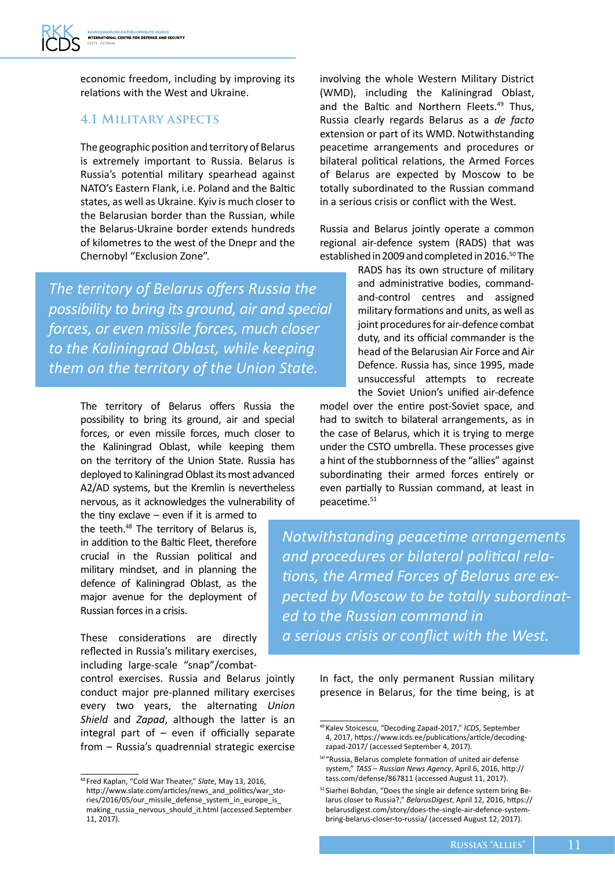economic freedom, including by improving its relations with the West and Ukraine.

#### **4.1 Military aspects**

The geographic position and territory of Belarus is extremely important to Russia. Belarus is Russia's potential military spearhead against NATO's Eastern Flank, i.e. Poland and the Baltic states, as well as Ukraine. Kyiv is much closer to the Belarusian border than the Russian, while the Belarus-Ukraine border extends hundreds of kilometres to the west of the Dnepr and the Chernobyl "Exclusion Zone".

*The territory of Belarus offers Russia the possibility to bring its ground, air and special forces, or even missile forces, much closer to the Kaliningrad Oblast, while keeping them on the territory of the Union State.* 

> The territory of Belarus offers Russia the possibility to bring its ground, air and special forces, or even missile forces, much closer to the Kaliningrad Oblast, while keeping them on the territory of the Union State. Russia has deployed to Kaliningrad Oblast its most advanced A2/AD systems, but the Kremlin is nevertheless nervous, as it acknowledges the vulnerability of

the tiny exclave – even if it is armed to the teeth.<sup>48</sup> The territory of Belarus is, in addition to the Baltic Fleet, therefore crucial in the Russian political and military mindset, and in planning the defence of Kaliningrad Oblast, as the major avenue for the deployment of Russian forces in a crisis.

These considerations are directly reflected in Russia's military exercises, including large-scale "snap"/combat-

control exercises. Russia and Belarus jointly conduct major pre-planned military exercises every two years, the alternating *Union Shield* and *Zapad*, although the latter is an integral part of  $-$  even if officially separate from – Russia's quadrennial strategic exercise

involving the whole Western Military District (WMD), including the Kaliningrad Oblast, and the Baltic and Northern Fleets.<sup>49</sup> Thus, Russia clearly regards Belarus as a *de facto* extension or part of its WMD. Notwithstanding peacetime arrangements and procedures or bilateral political relations, the Armed Forces of Belarus are expected by Moscow to be totally subordinated to the Russian command in a serious crisis or conflict with the West.

Russia and Belarus jointly operate a common regional air-defence system (RADS) that was established in 2009 and completed in 2016.<sup>50</sup> The

> RADS has its own structure of military and administrative bodies, commandand-control centres and assigned military formations and units, as well as joint procedures for air-defence combat duty, and its official commander is the head of the Belarusian Air Force and Air Defence. Russia has, since 1995, made unsuccessful attempts to recreate the Soviet Union's unified air-defence

model over the entire post-Soviet space, and had to switch to bilateral arrangements, as in the case of Belarus, which it is trying to merge under the CSTO umbrella. These processes give a hint of the stubbornness of the "allies" against subordinating their armed forces entirely or even partially to Russian command, at least in peacetime.<sup>51</sup>

*Notwithstanding peacetime arrangements and procedures or bilateral political relations, the Armed Forces of Belarus are expected by Moscow to be totally subordinated to the Russian command in a serious crisis or conflict with the West.* 

> In fact, the only permanent Russian military presence in Belarus, for the time being, is at

<sup>48</sup> Fred Kaplan, "Cold War Theater," *Slate*, May 13, 2016, http://www.slate.com/articles/news\_and\_politics/war\_stories/2016/05/our\_missile\_defense\_system\_in\_europe\_is\_ making\_russia\_nervous\_should\_it.html (accessed September 11, 2017).

<sup>49</sup>Kalev Stoicescu, "Decoding Zapad-2017," *ICDS*, September 4, 2017, https://www.icds.ee/publications/article/decodingzapad-2017/ (accessed September 4, 2017).

<sup>50</sup> "Russia, Belarus complete formation of united air defense system," *TASS* – *Russian News Agency*, April 6, 2016, http:// tass.com/defense/867811 (accessed August 11, 2017).

<sup>51</sup> Siarhei Bohdan, "Does the single air defence system bring Belarus closer to Russia?," *BelarusDigest*, April 12, 2016, https:// belarusdigest.com/story/does-the-single-air-defence-systembring-belarus-closer-to-russia/ (accessed August 12, 2017).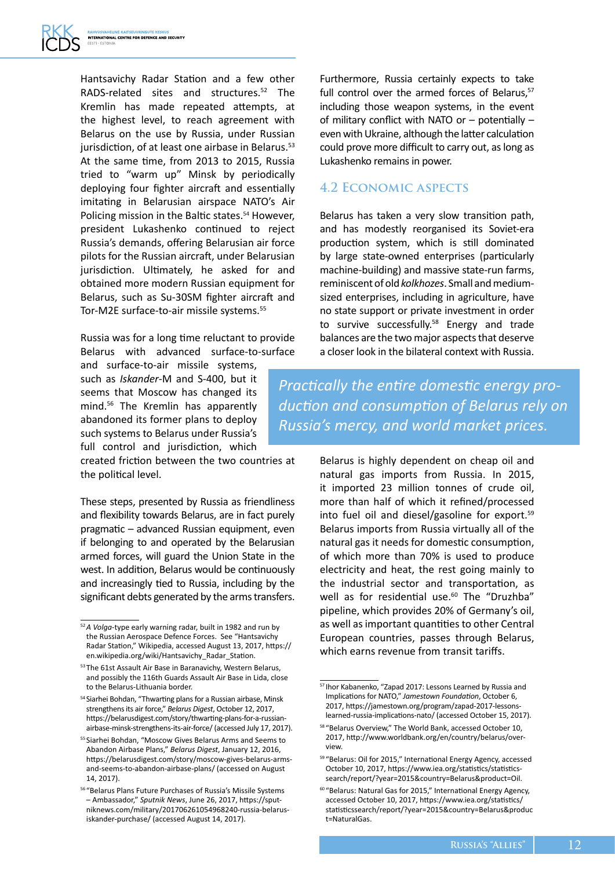

Hantsavichy Radar Station and a few other RADS-related sites and structures.52 The Kremlin has made repeated attempts, at the highest level, to reach agreement with Belarus on the use by Russia, under Russian jurisdiction, of at least one airbase in Belarus.<sup>53</sup> At the same time, from 2013 to 2015, Russia tried to "warm up" Minsk by periodically deploying four fighter aircraft and essentially imitating in Belarusian airspace NATO's Air Policing mission in the Baltic states.<sup>54</sup> However, president Lukashenko continued to reject Russia's demands, offering Belarusian air force pilots for the Russian aircraft, under Belarusian jurisdiction. Ultimately, he asked for and obtained more modern Russian equipment for Belarus, such as Su-30SM fighter aircraft and Tor-M2E surface-to-air missile systems.<sup>55</sup>

Russia was for a long time reluctant to provide Belarus with advanced surface-to-surface

and surface-to-air missile systems, such as *Iskander*-M and S-400, but it seems that Moscow has changed its mind.<sup>56</sup> The Kremlin has apparently abandoned its former plans to deploy such systems to Belarus under Russia's full control and jurisdiction, which

created friction between the two countries at the political level.

These steps, presented by Russia as friendliness and flexibility towards Belarus, are in fact purely pragmatic – advanced Russian equipment, even if belonging to and operated by the Belarusian armed forces, will guard the Union State in the west. In addition, Belarus would be continuously and increasingly tied to Russia, including by the significant debts generated by the arms transfers.

Furthermore, Russia certainly expects to take full control over the armed forces of Belarus,<sup>57</sup> including those weapon systems, in the event of military conflict with NATO or – potentially – even with Ukraine, although the latter calculation could prove more difficult to carry out, as long as Lukashenko remains in power.

#### **4.2 Economic aspects**

Belarus has taken a very slow transition path, and has modestly reorganised its Soviet-era production system, which is still dominated by large state-owned enterprises (particularly machine-building) and massive state-run farms, reminiscent of old *kolkhozes*. Small and mediumsized enterprises, including in agriculture, have no state support or private investment in order to survive successfully.<sup>58</sup> Energy and trade balances are the two major aspects that deserve a closer look in the bilateral context with Russia.

*Practically the entire domestic energy production and consumption of Belarus rely on Russia's mercy, and world market prices.* 

> Belarus is highly dependent on cheap oil and natural gas imports from Russia. In 2015, it imported 23 million tonnes of crude oil, more than half of which it refined/processed into fuel oil and diesel/gasoline for export.59 Belarus imports from Russia virtually all of the natural gas it needs for domestic consumption, of which more than 70% is used to produce electricity and heat, the rest going mainly to the industrial sector and transportation, as well as for residential use.<sup>60</sup> The "Druzhba" pipeline, which provides 20% of Germany's oil, as well as important quantities to other Central European countries, passes through Belarus, which earns revenue from transit tariffs.

<sup>52</sup>*A Volga*-type early warning radar, built in 1982 and run by the Russian Aerospace Defence Forces. See "Hantsavichy Radar Station," Wikipedia, accessed August 13, 2017, https:// en.wikipedia.org/wiki/Hantsavichy\_Radar\_Station.

<sup>53</sup> The 61st Assault Air Base in Baranavichy, Western Belarus, and possibly the 116th Guards Assault Air Base in Lida, close to the Belarus-Lithuania border.

<sup>&</sup>lt;sup>54</sup> Siarhei Bohdan, "Thwarting plans for a Russian airbase, Minsk strengthens its air force," *Belarus Digest*, October 12, 2017, https://belarusdigest.com/story/thwarting-plans-for-a-russianairbase-minsk-strengthens-its-air-force/ (accessed July 17, 2017).

<sup>55</sup> Siarhei Bohdan, "Moscow Gives Belarus Arms and Seems to Abandon Airbase Plans," *Belarus Digest*, January 12, 2016, https://belarusdigest.com/story/moscow-gives-belarus-armsand-seems-to-abandon-airbase-plans/ (accessed on August 14, 2017).

<sup>56</sup> "Belarus Plans Future Purchases of Russia's Missile Systems – Ambassador," *Sputnik News*, June 26, 2017, https://sputniknews.com/military/201706261054968240-russia-belarusiskander-purchase/ (accessed August 14, 2017).

<sup>57</sup> Ihor Kabanenko, "Zapad 2017: Lessons Learned by Russia and Implications for NATO," *Jamestown Foundation*, October 6, 2017, https://jamestown.org/program/zapad-2017-lessonslearned-russia-implications-nato/ (accessed October 15, 2017).

<sup>58</sup> "Belarus Overview," The World Bank, accessed October 10, 2017, http://www.worldbank.org/en/country/belarus/overview.

<sup>59</sup> "Belarus: Oil for 2015," International Energy Agency, accessed October 10, 2017, https://www.iea.org/statistics/statisticssearch/report/?year=2015&country=Belarus&product=Oil.

<sup>60</sup> "Belarus: Natural Gas for 2015," International Energy Agency, accessed October 10, 2017, https://www.iea.org/statistics/ statisticssearch/report/?year=2015&country=Belarus&produc t=NaturalGas.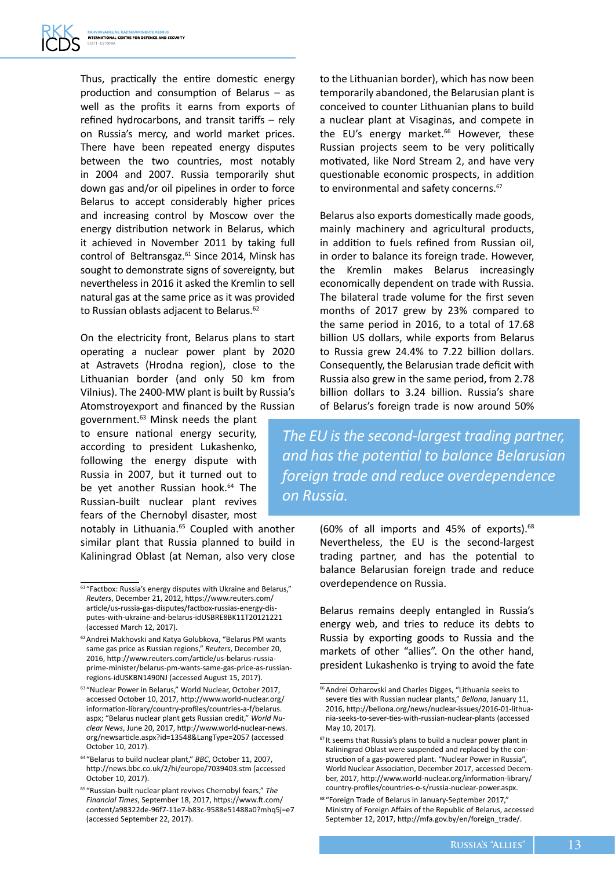Thus, practically the entire domestic energy production and consumption of Belarus – as well as the profits it earns from exports of refined hydrocarbons, and transit tariffs – rely on Russia's mercy, and world market prices. There have been repeated energy disputes between the two countries, most notably in 2004 and 2007. Russia temporarily shut down gas and/or oil pipelines in order to force Belarus to accept considerably higher prices and increasing control by Moscow over the energy distribution network in Belarus, which it achieved in November 2011 by taking full control of Beltransgaz.<sup>61</sup> Since 2014, Minsk has sought to demonstrate signs of sovereignty, but nevertheless in 2016 it asked the Kremlin to sell natural gas at the same price as it was provided to Russian oblasts adjacent to Belarus.<sup>62</sup>

On the electricity front, Belarus plans to start operating a nuclear power plant by 2020 at Astravets (Hrodna region), close to the Lithuanian border (and only 50 km from Vilnius). The 2400-MW plant is built by Russia's Atomstroyexport and financed by the Russian

government.63 Minsk needs the plant to ensure national energy security, according to president Lukashenko, following the energy dispute with Russia in 2007, but it turned out to be yet another Russian hook.<sup>64</sup> The Russian-built nuclear plant revives fears of the Chernobyl disaster, most

notably in Lithuania.<sup>65</sup> Coupled with another similar plant that Russia planned to build in Kaliningrad Oblast (at Neman, also very close

to the Lithuanian border), which has now been temporarily abandoned, the Belarusian plant is conceived to counter Lithuanian plans to build a nuclear plant at Visaginas, and compete in the EU's energy market. $66$  However, these Russian projects seem to be very politically motivated, like Nord Stream 2, and have very questionable economic prospects, in addition to environmental and safety concerns.<sup>67</sup>

Belarus also exports domestically made goods, mainly machinery and agricultural products, in addition to fuels refined from Russian oil, in order to balance its foreign trade. However, the Kremlin makes Belarus increasingly economically dependent on trade with Russia. The bilateral trade volume for the first seven months of 2017 grew by 23% compared to the same period in 2016, to a total of 17.68 billion US dollars, while exports from Belarus to Russia grew 24.4% to 7.22 billion dollars. Consequently, the Belarusian trade deficit with Russia also grew in the same period, from 2.78 billion dollars to 3.24 billion. Russia's share of Belarus's foreign trade is now around 50%

*The EU is the second-largest trading partner, and has the potential to balance Belarusian foreign trade and reduce overdependence on Russia.*

> (60% of all imports and 45% of exports).<sup>68</sup> Nevertheless, the EU is the second-largest trading partner, and has the potential to balance Belarusian foreign trade and reduce overdependence on Russia.

> Belarus remains deeply entangled in Russia's energy web, and tries to reduce its debts to Russia by exporting goods to Russia and the markets of other "allies". On the other hand, president Lukashenko is trying to avoid the fate

 $61$  "Factbox: Russia's energy disputes with Ukraine and Belarus," *Reuters*, December 21, 2012, https://www.reuters.com/ article/us-russia-gas-disputes/factbox-russias-energy-disputes-with-ukraine-and-belarus-idUSBRE8BK11T20121221 (accessed March 12, 2017).

<sup>&</sup>lt;sup>62</sup> Andrei Makhovski and Katya Golubkova, "Belarus PM wants same gas price as Russian regions," *Reuters*, December 20, 2016, http://www.reuters.com/article/us-belarus-russiaprime-minister/belarus-pm-wants-same-gas-price-as-russianregions-idUSKBN1490NJ (accessed August 15, 2017).

<sup>63</sup> "Nuclear Power in Belarus," World Nuclear, October 2017, accessed October 10, 2017, http://www.world-nuclear.org/ information-library/country-profiles/countries-a-f/belarus. aspx; "Belarus nuclear plant gets Russian credit," *World Nuclear News*, June 20, 2017, http://www.world-nuclear-news. org/newsarticle.aspx?id=13548&LangType=2057 (accessed October 10, 2017).

<sup>64</sup> "Belarus to build nuclear plant," *BBC*, October 11, 2007, http://news.bbc.co.uk/2/hi/europe/7039403.stm (accessed October 10, 2017).

<sup>65</sup> "Russian-built nuclear plant revives Chernobyl fears," *The Financial Times*, September 18, 2017, https://www.ft.com/ content/a98322de-96f7-11e7-b83c-9588e51488a0?mhq5j=e7 (accessed September 22, 2017).

<sup>&</sup>lt;sup>66</sup> Andrei Ozharovski and Charles Digges, "Lithuania seeks to severe ties with Russian nuclear plants," *Bellona*, January 11, 2016, http://bellona.org/news/nuclear-issues/2016-01-lithuania-seeks-to-sever-ties-with-russian-nuclear-plants (accessed May 10, 2017).

<sup>&</sup>lt;sup>67</sup> It seems that Russia's plans to build a nuclear power plant in Kaliningrad Oblast were suspended and replaced by the construction of a gas-powered plant. "Nuclear Power in Russia", World Nuclear Association, December 2017, accessed December, 2017, http://www.world-nuclear.org/information-library/ country-profiles/countries-o-s/russia-nuclear-power.aspx.

<sup>&</sup>lt;sup>68</sup> "Foreign Trade of Belarus in January-September 2017," Ministry of Foreign Affairs of the Republic of Belarus, accessed September 12, 2017, http://mfa.gov.by/en/foreign\_trade/.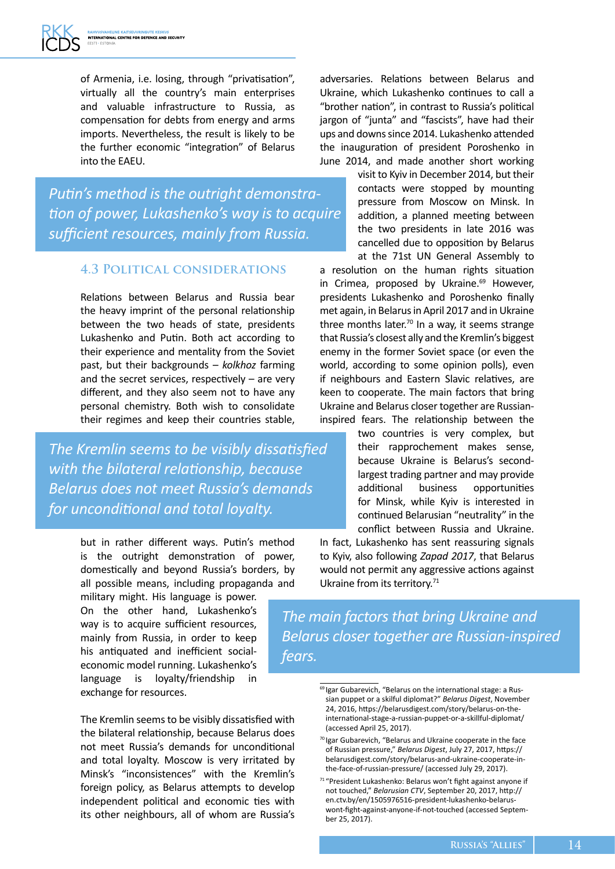of Armenia, i.e. losing, through "privatisation", virtually all the country's main enterprises and valuable infrastructure to Russia, as compensation for debts from energy and arms imports. Nevertheless, the result is likely to be the further economic "integration" of Belarus into the EAEU.

*Putin's method is the outright demonstration of power, Lukashenko's way is to acquire sufficient resources, mainly from Russia.* 

#### **4.3 Political considerations**

Relations between Belarus and Russia bear the heavy imprint of the personal relationship between the two heads of state, presidents Lukashenko and Putin. Both act according to their experience and mentality from the Soviet past, but their backgrounds – *kolkhoz* farming and the secret services, respectively – are very different, and they also seem not to have any personal chemistry. Both wish to consolidate their regimes and keep their countries stable,

*The Kremlin seems to be visibly dissatisfied with the bilateral relationship, because Belarus does not meet Russia's demands for unconditional and total loyalty.* 

> but in rather different ways. Putin's method is the outright demonstration of power, domestically and beyond Russia's borders, by all possible means, including propaganda and

military might. His language is power. On the other hand, Lukashenko's way is to acquire sufficient resources, mainly from Russia, in order to keep his antiquated and inefficient socialeconomic model running. Lukashenko's language is loyalty/friendship in exchange for resources.

The Kremlin seems to be visibly dissatisfied with the bilateral relationship, because Belarus does not meet Russia's demands for unconditional and total loyalty. Moscow is very irritated by Minsk's "inconsistences" with the Kremlin's foreign policy, as Belarus attempts to develop independent political and economic ties with its other neighbours, all of whom are Russia's

adversaries. Relations between Belarus and Ukraine, which Lukashenko continues to call a "brother nation", in contrast to Russia's political jargon of "junta" and "fascists", have had their ups and downs since 2014. Lukashenko attended the inauguration of president Poroshenko in June 2014, and made another short working

> visit to Kyiv in December 2014, but their contacts were stopped by mounting pressure from Moscow on Minsk. In addition, a planned meeting between the two presidents in late 2016 was cancelled due to opposition by Belarus at the 71st UN General Assembly to

a resolution on the human rights situation in Crimea, proposed by Ukraine.<sup>69</sup> However, presidents Lukashenko and Poroshenko finally met again, in Belarus in April 2017 and in Ukraine three months later. $70$  In a way, it seems strange that Russia's closest ally and the Kremlin's biggest enemy in the former Soviet space (or even the world, according to some opinion polls), even if neighbours and Eastern Slavic relatives, are keen to cooperate. The main factors that bring Ukraine and Belarus closer together are Russianinspired fears. The relationship between the

> two countries is very complex, but their rapprochement makes sense, because Ukraine is Belarus's secondlargest trading partner and may provide additional business opportunities for Minsk, while Kyiv is interested in continued Belarusian "neutrality" in the conflict between Russia and Ukraine.

In fact, Lukashenko has sent reassuring signals to Kyiv, also following *Zapad 2017*, that Belarus would not permit any aggressive actions against Ukraine from its territory.<sup>71</sup>

*The main factors that bring Ukraine and Belarus closer together are Russian-inspired fears.* 

- <sup>69</sup> Igar Gubarevich, "Belarus on the international stage: a Russian puppet or a skilful diplomat?" *Belarus Digest*, November 24, 2016, https://belarusdigest.com/story/belarus-on-theinternational-stage-a-russian-puppet-or-a-skillful-diplomat/ (accessed April 25, 2017).
- <sup>70</sup> Igar Gubarevich, "Belarus and Ukraine cooperate in the face of Russian pressure," *Belarus Digest*, July 27, 2017, https:// belarusdigest.com/story/belarus-and-ukraine-cooperate-inthe-face-of-russian-pressure/ (accessed July 29, 2017).
- <sup>71</sup> "President Lukashenko: Belarus won't fight against anyone if not touched," *Belarusian CTV*, September 20, 2017, http:// en.ctv.by/en/1505976516-president-lukashenko-belaruswont-fight-against-anyone-if-not-touched (accessed September 25, 2017).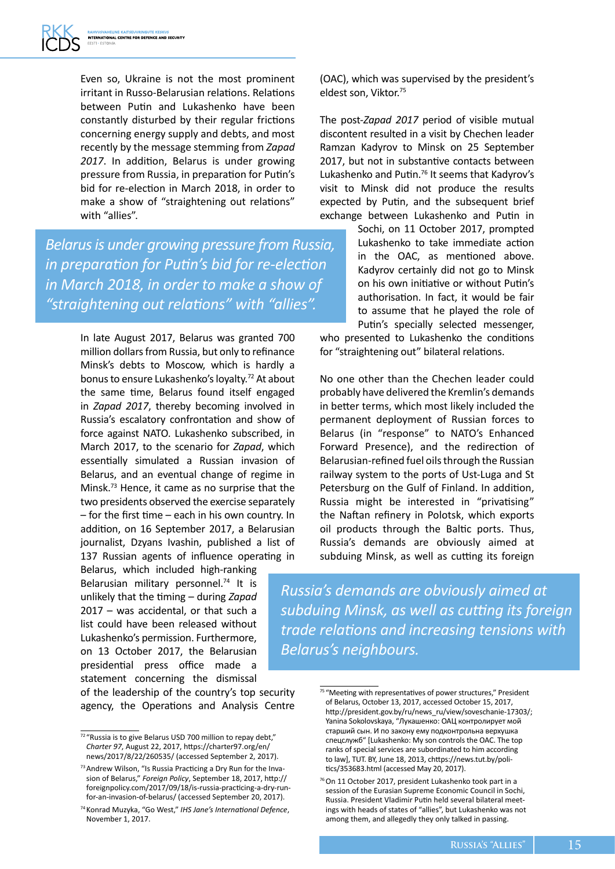Even so, Ukraine is not the most prominent irritant in Russo-Belarusian relations. Relations between Putin and Lukashenko have been constantly disturbed by their regular frictions concerning energy supply and debts, and most recently by the message stemming from *Zapad 2017*. In addition, Belarus is under growing pressure from Russia, in preparation for Putin's bid for re-election in March 2018, in order to make a show of "straightening out relations" with "allies".

*Belarus is under growing pressure from Russia, in preparation for Putin's bid for re-election in March 2018, in order to make a show of "straightening out relations" with "allies".* 

> In late August 2017, Belarus was granted 700 million dollars from Russia, but only to refinance Minsk's debts to Moscow, which is hardly a bonus to ensure Lukashenko's loyalty.72 At about the same time, Belarus found itself engaged in *Zapad 2017*, thereby becoming involved in Russia's escalatory confrontation and show of force against NATO. Lukashenko subscribed, in March 2017, to the scenario for *Zapad*, which essentially simulated a Russian invasion of Belarus, and an eventual change of regime in Minsk.73 Hence, it came as no surprise that the two presidents observed the exercise separately – for the first time – each in his own country. In addition, on 16 September 2017, a Belarusian journalist, Dzyans Ivashin, published a list of 137 Russian agents of influence operating in

Belarus, which included high-ranking Belarusian military personnel.<sup>74</sup> It is unlikely that the timing – during *Zapad*  2017 – was accidental, or that such a list could have been released without Lukashenko's permission. Furthermore, on 13 October 2017, the Belarusian presidential press office made a statement concerning the dismissal

of the leadership of the country's top security agency, the Operations and Analysis Centre

(OAC), which was supervised by the president's eldest son, Viktor.<sup>75</sup>

The post-*Zapad 2017* period of visible mutual discontent resulted in a visit by Chechen leader Ramzan Kadyrov to Minsk on 25 September 2017, but not in substantive contacts between Lukashenko and Putin.<sup>76</sup> It seems that Kadyrov's visit to Minsk did not produce the results expected by Putin, and the subsequent brief exchange between Lukashenko and Putin in

> Sochi, on 11 October 2017, prompted Lukashenko to take immediate action in the OAC, as mentioned above. Kadyrov certainly did not go to Minsk on his own initiative or without Putin's authorisation. In fact, it would be fair to assume that he played the role of Putin's specially selected messenger,

who presented to Lukashenko the conditions for "straightening out" bilateral relations.

No one other than the Chechen leader could probably have delivered the Kremlin's demands in better terms, which most likely included the permanent deployment of Russian forces to Belarus (in "response" to NATO's Enhanced Forward Presence), and the redirection of Belarusian-refined fuel oils through the Russian railway system to the ports of Ust-Luga and St Petersburg on the Gulf of Finland. In addition, Russia might be interested in "privatising" the Naftan refinery in Polotsk, which exports oil products through the Baltic ports. Thus, Russia's demands are obviously aimed at subduing Minsk, as well as cutting its foreign

*Russia's demands are obviously aimed at subduing Minsk, as well as cutting its foreign trade relations and increasing tensions with Belarus's neighbours.* 

<sup>72 &</sup>quot;Russia is to give Belarus USD 700 million to repay debt," *Charter 97*, August 22, 2017, https://charter97.org/en/ news/2017/8/22/260535/ (accessed September 2, 2017).

<sup>73</sup> Andrew Wilson, "Is Russia Practicing a Dry Run for the Invasion of Belarus," *Foreign Policy*, September 18, 2017, http:// foreignpolicy.com/2017/09/18/is-russia-practicing-a-dry-runfor-an-invasion-of-belarus/ (accessed September 20, 2017).

<sup>74</sup>Konrad Muzyka, "Go West," *IHS Jane's International Defence*, November 1, 2017.

<sup>75 &</sup>quot;Meeting with representatives of power structures," President of Belarus, October 13, 2017, accessed October 15, 2017, http://president.gov.by/ru/news\_ru/view/soveschanie-17303/; Yanina Sokolovskaya, "Лукашенко: ОАЦ контролирует мой старший сын. И по закону ему подконтрольна верхушка спецслужб" [Lukashenko: My son controls the OAC. The top ranks of special services are subordinated to him according to law], TUT. BY, June 18, 2013, chttps://news.tut.by/politics/353683.html (accessed May 20, 2017).

<sup>76</sup>On 11 October 2017, president Lukashenko took part in a session of the Eurasian Supreme Economic Council in Sochi, Russia. President Vladimir Putin held several bilateral meetings with heads of states of "allies", but Lukashenko was not among them, and allegedly they only talked in passing.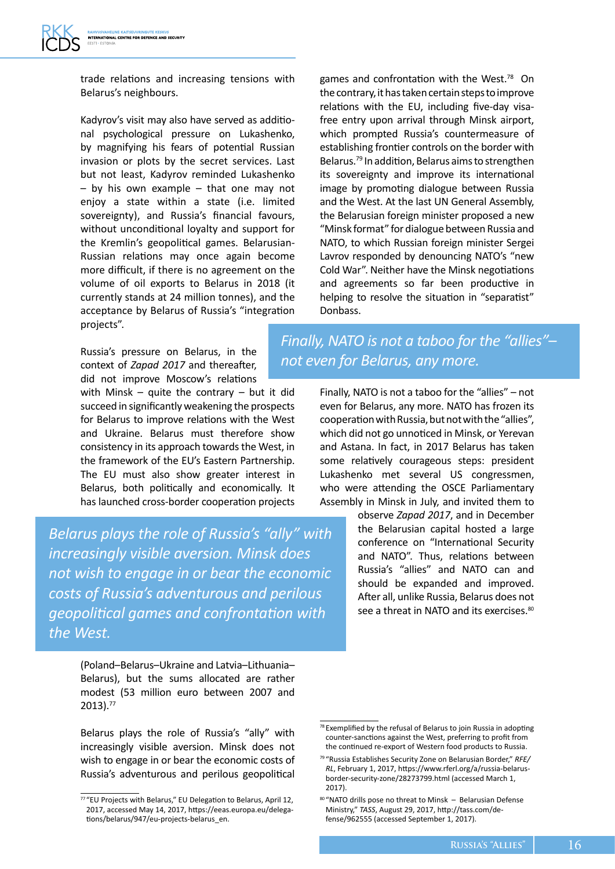trade relations and increasing tensions with Belarus's neighbours.

Kadyrov's visit may also have served as additional psychological pressure on Lukashenko, by magnifying his fears of potential Russian invasion or plots by the secret services. Last but not least, Kadyrov reminded Lukashenko – by his own example – that one may not enjoy a state within a state (i.e. limited sovereignty), and Russia's financial favours, without unconditional loyalty and support for the Kremlin's geopolitical games. Belarusian-Russian relations may once again become more difficult, if there is no agreement on the volume of oil exports to Belarus in 2018 (it currently stands at 24 million tonnes), and the acceptance by Belarus of Russia's "integration projects".

Russia's pressure on Belarus, in the context of *Zapad 2017* and thereafter, did not improve Moscow's relations

with Minsk – quite the contrary – but it did succeed in significantly weakening the prospects for Belarus to improve relations with the West and Ukraine. Belarus must therefore show consistency in its approach towards the West, in the framework of the EU's Eastern Partnership. The EU must also show greater interest in Belarus, both politically and economically. It has launched cross-border cooperation projects

*Belarus plays the role of Russia's "ally" with increasingly visible aversion. Minsk does not wish to engage in or bear the economic costs of Russia's adventurous and perilous geopolitical games and confrontation with the West.* 

> (Poland–Belarus–Ukraine and Latvia–Lithuania– Belarus), but the sums allocated are rather modest (53 million euro between 2007 and 2013).77

> Belarus plays the role of Russia's "ally" with increasingly visible aversion. Minsk does not wish to engage in or bear the economic costs of Russia's adventurous and perilous geopolitical

games and confrontation with the West.<sup>78</sup> On the contrary, it has taken certain steps to improve relations with the EU, including five-day visafree entry upon arrival through Minsk airport, which prompted Russia's countermeasure of establishing frontier controls on the border with Belarus.79 In addition, Belarus aims to strengthen its sovereignty and improve its international image by promoting dialogue between Russia and the West. At the last UN General Assembly, the Belarusian foreign minister proposed a new "Minsk format" for dialogue between Russia and NATO, to which Russian foreign minister Sergei Lavrov responded by denouncing NATO's "new Cold War". Neither have the Minsk negotiations and agreements so far been productive in helping to resolve the situation in "separatist" Donbass.

*Finally, NATO is not a taboo for the "allies"– not even for Belarus, any more.* 

> Finally, NATO is not a taboo for the "allies" – not even for Belarus, any more. NATO has frozen its cooperation with Russia, but not with the "allies", which did not go unnoticed in Minsk, or Yerevan and Astana. In fact, in 2017 Belarus has taken some relatively courageous steps: president Lukashenko met several US congressmen, who were attending the OSCE Parliamentary Assembly in Minsk in July, and invited them to

> > observe *Zapad 2017*, and in December the Belarusian capital hosted a large conference on "International Security and NATO". Thus, relations between Russia's "allies" and NATO can and should be expanded and improved. After all, unlike Russia, Belarus does not see a threat in NATO and its exercises.<sup>80</sup>

 $\overline{77}$  "EU Projects with Belarus," EU Delegation to Belarus, April 12, 2017, accessed May 14, 2017, https://eeas.europa.eu/delegations/belarus/947/eu-projects-belarus\_en.

 $78$  Exemplified by the refusal of Belarus to join Russia in adopting counter-sanctions against the West, preferring to profit from the continued re-export of Western food products to Russia.

<sup>79</sup> "Russia Establishes Security Zone on Belarusian Border," *RFE/ RL*, February 1, 2017, https://www.rferl.org/a/russia-belarusborder-security-zone/28273799.html (accessed March 1, 2017).

<sup>80 &</sup>quot;NATO drills pose no threat to Minsk - Belarusian Defense Ministry," *TASS*, August 29, 2017, http://tass.com/defense/962555 (accessed September 1, 2017).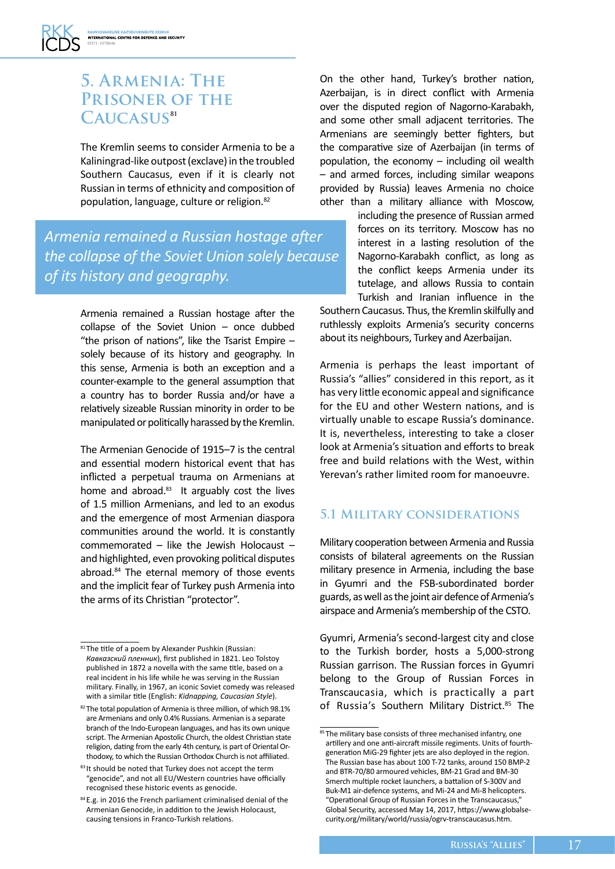### **5. Armenia: The PRISONER OF THE** CAUCASUS<sup>81</sup>

The Kremlin seems to consider Armenia to be a Kaliningrad-like outpost (exclave) in the troubled Southern Caucasus, even if it is clearly not Russian in terms of ethnicity and composition of population, language, culture or religion.82

*Armenia remained a Russian hostage after the collapse of the Soviet Union solely because of its history and geography.*

> Armenia remained a Russian hostage after the collapse of the Soviet Union – once dubbed "the prison of nations", like the Tsarist Empire  $$ solely because of its history and geography. In this sense, Armenia is both an exception and a counter-example to the general assumption that a country has to border Russia and/or have a relatively sizeable Russian minority in order to be manipulated or politically harassed by the Kremlin.

> The Armenian Genocide of 1915–7 is the central and essential modern historical event that has inflicted a perpetual trauma on Armenians at home and abroad.<sup>83</sup> It arguably cost the lives of 1.5 million Armenians, and led to an exodus and the emergence of most Armenian diaspora communities around the world. It is constantly commemorated – like the Jewish Holocaust – and highlighted, even provoking political disputes abroad.<sup>84</sup> The eternal memory of those events and the implicit fear of Turkey push Armenia into the arms of its Christian "protector".

On the other hand, Turkey's brother nation, Azerbaijan, is in direct conflict with Armenia over the disputed region of Nagorno-Karabakh, and some other small adjacent territories. The Armenians are seemingly better fighters, but the comparative size of Azerbaijan (in terms of population, the economy – including oil wealth – and armed forces, including similar weapons provided by Russia) leaves Armenia no choice other than a military alliance with Moscow,

> including the presence of Russian armed forces on its territory. Moscow has no interest in a lasting resolution of the Nagorno-Karabakh conflict, as long as the conflict keeps Armenia under its tutelage, and allows Russia to contain Turkish and Iranian influence in the

Southern Caucasus. Thus, the Kremlin skilfully and ruthlessly exploits Armenia's security concerns about its neighbours, Turkey and Azerbaijan.

Armenia is perhaps the least important of Russia's "allies" considered in this report, as it has very little economic appeal and significance for the EU and other Western nations, and is virtually unable to escape Russia's dominance. It is, nevertheless, interesting to take a closer look at Armenia's situation and efforts to break free and build relations with the West, within Yerevan's rather limited room for manoeuvre.

#### **5.1 Military considerations**

Military cooperation between Armenia and Russia consists of bilateral agreements on the Russian military presence in Armenia, including the base in Gyumri and the FSB-subordinated border guards, as well as the joint air defence of Armenia's airspace and Armenia's membership of the CSTO.

Gyumri, Armenia's second-largest city and close to the Turkish border, hosts a 5,000-strong Russian garrison. The Russian forces in Gyumri belong to the Group of Russian Forces in Transcaucasia, which is practically a part of Russia's Southern Military District.<sup>85</sup> The

<sup>81</sup> The title of a poem by Alexander Pushkin (Russian: *Кавказский пленник*), first published in 1821. Leo Tolstoy published in 1872 a novella with the same title, based on a real incident in his life while he was serving in the Russian military. Finally, in 1967, an iconic Soviet comedy was released with a similar title (English: *Kidnapping, Caucasian Style*).

<sup>82</sup> The total population of Armenia is three million, of which 98.1% are Armenians and only 0.4% Russians. Armenian is a separate branch of the Indo-European languages, and has its own unique script. The Armenian Apostolic Church, the oldest Christian state religion, dating from the early 4th century, is part of Oriental Orthodoxy, to which the Russian Orthodox Church is not affiliated.

<sup>83</sup> It should be noted that Turkey does not accept the term "genocide", and not all EU/Western countries have officially recognised these historic events as genocide.

<sup>84</sup> E.g. in 2016 the French parliament criminalised denial of the Armenian Genocide, in addition to the Jewish Holocaust, causing tensions in Franco-Turkish relations.

<sup>85</sup> The military base consists of three mechanised infantry, one artillery and one anti-aircraft missile regiments. Units of fourthgeneration MiG-29 fighter jets are also deployed in the region. The Russian base has about 100 T-72 tanks, around 150 BMP-2 and BTR-70/80 armoured vehicles, BM-21 Grad and BM-30 Smerch multiple rocket launchers, a battalion of S-300V and Buk-M1 air-defence systems, and Mi-24 and Mi-8 helicopters. "Operational Group of Russian Forces in the Transcaucasus," Global Security, accessed May 14, 2017, https://www.globalsecurity.org/military/world/russia/ogrv-transcaucasus.htm.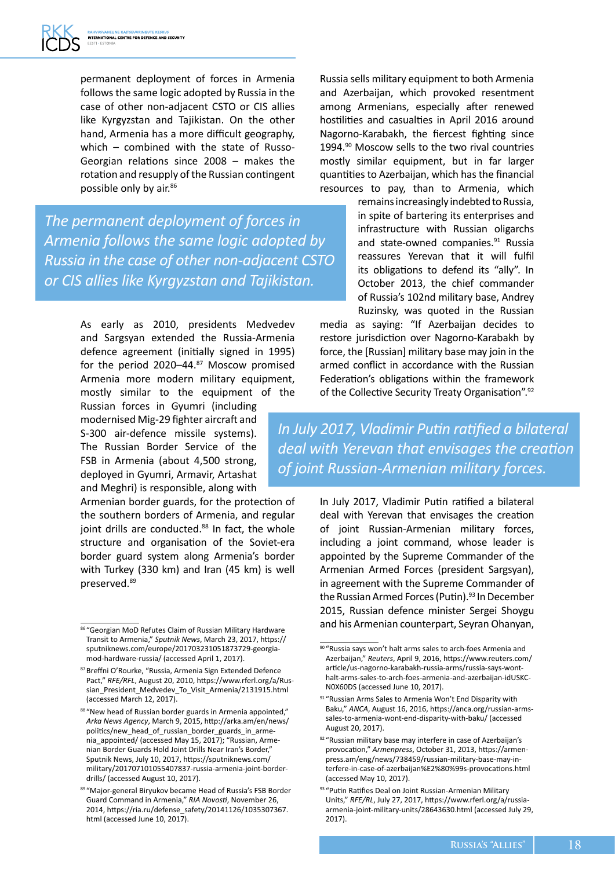permanent deployment of forces in Armenia follows the same logic adopted by Russia in the case of other non-adjacent CSTO or CIS allies like Kyrgyzstan and Tajikistan. On the other hand, Armenia has a more difficult geography, which – combined with the state of Russo-Georgian relations since 2008 – makes the rotation and resupply of the Russian contingent possible only by air.<sup>86</sup>

*The permanent deployment of forces in Armenia follows the same logic adopted by Russia in the case of other non-adjacent CSTO or CIS allies like Kyrgyzstan and Tajikistan.*

> As early as 2010, presidents Medvedev and Sargsyan extended the Russia-Armenia defence agreement (initially signed in 1995) for the period 2020-44.87 Moscow promised Armenia more modern military equipment, mostly similar to the equipment of the

Russian forces in Gyumri (including modernised Mig-29 fighter aircraft and S-300 air-defence missile systems). The Russian Border Service of the FSB in Armenia (about 4,500 strong, deployed in Gyumri, Armavir, Artashat and Meghri) is responsible, along with

Armenian border guards, for the protection of the southern borders of Armenia, and regular joint drills are conducted.<sup>88</sup> In fact, the whole structure and organisation of the Soviet-era border guard system along Armenia's border with Turkey (330 km) and Iran (45 km) is well preserved.<sup>89</sup>

Russia sells military equipment to both Armenia and Azerbaijan, which provoked resentment among Armenians, especially after renewed hostilities and casualties in April 2016 around Nagorno-Karabakh, the fiercest fighting since 1994.<sup>90</sup> Moscow sells to the two rival countries mostly similar equipment, but in far larger quantities to Azerbaijan, which has the financial resources to pay, than to Armenia, which

> remains increasingly indebted to Russia, in spite of bartering its enterprises and infrastructure with Russian oligarchs and state-owned companies.<sup>91</sup> Russia reassures Yerevan that it will fulfil its obligations to defend its "ally". In October 2013, the chief commander of Russia's 102nd military base, Andrey Ruzinsky, was quoted in the Russian

media as saying: "If Azerbaijan decides to restore jurisdiction over Nagorno-Karabakh by force, the [Russian] military base may join in the armed conflict in accordance with the Russian Federation's obligations within the framework of the Collective Security Treaty Organisation".92

*In July 2017, Vladimir Putin ratified a bilateral deal with Yerevan that envisages the creation of joint Russian-Armenian military forces.*

> In July 2017, Vladimir Putin ratified a bilateral deal with Yerevan that envisages the creation of joint Russian-Armenian military forces, including a joint command, whose leader is appointed by the Supreme Commander of the Armenian Armed Forces (president Sargsyan), in agreement with the Supreme Commander of the Russian Armed Forces (Putin).<sup>93</sup> In December 2015, Russian defence minister Sergei Shoygu and his Armenian counterpart, Seyran Ohanyan,

<sup>86 &</sup>quot;Georgian MoD Refutes Claim of Russian Military Hardware Transit to Armenia," *Sputnik News*, March 23, 2017, https:// sputniknews.com/europe/201703231051873729-georgiamod-hardware-russia/ (accessed April 1, 2017).

<sup>87</sup> Breffni O'Rourke, "Russia, Armenia Sign Extended Defence Pact," *RFE/RFL*, August 20, 2010, https://www.rferl.org/a/Russian\_President\_Medvedev\_To\_Visit\_Armenia/2131915.html (accessed March 12, 2017).

<sup>88 &</sup>quot;New head of Russian border guards in Armenia appointed," *Arka News Agency*, March 9, 2015, http://arka.am/en/news/ politics/new\_head\_of\_russian\_border\_guards\_in\_armenia\_appointed/ (accessed May 15, 2017); "Russian, Armenian Border Guards Hold Joint Drills Near Iran's Border," Sputnik News, July 10, 2017, https://sputniknews.com/ military/201707101055407837-russia-armenia-joint-borderdrills/ (accessed August 10, 2017).

<sup>89 &</sup>quot;Major-general Biryukov became Head of Russia's FSB Border Guard Command in Armenia," *RIA Novosti*, November 26, 2014, https://ria.ru/defense\_safety/20141126/1035307367. html (accessed June 10, 2017).

<sup>90 &</sup>quot;Russia says won't halt arms sales to arch-foes Armenia and Azerbaijan," *Reuters*, April 9, 2016, https://www.reuters.com/ article/us-nagorno-karabakh-russia-arms/russia-says-wonthalt-arms-sales-to-arch-foes-armenia-and-azerbaijan-idUSKC-N0X60DS (accessed June 10, 2017).

<sup>&</sup>lt;sup>91</sup> "Russian Arms Sales to Armenia Won't End Disparity with Baku," *ANCA*, August 16, 2016, https://anca.org/russian-armssales-to-armenia-wont-end-disparity-with-baku/ (accessed August 20, 2017).

<sup>92 &</sup>quot;Russian military base may interfere in case of Azerbaijan's provocation," *Armenpress*, October 31, 2013, https://armenpress.am/eng/news/738459/russian-military-base-may-interfere-in-case-of-azerbaijan%E2%80%99s-provocations.html (accessed May 10, 2017).

<sup>93 &</sup>quot;Putin Ratifies Deal on Joint Russian-Armenian Military Units," *RFE/RL*, July 27, 2017, https://www.rferl.org/a/russiaarmenia-joint-military-units/28643630.html (accessed July 29, 2017).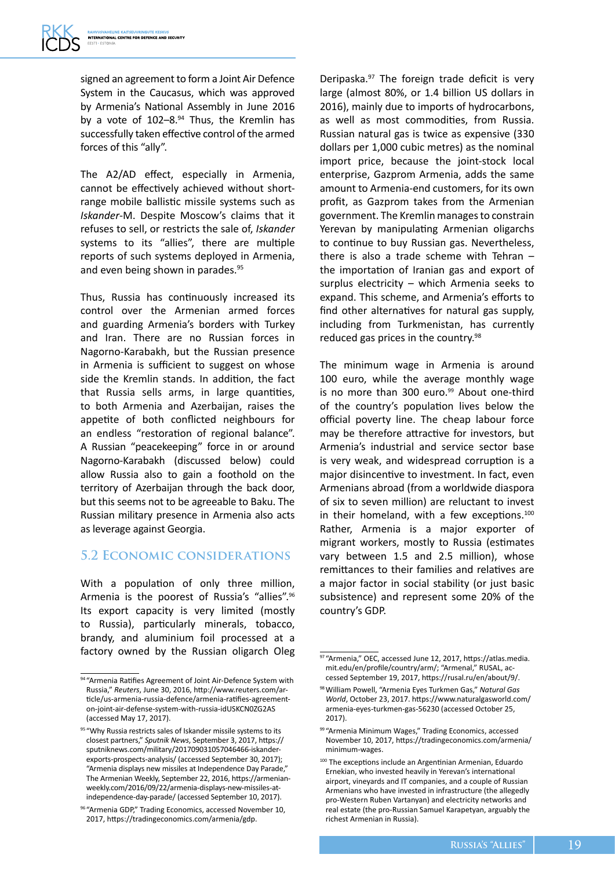signed an agreement to form a Joint Air Defence System in the Caucasus, which was approved by Armenia's National Assembly in June 2016 by a vote of  $102-8$ .<sup>94</sup> Thus, the Kremlin has successfully taken effective control of the armed forces of this "ally".

The A2/AD effect, especially in Armenia, cannot be effectively achieved without shortrange mobile ballistic missile systems such as *Iskander*-M. Despite Moscow's claims that it refuses to sell, or restricts the sale of, *Iskander* systems to its "allies", there are multiple reports of such systems deployed in Armenia, and even being shown in parades.<sup>95</sup>

Thus, Russia has continuously increased its control over the Armenian armed forces and guarding Armenia's borders with Turkey and Iran. There are no Russian forces in Nagorno-Karabakh, but the Russian presence in Armenia is sufficient to suggest on whose side the Kremlin stands. In addition, the fact that Russia sells arms, in large quantities, to both Armenia and Azerbaijan, raises the appetite of both conflicted neighbours for an endless "restoration of regional balance". A Russian "peacekeeping" force in or around Nagorno-Karabakh (discussed below) could allow Russia also to gain a foothold on the territory of Azerbaijan through the back door, but this seems not to be agreeable to Baku. The Russian military presence in Armenia also acts as leverage against Georgia.

#### **5.2 Economic considerations**

With a population of only three million, Armenia is the poorest of Russia's "allies".<sup>96</sup> Its export capacity is very limited (mostly to Russia), particularly minerals, tobacco, brandy, and aluminium foil processed at a factory owned by the Russian oligarch Oleg

Deripaska.<sup>97</sup> The foreign trade deficit is very large (almost 80%, or 1.4 billion US dollars in 2016), mainly due to imports of hydrocarbons, as well as most commodities, from Russia. Russian natural gas is twice as expensive (330 dollars per 1,000 cubic metres) as the nominal import price, because the joint-stock local enterprise, Gazprom Armenia, adds the same amount to Armenia-end customers, for its own profit, as Gazprom takes from the Armenian government. The Kremlin manages to constrain Yerevan by manipulating Armenian oligarchs to continue to buy Russian gas. Nevertheless, there is also a trade scheme with Tehran – the importation of Iranian gas and export of surplus electricity – which Armenia seeks to expand. This scheme, and Armenia's efforts to find other alternatives for natural gas supply, including from Turkmenistan, has currently reduced gas prices in the country.<sup>98</sup>

The minimum wage in Armenia is around 100 euro, while the average monthly wage is no more than 300 euro.<sup>99</sup> About one-third of the country's population lives below the official poverty line. The cheap labour force may be therefore attractive for investors, but Armenia's industrial and service sector base is very weak, and widespread corruption is a major disincentive to investment. In fact, even Armenians abroad (from a worldwide diaspora of six to seven million) are reluctant to invest in their homeland, with a few exceptions. $100$ Rather, Armenia is a major exporter of migrant workers, mostly to Russia (estimates vary between 1.5 and 2.5 million), whose remittances to their families and relatives are a major factor in social stability (or just basic subsistence) and represent some 20% of the country's GDP.

<sup>94 &</sup>quot;Armenia Ratifies Agreement of Joint Air-Defence System with Russia," *Reuters*, June 30, 2016, http://www.reuters.com/article/us-armenia-russia-defence/armenia-ratifies-agreementon-joint-air-defense-system-with-russia-idUSKCN0ZG2AS (accessed May 17, 2017).

<sup>95 &</sup>quot;Whv Russia restricts sales of Iskander missile systems to its closest partners," *Sputnik News*, September 3, 2017, https:// sputniknews.com/military/201709031057046466-iskanderexports-prospects-analysis/ (accessed September 30, 2017); "Armenia displays new missiles at Independence Day Parade," The Armenian Weekly, September 22, 2016, https://armenianweekly.com/2016/09/22/armenia-displays-new-missiles-atindependence-day-parade/ (accessed September 10, 2017).

<sup>96 &</sup>quot;Armenia GDP," Trading Economics, accessed November 10, 2017, https://tradingeconomics.com/armenia/gdp.

<sup>97</sup> "Armenia," OEC, accessed June 12, 2017, https://atlas.media. mit.edu/en/profile/country/arm/; "Armenal," RUSAL, accessed September 19, 2017, https://rusal.ru/en/about/9/.

<sup>98</sup>William Powell, "Armenia Eyes Turkmen Gas," *Natural Gas World*, October 23, 2017. https://www.naturalgasworld.com/ armenia-eyes-turkmen-gas-56230 (accessed October 25, 2017).

<sup>99 &</sup>quot;Armenia Minimum Wages," Trading Economics, accessed November 10, 2017, https://tradingeconomics.com/armenia/ minimum-wages.

<sup>100</sup> The exceptions include an Argentinian Armenian, Eduardo Ernekian, who invested heavily in Yerevan's international airport, vineyards and IT companies, and a couple of Russian Armenians who have invested in infrastructure (the allegedly pro-Western Ruben Vartanyan) and electricity networks and real estate (the pro-Russian Samuel Karapetyan, arguably the richest Armenian in Russia).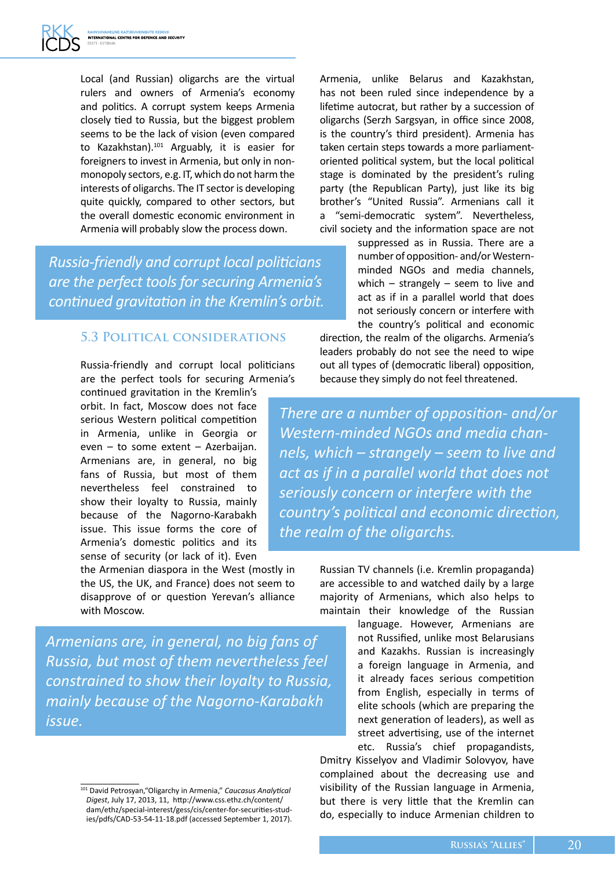

Local (and Russian) oligarchs are the virtual rulers and owners of Armenia's economy and politics. A corrupt system keeps Armenia closely tied to Russia, but the biggest problem seems to be the lack of vision (even compared to Kazakhstan).101 Arguably, it is easier for foreigners to invest in Armenia, but only in nonmonopoly sectors, e.g. IT, which do not harm the interests of oligarchs. The IT sector is developing quite quickly, compared to other sectors, but the overall domestic economic environment in Armenia will probably slow the process down.

*Russia-friendly and corrupt local politicians are the perfect tools for securing Armenia's continued gravitation in the Kremlin's orbit.* 

#### **5.3 Political considerations**

Russia-friendly and corrupt local politicians are the perfect tools for securing Armenia's

continued gravitation in the Kremlin's orbit. In fact, Moscow does not face serious Western political competition in Armenia, unlike in Georgia or even – to some extent – Azerbaijan. Armenians are, in general, no big fans of Russia, but most of them nevertheless feel constrained to show their loyalty to Russia, mainly because of the Nagorno-Karabakh issue. This issue forms the core of Armenia's domestic politics and its sense of security (or lack of it). Even

the Armenian diaspora in the West (mostly in the US, the UK, and France) does not seem to disapprove of or question Yerevan's alliance with Moscow.

*Armenians are, in general, no big fans of Russia, but most of them nevertheless feel constrained to show their loyalty to Russia, mainly because of the Nagorno-Karabakh issue.* 

Armenia, unlike Belarus and Kazakhstan, has not been ruled since independence by a lifetime autocrat, but rather by a succession of oligarchs (Serzh Sargsyan, in office since 2008, is the country's third president). Armenia has taken certain steps towards a more parliamentoriented political system, but the local political stage is dominated by the president's ruling party (the Republican Party), just like its big brother's "United Russia". Armenians call it a "semi-democratic system". Nevertheless, civil society and the information space are not

> suppressed as in Russia. There are a number of opposition- and/or Westernminded NGOs and media channels, which  $-$  strangely  $-$  seem to live and act as if in a parallel world that does not seriously concern or interfere with the country's political and economic

direction, the realm of the oligarchs. Armenia's leaders probably do not see the need to wipe out all types of (democratic liberal) opposition, because they simply do not feel threatened.

*There are a number of opposition- and/or Western-minded NGOs and media channels, which – strangely – seem to live and act as if in a parallel world that does not seriously concern or interfere with the country's political and economic direction, the realm of the oligarchs.* 

> Russian TV channels (i.e. Kremlin propaganda) are accessible to and watched daily by a large majority of Armenians, which also helps to maintain their knowledge of the Russian

> > language. However, Armenians are not Russified, unlike most Belarusians and Kazakhs. Russian is increasingly a foreign language in Armenia, and it already faces serious competition from English, especially in terms of elite schools (which are preparing the next generation of leaders), as well as street advertising, use of the internet etc. Russia's chief propagandists,

Dmitry Kisselyov and Vladimir Solovyov, have complained about the decreasing use and visibility of the Russian language in Armenia, but there is very little that the Kremlin can do, especially to induce Armenian children to

<sup>101</sup> David Petrosyan,"Oligarchy in Armenia," *Caucasus Analytical Digest*, July 17, 2013, 11, http://www.css.ethz.ch/content/ dam/ethz/special-interest/gess/cis/center-for-securities-studies/pdfs/CAD-53-54-11-18.pdf (accessed September 1, 2017).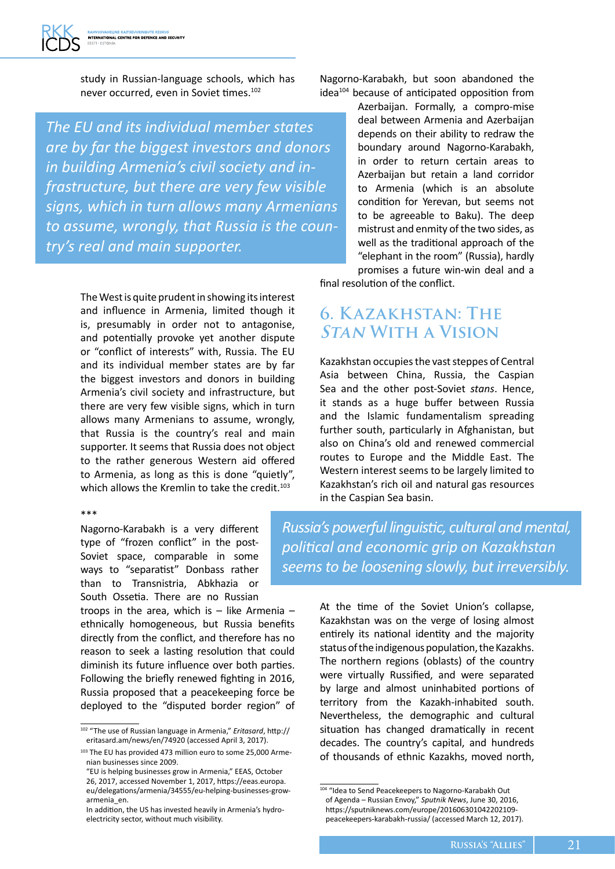study in Russian-language schools, which has never occurred, even in Soviet times.102

*The EU and its individual member states are by far the biggest investors and donors in building Armenia's civil society and infrastructure, but there are very few visible signs, which in turn allows many Armenians to assume, wrongly, that Russia is the country's real and main supporter.* 

Nagorno-Karabakh, but soon abandoned the idea<sup>104</sup> because of anticipated opposition from

> Azerbaijan. Formally, a compro-mise deal between Armenia and Azerbaijan depends on their ability to redraw the boundary around Nagorno-Karabakh, in order to return certain areas to Azerbaijan but retain a land corridor to Armenia (which is an absolute condition for Yerevan, but seems not to be agreeable to Baku). The deep mistrust and enmity of the two sides, as well as the traditional approach of the "elephant in the room" (Russia), hardly promises a future win-win deal and a

final resolution of the conflict.

#### The West is quite prudent in showing its interest and influence in Armenia, limited though it is, presumably in order not to antagonise, and potentially provoke yet another dispute or "conflict of interests" with, Russia. The EU and its individual member states are by far the biggest investors and donors in building Armenia's civil society and infrastructure, but there are very few visible signs, which in turn allows many Armenians to assume, wrongly, that Russia is the country's real and main supporter. It seems that Russia does not object to the rather generous Western aid offered to Armenia, as long as this is done "quietly", which allows the Kremlin to take the credit. $103$

#### \*\*\*

Nagorno-Karabakh is a very different type of "frozen conflict" in the post-Soviet space, comparable in some ways to "separatist" Donbass rather than to Transnistria, Abkhazia or South Ossetia. There are no Russian

troops in the area, which is  $-$  like Armenia  $$ ethnically homogeneous, but Russia benefits directly from the conflict, and therefore has no reason to seek a lasting resolution that could diminish its future influence over both parties. Following the briefly renewed fighting in 2016, Russia proposed that a peacekeeping force be deployed to the "disputed border region" of

### **6. Kazakhstan: The Stan With a Vision**

Kazakhstan occupies the vast steppes of Central Asia between China, Russia, the Caspian Sea and the other post-Soviet *stans*. Hence, it stands as a huge buffer between Russia and the Islamic fundamentalism spreading further south, particularly in Afghanistan, but also on China's old and renewed commercial routes to Europe and the Middle East. The Western interest seems to be largely limited to Kazakhstan's rich oil and natural gas resources in the Caspian Sea basin.

*Russia's powerful linguistic, cultural and mental, political and economic grip on Kazakhstan seems to be loosening slowly, but irreversibly.* 

> At the time of the Soviet Union's collapse, Kazakhstan was on the verge of losing almost entirely its national identity and the majority status of the indigenous population, the Kazakhs. The northern regions (oblasts) of the country were virtually Russified, and were separated by large and almost uninhabited portions of territory from the Kazakh-inhabited south. Nevertheless, the demographic and cultural situation has changed dramatically in recent decades. The country's capital, and hundreds of thousands of ethnic Kazakhs, moved north,

<sup>102 &</sup>quot;The use of Russian language in Armenia," *Eritasard*, http:// eritasard.am/news/en/74920 (accessed April 3, 2017).

<sup>103</sup> The EU has provided 473 million euro to some 25,000 Armenian businesses since 2009.

<sup>&</sup>quot;EU is helping businesses grow in Armenia," EEAS, October 26, 2017, accessed November 1, 2017, https://eeas.europa. eu/delegations/armenia/34555/eu-helping-businesses-growarmenia\_en.

In addition, the US has invested heavily in Armenia's hydroelectricity sector, without much visibility.

<sup>104 &</sup>quot;Idea to Send Peacekeepers to Nagorno-Karabakh Out of Agenda – Russian Envoy," *Sputnik News*, June 30, 2016, https://sputniknews.com/europe/201606301042202109 peacekeepers-karabakh-russia/ (accessed March 12, 2017).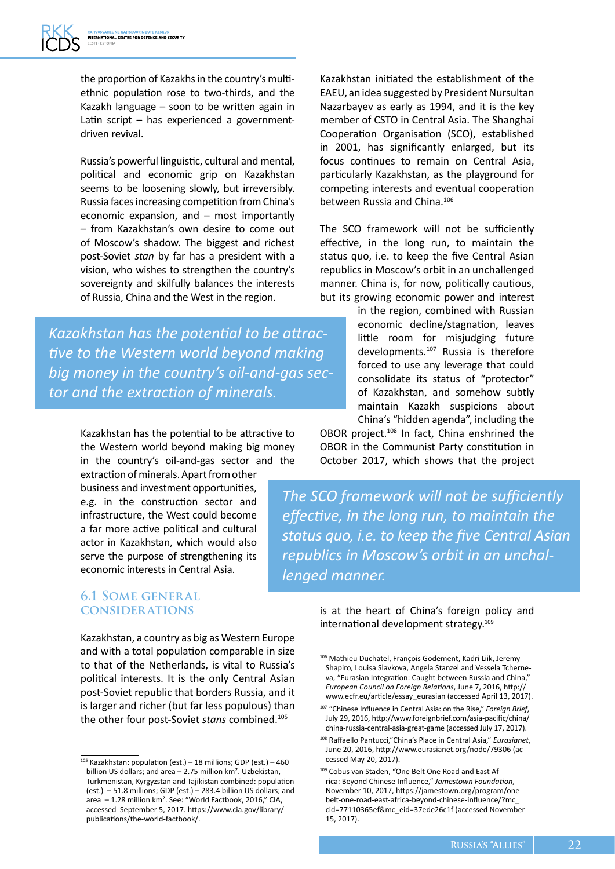the proportion of Kazakhs in the country's multiethnic population rose to two-thirds, and the Kazakh language – soon to be written again in Latin script – has experienced a governmentdriven revival.

Russia's powerful linguistic, cultural and mental, political and economic grip on Kazakhstan seems to be loosening slowly, but irreversibly. Russia faces increasing competition from China's economic expansion, and – most importantly – from Kazakhstan's own desire to come out of Moscow's shadow. The biggest and richest post-Soviet *stan* by far has a president with a vision, who wishes to strengthen the country's sovereignty and skilfully balances the interests of Russia, China and the West in the region.

*Kazakhstan has the potential to be attractive to the Western world beyond making big money in the country's oil-and-gas sector and the extraction of minerals.* 

> Kazakhstan has the potential to be attractive to the Western world beyond making big money in the country's oil-and-gas sector and the

extraction of minerals. Apart from other business and investment opportunities, e.g. in the construction sector and infrastructure, the West could become a far more active political and cultural actor in Kazakhstan, which would also serve the purpose of strengthening its economic interests in Central Asia.

#### **6.1 Some general considerations**

Kazakhstan initiated the establishment of the EAEU, an idea suggested by President Nursultan Nazarbayev as early as 1994, and it is the key member of CSTO in Central Asia. The Shanghai Cooperation Organisation (SCO), established in 2001, has significantly enlarged, but its focus continues to remain on Central Asia, particularly Kazakhstan, as the playground for competing interests and eventual cooperation between Russia and China.106

The SCO framework will not be sufficiently effective, in the long run, to maintain the status quo, i.e. to keep the five Central Asian republics in Moscow's orbit in an unchallenged manner. China is, for now, politically cautious, but its growing economic power and interest

> in the region, combined with Russian economic decline/stagnation, leaves little room for misjudging future developments.107 Russia is therefore forced to use any leverage that could consolidate its status of "protector" of Kazakhstan, and somehow subtly maintain Kazakh suspicions about China's "hidden agenda", including the

OBOR project.108 In fact, China enshrined the OBOR in the Communist Party constitution in October 2017, which shows that the project

*The SCO framework will not be sufficiently effective, in the long run, to maintain the status quo, i.e. to keep the five Central Asian republics in Moscow's orbit in an unchallenged manner.* 

Kazakhstan, a country as big as Western Europe and with a total population comparable in size to that of the Netherlands, is vital to Russia's political interests. It is the only Central Asian post-Soviet republic that borders Russia, and it is larger and richer (but far less populous) than the other four post-Soviet *stans* combined.<sup>105</sup>

is at the heart of China's foreign policy and international development strategy.<sup>109</sup>

 $105$  Kazakhstan: population (est.) – 18 millions; GDP (est.) – 460 billion US dollars; and area - 2.75 million km<sup>2</sup>. Uzbekistan, Turkmenistan, Kyrgyzstan and Tajikistan combined: population (est.) – 51.8 millions; GDP (est.) – 283.4 billion US dollars; and area – 1.28 million km². See: "World Factbook, 2016," CIA, accessed September 5, 2017. https://www.cia.gov/library/ publications/the-world-factbook/.

<sup>106</sup> Mathieu Duchatel, François Godement, Kadri Liik, Jeremy Shapiro, Louisa Slavkova, Angela Stanzel and Vessela Tcherneva, "Eurasian Integration: Caught between Russia and China," *European Council on Foreign Relations*, June 7, 2016, http:// www.ecfr.eu/article/essay\_eurasian (accessed April 13, 2017).

<sup>107 &</sup>quot;Chinese Influence in Central Asia: on the Rise," *Foreign Brief*, July 29, 2016, http://www.foreignbrief.com/asia-pacific/china/ china-russia-central-asia-great-game (accessed July 17, 2017).

<sup>108</sup> Raffaello Pantucci,"China's Place in Central Asia," *Eurasianet*, June 20, 2016, http://www.eurasianet.org/node/79306 (accessed May 20, 2017).

<sup>109</sup> Cobus van Staden, "One Belt One Road and East Africa: Beyond Chinese Influence," *Jamestown Foundation*, November 10, 2017, https://jamestown.org/program/onebelt-one-road-east-africa-beyond-chinese-influence/?mc\_ cid=77110365ef&mc\_eid=37ede26c1f (accessed November 15, 2017).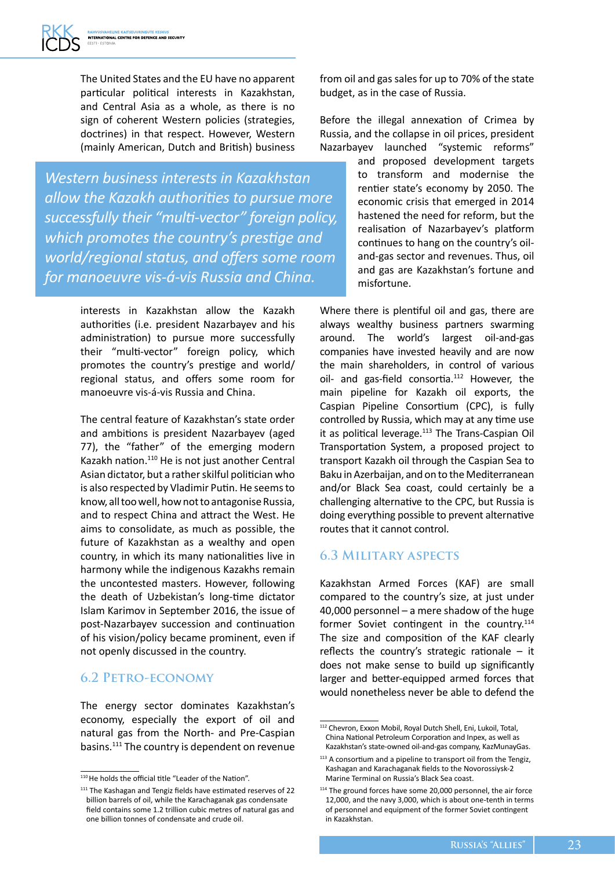The United States and the EU have no apparent particular political interests in Kazakhstan, and Central Asia as a whole, as there is no sign of coherent Western policies (strategies, doctrines) in that respect. However, Western (mainly American, Dutch and British) business

*Western business interests in Kazakhstan allow the Kazakh authorities to pursue more successfully their "multi-vector" foreign policy, which promotes the country's prestige and world/regional status, and offers some room for manoeuvre vis-á-vis Russia and China.*

> interests in Kazakhstan allow the Kazakh authorities (i.e. president Nazarbayev and his administration) to pursue more successfully their "multi-vector" foreign policy, which promotes the country's prestige and world/ regional status, and offers some room for manoeuvre vis-á-vis Russia and China.

> The central feature of Kazakhstan's state order and ambitions is president Nazarbayev (aged 77), the "father" of the emerging modern Kazakh nation.110 He is not just another Central Asian dictator, but a rather skilful politician who is also respected by Vladimir Putin. He seems to know, all too well, how not to antagonise Russia, and to respect China and attract the West. He aims to consolidate, as much as possible, the future of Kazakhstan as a wealthy and open country, in which its many nationalities live in harmony while the indigenous Kazakhs remain the uncontested masters. However, following the death of Uzbekistan's long-time dictator Islam Karimov in September 2016, the issue of post-Nazarbayev succession and continuation of his vision/policy became prominent, even if not openly discussed in the country.

#### **6.2 Petro-economy**

The energy sector dominates Kazakhstan's economy, especially the export of oil and natural gas from the North- and Pre-Caspian basins.111 The country is dependent on revenue

from oil and gas sales for up to 70% of the state budget, as in the case of Russia.

Before the illegal annexation of Crimea by Russia, and the collapse in oil prices, president Nazarbayev launched "systemic reforms"

> and proposed development targets to transform and modernise the rentier state's economy by 2050. The economic crisis that emerged in 2014 hastened the need for reform, but the realisation of Nazarbayev's platform continues to hang on the country's oiland-gas sector and revenues. Thus, oil and gas are Kazakhstan's fortune and misfortune.

Where there is plentiful oil and gas, there are always wealthy business partners swarming around. The world's largest oil-and-gas companies have invested heavily and are now the main shareholders, in control of various oil- and gas-field consortia.112 However, the main pipeline for Kazakh oil exports, the Caspian Pipeline Consortium (CPC), is fully controlled by Russia, which may at any time use it as political leverage.<sup>113</sup> The Trans-Caspian Oil Transportation System, a proposed project to transport Kazakh oil through the Caspian Sea to Baku in Azerbaijan, and on to the Mediterranean and/or Black Sea coast, could certainly be a challenging alternative to the CPC, but Russia is doing everything possible to prevent alternative routes that it cannot control.

#### **6.3 Military aspects**

Kazakhstan Armed Forces (KAF) are small compared to the country's size, at just under 40,000 personnel – a mere shadow of the huge former Soviet contingent in the country.<sup>114</sup> The size and composition of the KAF clearly reflects the country's strategic rationale  $-$  it does not make sense to build up significantly larger and better-equipped armed forces that would nonetheless never be able to defend the

<sup>&</sup>lt;sup>110</sup> He holds the official title "Leader of the Nation".

<sup>111</sup> The Kashagan and Tengiz fields have estimated reserves of 22 billion barrels of oil, while the Karachaganak gas condensate field contains some 1.2 trillion cubic metres of natural gas and one billion tonnes of condensate and crude oil.

<sup>112</sup> Chevron, Exxon Mobil, Royal Dutch Shell, Eni, Lukoil, Total, China National Petroleum Corporation and Inpex, as well as Kazakhstan's state-owned oil-and-gas company, KazMunayGas.

<sup>&</sup>lt;sup>113</sup> A consortium and a pipeline to transport oil from the Tengiz, Kashagan and Karachaganak fields to the Novorossiysk-2 Marine Terminal on Russia's Black Sea coast.

<sup>114</sup> The ground forces have some 20,000 personnel, the air force 12,000, and the navy 3,000, which is about one-tenth in terms of personnel and equipment of the former Soviet contingent in Kazakhstan.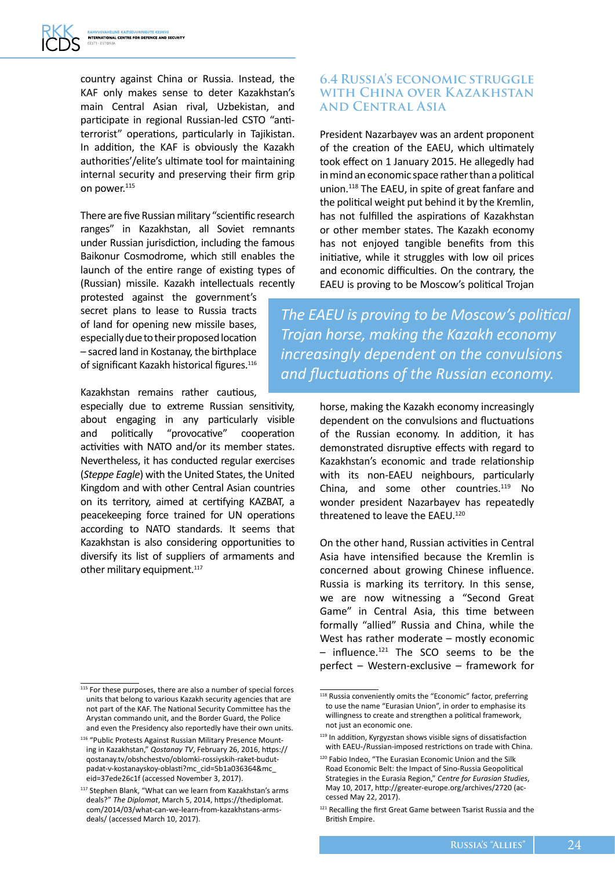country against China or Russia. Instead, the KAF only makes sense to deter Kazakhstan's main Central Asian rival, Uzbekistan, and participate in regional Russian-led CSTO "antiterrorist" operations, particularly in Tajikistan. In addition, the KAF is obviously the Kazakh authorities'/elite's ultimate tool for maintaining internal security and preserving their firm grip on power.<sup>115</sup>

There are five Russian military "scientific research ranges" in Kazakhstan, all Soviet remnants under Russian jurisdiction, including the famous Baikonur Cosmodrome, which still enables the launch of the entire range of existing types of (Russian) missile. Kazakh intellectuals recently

protested against the government's secret plans to lease to Russia tracts of land for opening new missile bases, especially due to their proposed location – sacred land in Kostanay, the birthplace of significant Kazakh historical figures.<sup>116</sup>

Kazakhstan remains rather cautious,

especially due to extreme Russian sensitivity, about engaging in any particularly visible and politically "provocative" cooperation activities with NATO and/or its member states. Nevertheless, it has conducted regular exercises (*Steppe Eagle*) with the United States, the United Kingdom and with other Central Asian countries on its territory, aimed at certifying KAZBAT, a peacekeeping force trained for UN operations according to NATO standards. It seems that Kazakhstan is also considering opportunities to diversify its list of suppliers of armaments and other military equipment.<sup>117</sup>

#### **6.4 Russia's economic struggle with China over Kazakhstan and Central Asia**

President Nazarbayev was an ardent proponent of the creation of the EAEU, which ultimately took effect on 1 January 2015. He allegedly had in mind an economic space rather than a political union.118 The EAEU, in spite of great fanfare and the political weight put behind it by the Kremlin, has not fulfilled the aspirations of Kazakhstan or other member states. The Kazakh economy has not enjoyed tangible benefits from this initiative, while it struggles with low oil prices and economic difficulties. On the contrary, the EAEU is proving to be Moscow's political Trojan

*The EAEU is proving to be Moscow's political Trojan horse, making the Kazakh economy increasingly dependent on the convulsions and fluctuations of the Russian economy.*

> horse, making the Kazakh economy increasingly dependent on the convulsions and fluctuations of the Russian economy. In addition, it has demonstrated disruptive effects with regard to Kazakhstan's economic and trade relationship with its non-EAEU neighbours, particularly China, and some other countries.119 No wonder president Nazarbayev has repeatedly threatened to leave the EAEU.120

> On the other hand, Russian activities in Central Asia have intensified because the Kremlin is concerned about growing Chinese influence. Russia is marking its territory. In this sense, we are now witnessing a "Second Great Game" in Central Asia, this time between formally "allied" Russia and China, while the West has rather moderate – mostly economic  $-$  influence.<sup>121</sup> The SCO seems to be the perfect – Western-exclusive – framework for

<sup>115</sup> For these purposes, there are also a number of special forces units that belong to various Kazakh security agencies that are not part of the KAF. The National Security Committee has the Arystan commando unit, and the Border Guard, the Police and even the Presidency also reportedly have their own units.

<sup>116 &</sup>quot;Public Protests Against Russian Military Presence Mounting in Kazakhstan," *Qostanay TV*, February 26, 2016, https:// qostanay.tv/obshchestvo/oblomki-rossiyskih-raket-budutpadat-v-kostanayskoy-oblasti?mc\_cid=5b1a036364&mc\_ eid=37ede26c1f (accessed November 3, 2017).

<sup>117</sup> Stephen Blank, "What can we learn from Kazakhstan's arms deals?" *The Diplomat*, March 5, 2014, https://thediplomat. com/2014/03/what-can-we-learn-from-kazakhstans-armsdeals/ (accessed March 10, 2017).

<sup>118</sup> Russia conveniently omits the "Economic" factor, preferring to use the name "Eurasian Union", in order to emphasise its willingness to create and strengthen a political framework, not just an economic one.

<sup>119</sup> In addition, Kyrgyzstan shows visible signs of dissatisfaction with EAEU-/Russian-imposed restrictions on trade with China.

<sup>120</sup> Fabio Indeo, "The Eurasian Economic Union and the Silk Road Economic Belt: the Impact of Sino-Russia Geopolitical Strategies in the Eurasia Region," *Centre for Eurasian Studies*, May 10, 2017, http://greater-europe.org/archives/2720 (accessed May 22, 2017).

<sup>&</sup>lt;sup>121</sup> Recalling the first Great Game between Tsarist Russia and the British Empire.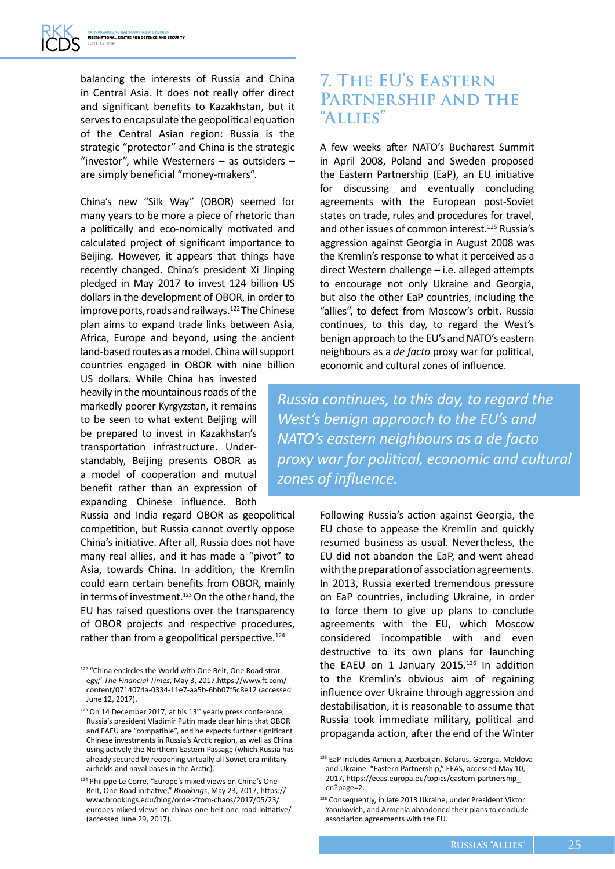balancing the interests of Russia and China in Central Asia. It does not really offer direct and significant benefits to Kazakhstan, but it serves to encapsulate the geopolitical equation of the Central Asian region: Russia is the strategic "protector" and China is the strategic "investor", while Westerners  $-$  as outsiders  $$ are simply beneficial "money-makers".

China's new "Silk Way" (OBOR) seemed for many years to be more a piece of rhetoric than a politically and eco-nomically motivated and calculated project of significant importance to Beijing. However, it appears that things have recently changed. China's president Xi Jinping pledged in May 2017 to invest 124 billion US dollars in the development of OBOR, in order to improve ports, roads and railways.<sup>122</sup> The Chinese plan aims to expand trade links between Asia, Africa, Europe and beyond, using the ancient land-based routes as a model. China will support countries engaged in OBOR with nine billion

US dollars. While China has invested heavily in the mountainous roads of the markedly poorer Kyrgyzstan, it remains to be seen to what extent Beijing will be prepared to invest in Kazakhstan's transportation infrastructure. Understandably, Beijing presents OBOR as a model of cooperation and mutual benefit rather than an expression of expanding Chinese influence. Both

Russia and India regard OBOR as geopolitical competition, but Russia cannot overtly oppose China's initiative. After all, Russia does not have many real allies, and it has made a "pivot" to Asia, towards China. In addition, the Kremlin could earn certain benefits from OBOR, mainly in terms of investment.<sup>123</sup> On the other hand, the EU has raised questions over the transparency of OBOR projects and respective procedures, rather than from a geopolitical perspective.<sup>124</sup>

### **7. The EU's Eastern Partnership and the "Allies"**

A few weeks after NATO's Bucharest Summit in April 2008, Poland and Sweden proposed the Eastern Partnership (EaP), an EU initiative for discussing and eventually concluding agreements with the European post-Soviet states on trade, rules and procedures for travel, and other issues of common interest.<sup>125</sup> Russia's aggression against Georgia in August 2008 was the Kremlin's response to what it perceived as a direct Western challenge – i.e. alleged attempts to encourage not only Ukraine and Georgia, but also the other EaP countries, including the "allies", to defect from Moscow's orbit. Russia continues, to this day, to regard the West's benign approach to the EU's and NATO's eastern neighbours as a *de facto* proxy war for political, economic and cultural zones of influence.

*Russia continues, to this day, to regard the West's benign approach to the EU's and NATO's eastern neighbours as a de facto proxy war for political, economic and cultural zones of influence.* 

> Following Russia's action against Georgia, the EU chose to appease the Kremlin and quickly resumed business as usual. Nevertheless, the EU did not abandon the EaP, and went ahead with the preparation of association agreements. In 2013, Russia exerted tremendous pressure on EaP countries, including Ukraine, in order to force them to give up plans to conclude agreements with the EU, which Moscow considered incompatible with and even destructive to its own plans for launching the EAEU on 1 January 2015.<sup>126</sup> In addition to the Kremlin's obvious aim of regaining influence over Ukraine through aggression and destabilisation, it is reasonable to assume that Russia took immediate military, political and propaganda action, after the end of the Winter

<sup>122 &</sup>quot;China encircles the World with One Belt, One Road strategy," *The Financial Times*, May 3, 2017,https://www.ft.com/ content/0714074a-0334-11e7-aa5b-6bb07f5c8e12 (accessed June 12, 2017).

 $123$  On 14 December 2017, at his 13<sup>th</sup> yearly press conference, Russia's president Vladimir Putin made clear hints that OBOR and EAEU are "compatible", and he expects further significant Chinese investments in Russia's Arctic region, as well as China using actively the Northern-Eastern Passage (which Russia has already secured by reopening virtually all Soviet-era military airfields and naval bases in the Arctic).

<sup>124</sup> Philippe Le Corre, "Europe's mixed views on China's One Belt, One Road initiative," *Brookings*, May 23, 2017, https:// www.brookings.edu/blog/order-from-chaos/2017/05/23/ europes-mixed-views-on-chinas-one-belt-one-road-initiative/ (accessed June 29, 2017).

<sup>&</sup>lt;sup>125</sup> EaP includes Armenia, Azerbaijan, Belarus, Georgia, Moldova and Ukraine. "Eastern Partnership," EEAS, accessed May 10, 2017, https://eeas.europa.eu/topics/eastern-partnership\_ en?page=2.

<sup>126</sup> Consequently, in late 2013 Ukraine, under President Viktor Yanukovich, and Armenia abandoned their plans to conclude association agreements with the EU.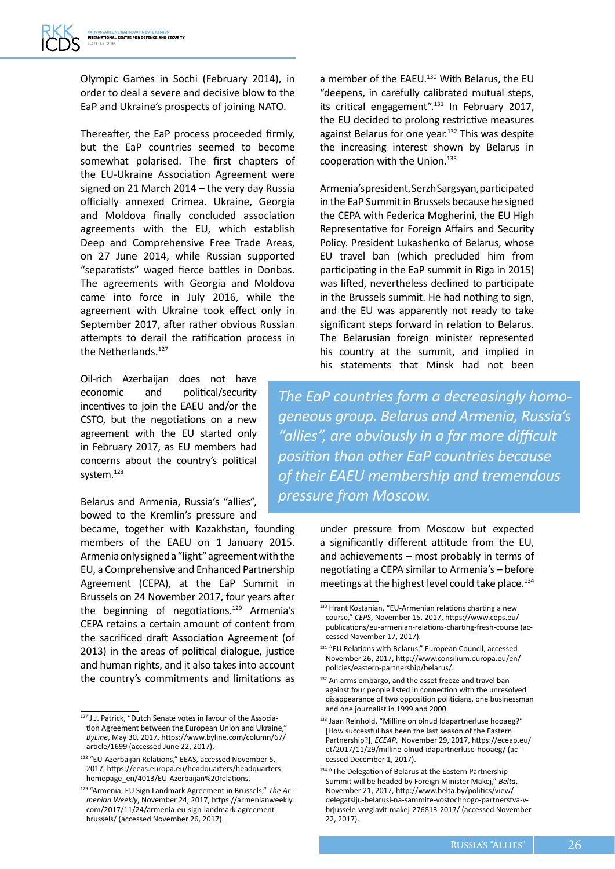Olympic Games in Sochi (February 2014), in order to deal a severe and decisive blow to the EaP and Ukraine's prospects of joining NATO.

Thereafter, the EaP process proceeded firmly, but the EaP countries seemed to become somewhat polarised. The first chapters of the EU-Ukraine Association Agreement were signed on 21 March 2014 – the very day Russia officially annexed Crimea. Ukraine, Georgia and Moldova finally concluded association agreements with the EU, which establish Deep and Comprehensive Free Trade Areas, on 27 June 2014, while Russian supported "separatists" waged fierce battles in Donbas. The agreements with Georgia and Moldova came into force in July 2016, while the agreement with Ukraine took effect only in September 2017, after rather obvious Russian attempts to derail the ratification process in the Netherlands.<sup>127</sup>

Oil-rich Azerbaijan does not have economic and political/security incentives to join the EAEU and/or the CSTO, but the negotiations on a new agreement with the EU started only in February 2017, as EU members had concerns about the country's political system.<sup>128</sup>

Belarus and Armenia, Russia's "allies", bowed to the Kremlin's pressure and

became, together with Kazakhstan, founding members of the EAEU on 1 January 2015. Armenia only signed a "light" agreement with the EU, a Comprehensive and Enhanced Partnership Agreement (CEPA), at the EaP Summit in Brussels on 24 November 2017, four years after the beginning of negotiations.129 Armenia's CEPA retains a certain amount of content from the sacrificed draft Association Agreement (of 2013) in the areas of political dialogue, justice and human rights, and it also takes into account the country's commitments and limitations as a member of the EAEU.<sup>130</sup> With Belarus, the EU "deepens, in carefully calibrated mutual steps, its critical engagement".131 In February 2017, the EU decided to prolong restrictive measures against Belarus for one year.<sup>132</sup> This was despite the increasing interest shown by Belarus in cooperation with the Union.133

Armenia's president, Serzh Sargsyan, participated in the EaP Summit in Brussels because he signed the CEPA with Federica Mogherini, the EU High Representative for Foreign Affairs and Security Policy. President Lukashenko of Belarus, whose EU travel ban (which precluded him from participating in the EaP summit in Riga in 2015) was lifted, nevertheless declined to participate in the Brussels summit. He had nothing to sign, and the EU was apparently not ready to take significant steps forward in relation to Belarus. The Belarusian foreign minister represented his country at the summit, and implied in his statements that Minsk had not been

*The EaP countries form a decreasingly homogeneous group. Belarus and Armenia, Russia's "allies", are obviously in a far more difficult position than other EaP countries because of their EAEU membership and tremendous pressure from Moscow.*

> under pressure from Moscow but expected a significantly different attitude from the EU, and achievements – most probably in terms of negotiating a CEPA similar to Armenia's – before meetings at the highest level could take place.<sup>134</sup>

<sup>127</sup> J.J. Patrick, "Dutch Senate votes in favour of the Association Agreement between the European Union and Ukraine," *ByLine*, May 30, 2017, https://www.byline.com/column/67/ article/1699 (accessed June 22, 2017).

<sup>128 &</sup>quot;EU-Azerbaijan Relations," EEAS, accessed November 5, 2017, https://eeas.europa.eu/headquarters/headquartershomepage\_en/4013/EU-Azerbaijan%20relations.

<sup>129 &</sup>quot;Armenia, EU Sign Landmark Agreement in Brussels," *The Armenian Weekly*, November 24, 2017, https://armenianweekly. com/2017/11/24/armenia-eu-sign-landmark-agreementbrussels/ (accessed November 26, 2017).

<sup>&</sup>lt;sup>130</sup> Hrant Kostanian, "EU-Armenian relations charting a new course," *CEPS*, November 15, 2017, https://www.ceps.eu/ publications/eu-armenian-relations-charting-fresh-course (accessed November 17, 2017).

<sup>131 &</sup>quot;EU Relations with Belarus," European Council, accessed November 26, 2017, http://www.consilium.europa.eu/en/ policies/eastern-partnership/belarus/.

<sup>132</sup> An arms embargo, and the asset freeze and travel ban against four people listed in connection with the unresolved disappearance of two opposition politicians, one businessman and one journalist in 1999 and 2000.

<sup>133</sup> Jaan Reinhold, "Milline on olnud Idapartnerluse hooaeg?" [How successful has been the last season of the Eastern Partnership?], *ECEAP*, November 29, 2017, https://eceap.eu/ et/2017/11/29/milline-olnud-idapartnerluse-hooaeg/ (accessed December 1, 2017).

<sup>134 &</sup>quot;The Delegation of Belarus at the Eastern Partnership Summit will be headed by Foreign Minister Makej," *Belta*, November 21, 2017, http://www.belta.by/politics/view/ delegatsiju-belarusi-na-sammite-vostochnogo-partnerstva-vbrjussele-vozglavit-makej-276813-2017/ (accessed November 22, 2017).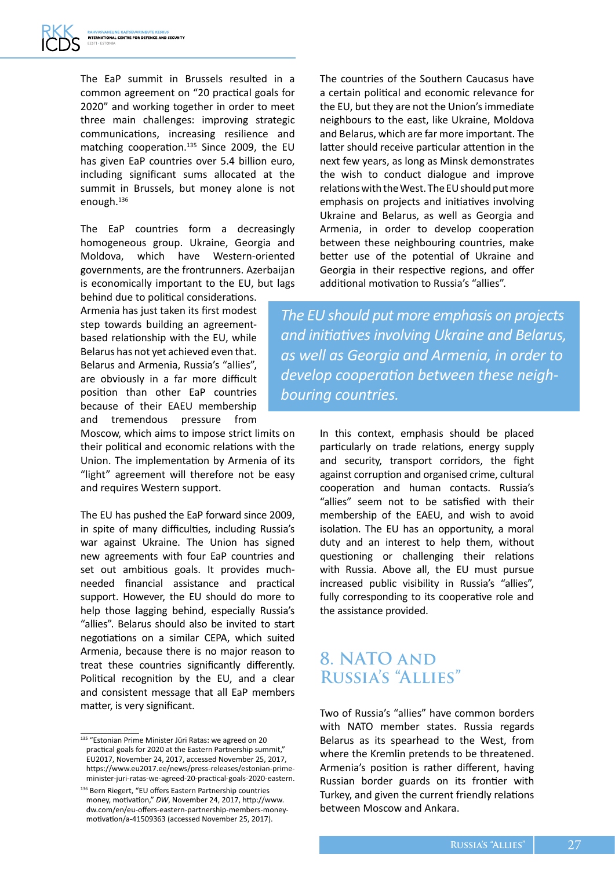The EaP summit in Brussels resulted in a common agreement on "20 practical goals for 2020" and working together in order to meet three main challenges: improving strategic communications, increasing resilience and matching cooperation.<sup>135</sup> Since 2009, the EU has given EaP countries over 5.4 billion euro, including significant sums allocated at the summit in Brussels, but money alone is not enough.<sup>136</sup>

The EaP countries form a decreasingly homogeneous group. Ukraine, Georgia and Moldova, which have Western-oriented governments, are the frontrunners. Azerbaijan is economically important to the EU, but lags

behind due to political considerations. Armenia has just taken its first modest step towards building an agreementbased relationship with the EU, while Belarus has not yet achieved even that. Belarus and Armenia, Russia's "allies", are obviously in a far more difficult position than other EaP countries because of their EAEU membership and tremendous pressure from

Moscow, which aims to impose strict limits on their political and economic relations with the Union. The implementation by Armenia of its "light" agreement will therefore not be easy and requires Western support.

The EU has pushed the EaP forward since 2009, in spite of many difficulties, including Russia's war against Ukraine. The Union has signed new agreements with four EaP countries and set out ambitious goals. It provides muchneeded financial assistance and practical support. However, the EU should do more to help those lagging behind, especially Russia's "allies". Belarus should also be invited to start negotiations on a similar CEPA, which suited Armenia, because there is no major reason to treat these countries significantly differently. Political recognition by the EU, and a clear and consistent message that all EaP members matter, is very significant.

The countries of the Southern Caucasus have a certain political and economic relevance for the EU, but they are not the Union's immediate neighbours to the east, like Ukraine, Moldova and Belarus, which are far more important. The latter should receive particular attention in the next few years, as long as Minsk demonstrates the wish to conduct dialogue and improve relations with the West. The EU should put more emphasis on projects and initiatives involving Ukraine and Belarus, as well as Georgia and Armenia, in order to develop cooperation between these neighbouring countries, make better use of the potential of Ukraine and Georgia in their respective regions, and offer additional motivation to Russia's "allies".

*The EU should put more emphasis on projects and initiatives involving Ukraine and Belarus, as well as Georgia and Armenia, in order to develop cooperation between these neighbouring countries.*

> In this context, emphasis should be placed particularly on trade relations, energy supply and security, transport corridors, the fight against corruption and organised crime, cultural cooperation and human contacts. Russia's "allies" seem not to be satisfied with their membership of the EAEU, and wish to avoid isolation. The EU has an opportunity, a moral duty and an interest to help them, without questioning or challenging their relations with Russia. Above all, the EU must pursue increased public visibility in Russia's "allies", fully corresponding to its cooperative role and the assistance provided.

### **8. NATO and Russia's "Allies"**

Two of Russia's "allies" have common borders with NATO member states. Russia regards Belarus as its spearhead to the West, from where the Kremlin pretends to be threatened. Armenia's position is rather different, having Russian border guards on its frontier with Turkey, and given the current friendly relations between Moscow and Ankara.

<sup>135 &</sup>quot;Estonian Prime Minister Jüri Ratas: we agreed on 20 practical goals for 2020 at the Eastern Partnership summit," EU2017, November 24, 2017, accessed November 25, 2017, https://www.eu2017.ee/news/press-releases/estonian-primeminister-juri-ratas-we-agreed-20-practical-goals-2020-eastern.

<sup>136</sup> Bern Riegert, "EU offers Eastern Partnership countries money, motivation," *DW*, November 24, 2017, http://www. dw.com/en/eu-offers-eastern-partnership-members-moneymotivation/a-41509363 (accessed November 25, 2017).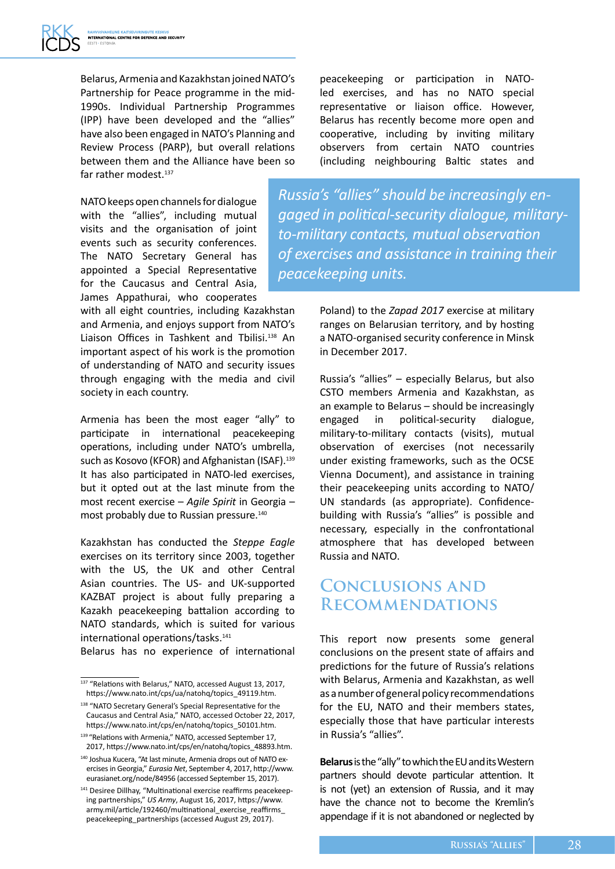Belarus, Armenia and Kazakhstan joined NATO's Partnership for Peace programme in the mid-1990s. Individual Partnership Programmes (IPP) have been developed and the "allies" have also been engaged in NATO's Planning and Review Process (PARP), but overall relations between them and the Alliance have been so far rather modest.<sup>137</sup>

NATO keeps open channels for dialogue with the "allies", including mutual visits and the organisation of joint events such as security conferences. The NATO Secretary General has appointed a Special Representative for the Caucasus and Central Asia, James Appathurai, who cooperates

with all eight countries, including Kazakhstan and Armenia, and enjoys support from NATO's Liaison Offices in Tashkent and Tbilisi.<sup>138</sup> An important aspect of his work is the promotion of understanding of NATO and security issues through engaging with the media and civil society in each country.

Armenia has been the most eager "ally" to participate in international peacekeeping operations, including under NATO's umbrella, such as Kosovo (KFOR) and Afghanistan (ISAF).<sup>139</sup> It has also participated in NATO-led exercises, but it opted out at the last minute from the most recent exercise – *Agile Spirit* in Georgia – most probably due to Russian pressure.<sup>140</sup>

Kazakhstan has conducted the *Steppe Eagle* exercises on its territory since 2003, together with the US, the UK and other Central Asian countries. The US- and UK-supported KAZBAT project is about fully preparing a Kazakh peacekeeping battalion according to NATO standards, which is suited for various international operations/tasks.141

Belarus has no experience of international

peacekeeping or participation in NATOled exercises, and has no NATO special representative or liaison office. However, Belarus has recently become more open and cooperative, including by inviting military observers from certain NATO countries (including neighbouring Baltic states and

*Russia's "allies" should be increasingly engaged in political-security dialogue, militaryto-military contacts, mutual observation of exercises and assistance in training their peacekeeping units.* 

> Poland) to the *Zapad 2017* exercise at military ranges on Belarusian territory, and by hosting a NATO-organised security conference in Minsk in December 2017.

> Russia's "allies" – especially Belarus, but also CSTO members Armenia and Kazakhstan, as an example to Belarus – should be increasingly engaged in political-security dialogue, military-to-military contacts (visits), mutual observation of exercises (not necessarily under existing frameworks, such as the OCSE Vienna Document), and assistance in training their peacekeeping units according to NATO/ UN standards (as appropriate). Confidencebuilding with Russia's "allies" is possible and necessary, especially in the confrontational atmosphere that has developed between Russia and NATO.

### **Conclusions and Recommendations**

This report now presents some general conclusions on the present state of affairs and predictions for the future of Russia's relations with Belarus, Armenia and Kazakhstan, as well as a number of general policy recommendations for the EU, NATO and their members states, especially those that have particular interests in Russia's "allies".

**Belarus** is the "ally" to which the EU and its Western partners should devote particular attention. It is not (yet) an extension of Russia, and it may have the chance not to become the Kremlin's appendage if it is not abandoned or neglected by

<sup>&</sup>lt;sup>137</sup> "Relations with Belarus," NATO, accessed August 13, 2017, https://www.nato.int/cps/ua/natohq/topics\_49119.htm.

<sup>138 &</sup>quot;NATO Secretary General's Special Representative for the Caucasus and Central Asia," NATO, accessed October 22, 2017, https://www.nato.int/cps/en/natohq/topics\_50101.htm.

<sup>139 &</sup>quot;Relations with Armenia," NATO, accessed September 17, 2017, https://www.nato.int/cps/en/natohq/topics\_48893.htm.

<sup>140</sup> Joshua Kucera, "At last minute, Armenia drops out of NATO exercises in Georgia," *Eurasia Net*, September 4, 2017, http://www. eurasianet.org/node/84956 (accessed September 15, 2017).

<sup>&</sup>lt;sup>141</sup> Desiree Dillhay, "Multinational exercise reaffirms peacekeeping partnerships," *US Army*, August 16, 2017, https://www. army.mil/article/192460/multinational\_exercise\_reaffirms\_ peacekeeping\_partnerships (accessed August 29, 2017).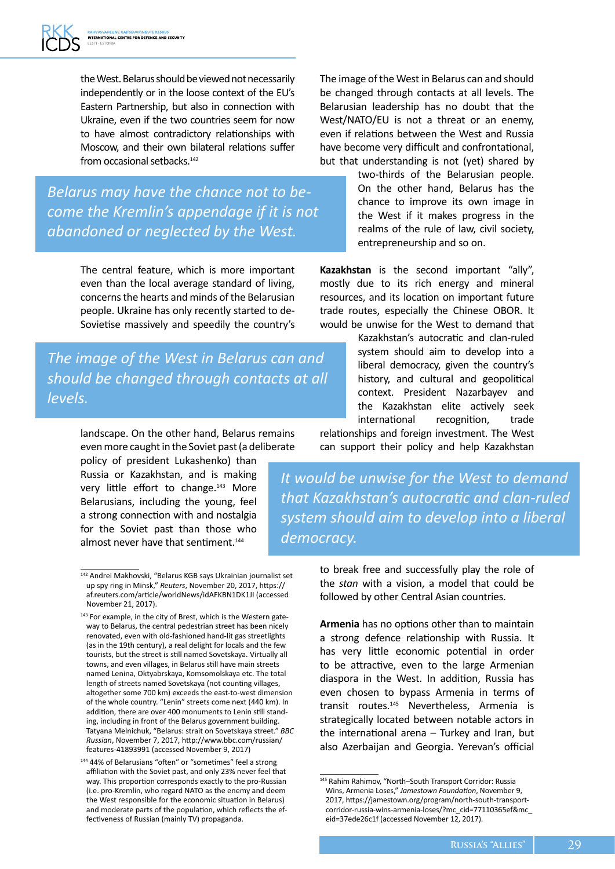the West. Belarus should be viewed not necessarily independently or in the loose context of the EU's Eastern Partnership, but also in connection with Ukraine, even if the two countries seem for now to have almost contradictory relationships with Moscow, and their own bilateral relations suffer from occasional setbacks.<sup>142</sup>

*Belarus may have the chance not to become the Kremlin's appendage if it is not abandoned or neglected by the West.*

> The central feature, which is more important even than the local average standard of living, concerns the hearts and minds of the Belarusian people. Ukraine has only recently started to de-Sovietise massively and speedily the country's

*The image of the West in Belarus can and should be changed through contacts at all levels.* 

> landscape. On the other hand, Belarus remains even more caught in the Soviet past (a deliberate

policy of president Lukashenko) than Russia or Kazakhstan, and is making very little effort to change.<sup>143</sup> More Belarusians, including the young, feel a strong connection with and nostalgia for the Soviet past than those who almost never have that sentiment.<sup>144</sup>

The image of the West in Belarus can and should be changed through contacts at all levels. The Belarusian leadership has no doubt that the West/NATO/EU is not a threat or an enemy, even if relations between the West and Russia have become very difficult and confrontational, but that understanding is not (yet) shared by

> two-thirds of the Belarusian people. On the other hand, Belarus has the chance to improve its own image in the West if it makes progress in the realms of the rule of law, civil society, entrepreneurship and so on.

**Kazakhstan** is the second important "ally", mostly due to its rich energy and mineral resources, and its location on important future trade routes, especially the Chinese OBOR. It would be unwise for the West to demand that

> Kazakhstan's autocratic and clan-ruled system should aim to develop into a liberal democracy, given the country's history, and cultural and geopolitical context. President Nazarbayev and the Kazakhstan elite actively seek international recognition, trade

relationships and foreign investment. The West can support their policy and help Kazakhstan

*It would be unwise for the West to demand that Kazakhstan's autocratic and clan-ruled system should aim to develop into a liberal democracy.*

> to break free and successfully play the role of the *stan* with a vision, a model that could be followed by other Central Asian countries.

> **Armenia** has no options other than to maintain a strong defence relationship with Russia. It has very little economic potential in order to be attractive, even to the large Armenian diaspora in the West. In addition, Russia has even chosen to bypass Armenia in terms of transit routes.145 Nevertheless, Armenia is strategically located between notable actors in the international arena – Turkey and Iran, but also Azerbaijan and Georgia. Yerevan's official

<sup>142</sup> Andrei Makhovski, "Belarus KGB says Ukrainian journalist set up spy ring in Minsk," *Reuters*, November 20, 2017, https:// af.reuters.com/article/worldNews/idAFKBN1DK1JI (accessed November 21, 2017).

<sup>&</sup>lt;sup>143</sup> For example, in the city of Brest, which is the Western gateway to Belarus, the central pedestrian street has been nicely renovated, even with old-fashioned hand-lit gas streetlights (as in the 19th century), a real delight for locals and the few tourists, but the street is still named Sovetskaya. Virtually all towns, and even villages, in Belarus still have main streets named Lenina, Oktyabrskaya, Komsomolskaya etc. The total length of streets named Sovetskaya (not counting villages, altogether some 700 km) exceeds the east-to-west dimension of the whole country. "Lenin" streets come next (440 km). In addition, there are over 400 monuments to Lenin still standing, including in front of the Belarus government building. Tatyana Melnichuk, "Belarus: strait on Sovetskaya street." *BBC Russian*, November 7, 2017, http://www.bbc.com/russian/ features-41893991 (accessed November 9, 2017)

<sup>144 44%</sup> of Belarusians "often" or "sometimes" feel a strong affiliation with the Soviet past, and only 23% never feel that way. This proportion corresponds exactly to the pro-Russian (i.e. pro-Kremlin, who regard NATO as the enemy and deem the West responsible for the economic situation in Belarus) and moderate parts of the population, which reflects the effectiveness of Russian (mainly TV) propaganda.

<sup>145</sup> Rahim Rahimov, "North–South Transport Corridor: Russia Wins, Armenia Loses," *Jamestown Foundation*, November 9, 2017, https://jamestown.org/program/north-south-transportcorridor-russia-wins-armenia-loses/?mc\_cid=77110365ef&mc\_ eid=37ede26c1f (accessed November 12, 2017).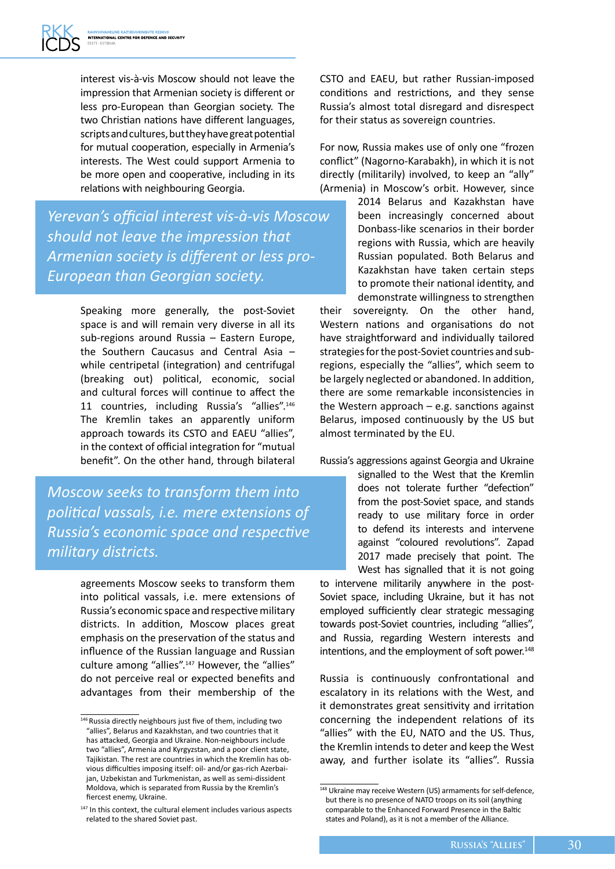interest vis-à-vis Moscow should not leave the impression that Armenian society is different or less pro-European than Georgian society. The two Christian nations have different languages, scripts and cultures, but they have great potential for mutual cooperation, especially in Armenia's interests. The West could support Armenia to be more open and cooperative, including in its relations with neighbouring Georgia.

*Yerevan's official interest vis-à-vis Moscow should not leave the impression that Armenian society is different or less pro-European than Georgian society.*

> Speaking more generally, the post-Soviet space is and will remain very diverse in all its sub-regions around Russia – Eastern Europe, the Southern Caucasus and Central Asia – while centripetal (integration) and centrifugal (breaking out) political, economic, social and cultural forces will continue to affect the 11 countries, including Russia's "allies".146 The Kremlin takes an apparently uniform approach towards its CSTO and EAEU "allies", in the context of official integration for "mutual benefit". On the other hand, through bilateral

*Moscow seeks to transform them into political vassals, i.e. mere extensions of Russia's economic space and respective military districts.* 

> agreements Moscow seeks to transform them into political vassals, i.e. mere extensions of Russia's economic space and respective military districts. In addition, Moscow places great emphasis on the preservation of the status and influence of the Russian language and Russian culture among "allies".<sup>147</sup> However, the "allies" do not perceive real or expected benefits and advantages from their membership of the

CSTO and EAEU, but rather Russian-imposed conditions and restrictions, and they sense Russia's almost total disregard and disrespect for their status as sovereign countries.

For now, Russia makes use of only one "frozen conflict" (Nagorno-Karabakh), in which it is not directly (militarily) involved, to keep an "ally" (Armenia) in Moscow's orbit. However, since

> 2014 Belarus and Kazakhstan have been increasingly concerned about Donbass-like scenarios in their border regions with Russia, which are heavily Russian populated. Both Belarus and Kazakhstan have taken certain steps to promote their national identity, and demonstrate willingness to strengthen

their sovereignty. On the other hand, Western nations and organisations do not have straightforward and individually tailored strategies for the post-Soviet countries and subregions, especially the "allies", which seem to be largely neglected or abandoned. In addition, there are some remarkable inconsistencies in the Western approach  $-$  e.g. sanctions against Belarus, imposed continuously by the US but almost terminated by the EU.

Russia's aggressions against Georgia and Ukraine

signalled to the West that the Kremlin does not tolerate further "defection" from the post-Soviet space, and stands ready to use military force in order to defend its interests and intervene against "coloured revolutions". Zapad 2017 made precisely that point. The West has signalled that it is not going

to intervene militarily anywhere in the post-Soviet space, including Ukraine, but it has not employed sufficiently clear strategic messaging towards post-Soviet countries, including "allies", and Russia, regarding Western interests and intentions, and the employment of soft power.<sup>148</sup>

Russia is continuously confrontational and escalatory in its relations with the West, and it demonstrates great sensitivity and irritation concerning the independent relations of its "allies" with the EU, NATO and the US. Thus, the Kremlin intends to deter and keep the West away, and further isolate its "allies". Russia

<sup>146</sup> Russia directly neighbours just five of them, including two "allies", Belarus and Kazakhstan, and two countries that it has attacked, Georgia and Ukraine. Non-neighbours include two "allies", Armenia and Kyrgyzstan, and a poor client state, Tajikistan. The rest are countries in which the Kremlin has obvious difficulties imposing itself: oil- and/or gas-rich Azerbaijan, Uzbekistan and Turkmenistan, as well as semi-dissident Moldova, which is separated from Russia by the Kremlin's fiercest enemy, Ukraine.

<sup>&</sup>lt;sup>147</sup> In this context, the cultural element includes various aspects related to the shared Soviet past.

<sup>148</sup> Ukraine may receive Western (US) armaments for self-defence, but there is no presence of NATO troops on its soil (anything comparable to the Enhanced Forward Presence in the Baltic states and Poland), as it is not a member of the Alliance.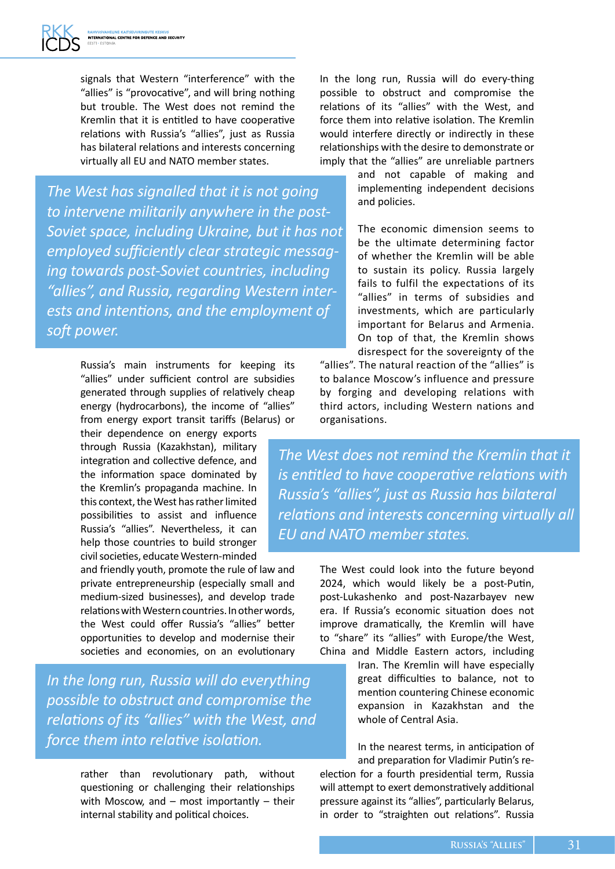signals that Western "interference" with the "allies" is "provocative", and will bring nothing but trouble. The West does not remind the Kremlin that it is entitled to have cooperative relations with Russia's "allies", just as Russia has bilateral relations and interests concerning virtually all EU and NATO member states.

*The West has signalled that it is not going to intervene militarily anywhere in the post-Soviet space, including Ukraine, but it has not employed sufficiently clear strategic messaging towards post-Soviet countries, including "allies", and Russia, regarding Western interests and intentions, and the employment of soft power.* 

> Russia's main instruments for keeping its "allies" under sufficient control are subsidies generated through supplies of relatively cheap energy (hydrocarbons), the income of "allies" from energy export transit tariffs (Belarus) or

their dependence on energy exports through Russia (Kazakhstan), military integration and collective defence, and the information space dominated by the Kremlin's propaganda machine. In this context, the West has rather limited possibilities to assist and influence Russia's "allies". Nevertheless, it can help those countries to build stronger civil societies, educate Western-minded

and friendly youth, promote the rule of law and private entrepreneurship (especially small and medium-sized businesses), and develop trade relations with Western countries. In other words, the West could offer Russia's "allies" better opportunities to develop and modernise their societies and economies, on an evolutionary

*In the long run, Russia will do everything possible to obstruct and compromise the relations of its "allies" with the West, and force them into relative isolation.* 

> rather than revolutionary path, without questioning or challenging their relationships with Moscow, and – most importantly – their internal stability and political choices.

In the long run, Russia will do every-thing possible to obstruct and compromise the relations of its "allies" with the West, and force them into relative isolation. The Kremlin would interfere directly or indirectly in these relationships with the desire to demonstrate or imply that the "allies" are unreliable partners

> and not capable of making and implementing independent decisions and policies.

> The economic dimension seems to be the ultimate determining factor of whether the Kremlin will be able to sustain its policy. Russia largely fails to fulfil the expectations of its "allies" in terms of subsidies and investments, which are particularly important for Belarus and Armenia. On top of that, the Kremlin shows disrespect for the sovereignty of the

"allies". The natural reaction of the "allies" is to balance Moscow's influence and pressure by forging and developing relations with third actors, including Western nations and organisations.

*The West does not remind the Kremlin that it is entitled to have cooperative relations with Russia's "allies", just as Russia has bilateral relations and interests concerning virtually all EU and NATO member states.*

> The West could look into the future beyond 2024, which would likely be a post-Putin, post-Lukashenko and post-Nazarbayev new era. If Russia's economic situation does not improve dramatically, the Kremlin will have to "share" its "allies" with Europe/the West, China and Middle Eastern actors, including

> > Iran. The Kremlin will have especially great difficulties to balance, not to mention countering Chinese economic expansion in Kazakhstan and the whole of Central Asia.

> > In the nearest terms, in anticipation of and preparation for Vladimir Putin's re-

election for a fourth presidential term, Russia will attempt to exert demonstratively additional pressure against its "allies", particularly Belarus, in order to "straighten out relations". Russia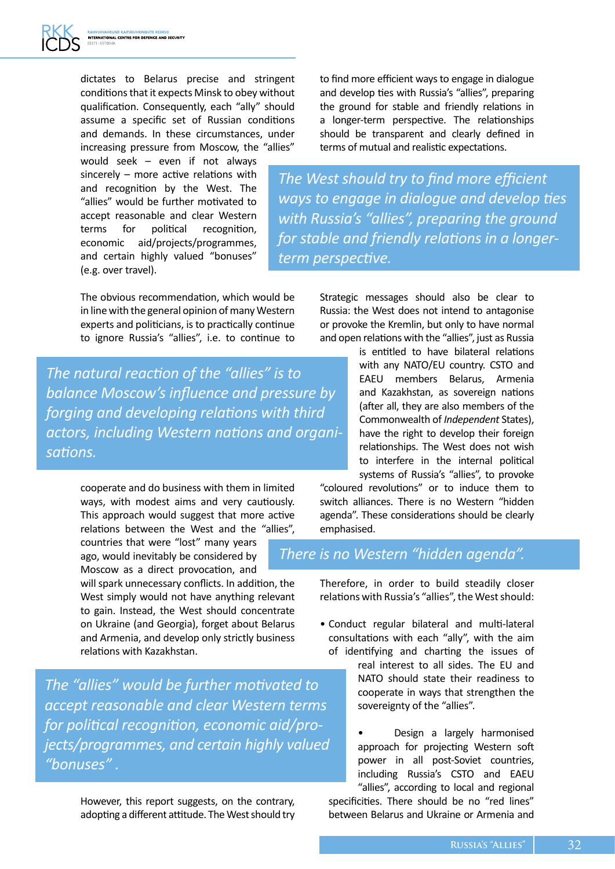dictates to Belarus precise and stringent conditions that it expects Minsk to obey without qualification. Consequently, each "ally" should assume a specific set of Russian conditions and demands. In these circumstances, under increasing pressure from Moscow, the "allies"

would seek – even if not always sincerely – more active relations with and recognition by the West. The "allies" would be further motivated to accept reasonable and clear Western terms for political recognition, economic aid/projects/programmes, and certain highly valued "bonuses" (e.g. over travel).

The obvious recommendation, which would be in line with the general opinion of many Western experts and politicians, is to practically continue to ignore Russia's "allies", i.e. to continue to

*The natural reaction of the "allies" is to balance Moscow's influence and pressure by forging and developing relations with third actors, including Western nations and organisations.*

> cooperate and do business with them in limited ways, with modest aims and very cautiously. This approach would suggest that more active relations between the West and the "allies",

countries that were "lost" many years ago, would inevitably be considered by Moscow as a direct provocation, and

will spark unnecessary conflicts. In addition, the West simply would not have anything relevant to gain. Instead, the West should concentrate on Ukraine (and Georgia), forget about Belarus and Armenia, and develop only strictly business relations with Kazakhstan.

*The "allies" would be further motivated to accept reasonable and clear Western terms for political recognition, economic aid/projects/programmes, and certain highly valued "bonuses" .*

> However, this report suggests, on the contrary, adopting a different attitude. The West should try

to find more efficient ways to engage in dialogue and develop ties with Russia's "allies", preparing the ground for stable and friendly relations in a longer-term perspective. The relationships should be transparent and clearly defined in terms of mutual and realistic expectations.

*The West should try to find more efficient ways to engage in dialogue and develop ties with Russia's "allies", preparing the ground for stable and friendly relations in a longerterm perspective.* 

> Strategic messages should also be clear to Russia: the West does not intend to antagonise or provoke the Kremlin, but only to have normal and open relations with the "allies", just as Russia

> > is entitled to have bilateral relations with any NATO/EU country. CSTO and EAEU members Belarus, Armenia and Kazakhstan, as sovereign nations (after all, they are also members of the Commonwealth of *Independent* States), have the right to develop their foreign relationships. The West does not wish to interfere in the internal political systems of Russia's "allies", to provoke

"coloured revolutions" or to induce them to switch alliances. There is no Western "hidden agenda". These considerations should be clearly emphasised.

### *There is no Western "hidden agenda".*

Therefore, in order to build steadily closer relations with Russia's "allies", the West should:

- Conduct regular bilateral and multi-lateral consultations with each "ally", with the aim of identifying and charting the issues of
	- real interest to all sides. The EU and NATO should state their readiness to cooperate in ways that strengthen the sovereignty of the "allies".
	- Design a largely harmonised approach for projecting Western soft power in all post-Soviet countries, including Russia's CSTO and EAEU "allies", according to local and regional

specificities. There should be no "red lines" between Belarus and Ukraine or Armenia and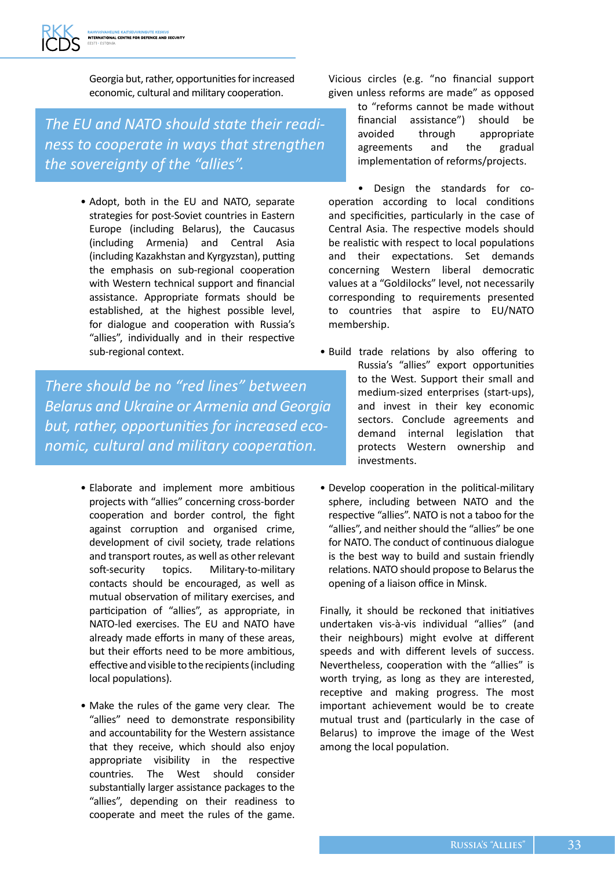Georgia but, rather, opportunities for increased economic, cultural and military cooperation.

*The EU and NATO should state their readiness to cooperate in ways that strengthen the sovereignty of the "allies".* 

> • Adopt, both in the EU and NATO, separate strategies for post-Soviet countries in Eastern Europe (including Belarus), the Caucasus (including Armenia) and Central Asia (including Kazakhstan and Kyrgyzstan), putting the emphasis on sub-regional cooperation with Western technical support and financial assistance. Appropriate formats should be established, at the highest possible level, for dialogue and cooperation with Russia's "allies", individually and in their respective sub-regional context.

*There should be no "red lines" between Belarus and Ukraine or Armenia and Georgia but, rather, opportunities for increased economic, cultural and military cooperation.*

- Elaborate and implement more ambitious projects with "allies" concerning cross-border cooperation and border control, the fight against corruption and organised crime, development of civil society, trade relations and transport routes, as well as other relevant soft-security topics. Military-to-military contacts should be encouraged, as well as mutual observation of military exercises, and participation of "allies", as appropriate, in NATO-led exercises. The EU and NATO have already made efforts in many of these areas, but their efforts need to be more ambitious, effective and visible to the recipients (including local populations).
- Make the rules of the game very clear. The "allies" need to demonstrate responsibility and accountability for the Western assistance that they receive, which should also enjoy appropriate visibility in the respective countries. The West should consider substantially larger assistance packages to the "allies", depending on their readiness to cooperate and meet the rules of the game.

Vicious circles (e.g. "no financial support given unless reforms are made" as opposed

> to "reforms cannot be made without financial assistance") should be avoided through appropriate agreements and the gradual implementation of reforms/projects.

• Design the standards for cooperation according to local conditions and specificities, particularly in the case of Central Asia. The respective models should be realistic with respect to local populations and their expectations. Set demands concerning Western liberal democratic values at a "Goldilocks" level, not necessarily corresponding to requirements presented to countries that aspire to EU/NATO membership.

- Build trade relations by also offering to Russia's "allies" export opportunities to the West. Support their small and medium-sized enterprises (start-ups), and invest in their key economic sectors. Conclude agreements and demand internal legislation that protects Western ownership and investments.
- Develop cooperation in the political-military sphere, including between NATO and the respective "allies". NATO is not a taboo for the "allies", and neither should the "allies" be one for NATO. The conduct of continuous dialogue is the best way to build and sustain friendly relations. NATO should propose to Belarus the opening of a liaison office in Minsk.

Finally, it should be reckoned that initiatives undertaken vis-à-vis individual "allies" (and their neighbours) might evolve at different speeds and with different levels of success. Nevertheless, cooperation with the "allies" is worth trying, as long as they are interested, receptive and making progress. The most important achievement would be to create mutual trust and (particularly in the case of Belarus) to improve the image of the West among the local population.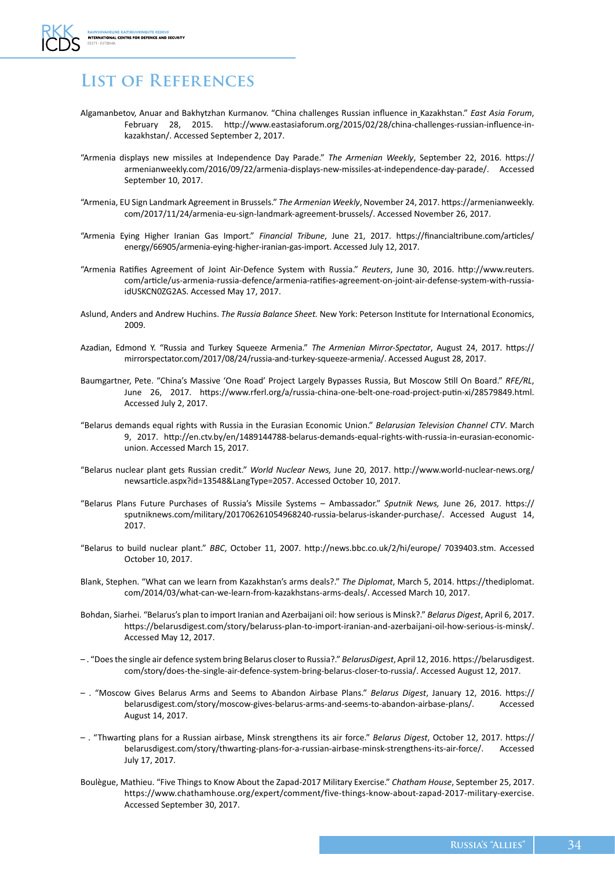# **List of References**

- Algamanbetov, Anuar and Bakhytzhan Kurmanov. "China challenges Russian influence in Kazakhstan." *East Asia Forum*, February 28, 2015. http://www.eastasiaforum.org/2015/02/28/china-challenges-russian-influence-inkazakhstan/. Accessed September 2, 2017.
- "Armenia displays new missiles at Independence Day Parade." *The Armenian Weekly*, September 22, 2016. https:// armenianweekly.com/2016/09/22/armenia-displays-new-missiles-at-independence-day-parade/. Accessed September 10, 2017.
- "Armenia, EU Sign Landmark Agreement in Brussels." *The Armenian Weekly*, November 24, 2017. https://armenianweekly. com/2017/11/24/armenia-eu-sign-landmark-agreement-brussels/. Accessed November 26, 2017.
- "Armenia Eying Higher Iranian Gas Import." *Financial Tribune*, June 21, 2017. https://financialtribune.com/articles/ energy/66905/armenia-eying-higher-iranian-gas-import. Accessed July 12, 2017.
- "Armenia Ratifies Agreement of Joint Air-Defence System with Russia." *Reuters*, June 30, 2016. http://www.reuters. com/article/us-armenia-russia-defence/armenia-ratifies-agreement-on-joint-air-defense-system-with-russiaidUSKCN0ZG2AS. Accessed May 17, 2017.
- Aslund, Anders and Andrew Huchins. *The Russia Balance Sheet.* New York: Peterson Institute for International Economics, 2009.
- Azadian, Edmond Y. "Russia and Turkey Squeeze Armenia." *The Armenian Mirror-Spectator*, August 24, 2017. https:// mirrorspectator.com/2017/08/24/russia-and-turkey-squeeze-armenia/. Accessed August 28, 2017.
- Baumgartner, Pete. "China's Massive 'One Road' Project Largely Bypasses Russia, But Moscow Still On Board." *RFE/RL*, June 26, 2017. https://www.rferl.org/a/russia-china-one-belt-one-road-project-putin-xi/28579849.html. Accessed July 2, 2017.
- "Belarus demands equal rights with Russia in the Eurasian Economic Union." *Belarusian Television Channel CTV*. March 9, 2017. http://en.ctv.by/en/1489144788-belarus-demands-equal-rights-with-russia-in-eurasian-economicunion. Accessed March 15, 2017.
- "Belarus nuclear plant gets Russian credit." *World Nuclear News,* June 20, 2017. http://www.world-nuclear-news.org/ newsarticle.aspx?id=13548&LangType=2057. Accessed October 10, 2017.
- "Belarus Plans Future Purchases of Russia's Missile Systems Ambassador." *Sputnik News,* June 26, 2017. https:// sputniknews.com/military/201706261054968240-russia-belarus-iskander-purchase/. Accessed August 14, 2017.
- "Belarus to build nuclear plant." *BBC*, October 11, 2007. http://news.bbc.co.uk/2/hi/europe/ 7039403.stm. Accessed October 10, 2017.
- Blank, Stephen. "What can we learn from Kazakhstan's arms deals?." *The Diplomat*, March 5, 2014. https://thediplomat. com/2014/03/what-can-we-learn-from-kazakhstans-arms-deals/. Accessed March 10, 2017.
- Bohdan, Siarhei. "Belarus's plan to import Iranian and Azerbaijani oil: how serious is Minsk?." *Belarus Digest*, April 6, 2017. https://belarusdigest.com/story/belaruss-plan-to-import-iranian-and-azerbaijani-oil-how-serious-is-minsk/. Accessed May 12, 2017.
- . "Does the single air defence system bring Belarus closer to Russia?." *BelarusDigest*, April 12, 2016. https://belarusdigest. com/story/does-the-single-air-defence-system-bring-belarus-closer-to-russia/. Accessed August 12, 2017.
- . "Moscow Gives Belarus Arms and Seems to Abandon Airbase Plans." *Belarus Digest*, January 12, 2016. https:// belarusdigest.com/story/moscow-gives-belarus-arms-and-seems-to-abandon-airbase-plans/. Accessed August 14, 2017.
- . "Thwarting plans for a Russian airbase, Minsk strengthens its air force." *Belarus Digest*, October 12, 2017. https:// belarusdigest.com/story/thwarting-plans-for-a-russian-airbase-minsk-strengthens-its-air-force/. Accessed July 17, 2017.
- Boulègue, Mathieu. "Five Things to Know About the Zapad-2017 Military Exercise." *Chatham House*, September 25, 2017. https://www.chathamhouse.org/expert/comment/five-things-know-about-zapad-2017-military-exercise. Accessed September 30, 2017.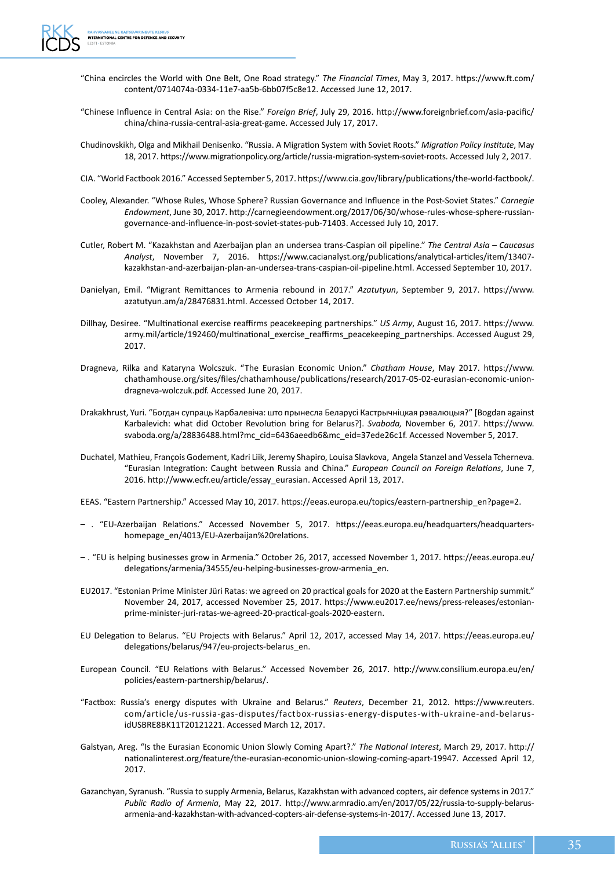- "China encircles the World with One Belt, One Road strategy." *The Financial Times*, May 3, 2017. https://www.ft.com/ content/0714074a-0334-11e7-aa5b-6bb07f5c8e12. Accessed June 12, 2017.
- "Chinese Influence in Central Asia: on the Rise." *Foreign Brief*, July 29, 2016. http://www.foreignbrief.com/asia-pacific/ china/china-russia-central-asia-great-game. Accessed July 17, 2017.
- Chudinovskikh, Olga and Mikhail Denisenko. "Russia. A Migration System with Soviet Roots." *Migration Policy Institute*, May 18, 2017. https://www.migrationpolicy.org/article/russia-migration-system-soviet-roots. Accessed July 2, 2017.
- CIA. "World Factbook 2016." Accessed September 5, 2017. https://www.cia.gov/library/publications/the-world-factbook/.
- Cooley, Alexander. "Whose Rules, Whose Sphere? Russian Governance and Influence in the Post-Soviet States." *Carnegie Endowment*, June 30, 2017. http://carnegieendowment.org/2017/06/30/whose-rules-whose-sphere-russiangovernance-and-influence-in-post-soviet-states-pub-71403. Accessed July 10, 2017.
- Cutler, Robert M. "Kazakhstan and Azerbaijan plan an undersea trans-Caspian oil pipeline." *The Central Asia Caucasus Analyst*, November 7, 2016. https://www.cacianalyst.org/publications/analytical-articles/item/13407 kazakhstan-and-azerbaijan-plan-an-undersea-trans-caspian-oil-pipeline.html. Accessed September 10, 2017.
- Danielyan, Emil. "Migrant Remittances to Armenia rebound in 2017." *Azatutyun*, September 9, 2017. https://www. azatutyun.am/a/28476831.html. Accessed October 14, 2017.
- Dillhay, Desiree. "Multinational exercise reaffirms peacekeeping partnerships." *US Army*, August 16, 2017. https://www. army.mil/article/192460/multinational exercise reaffirms peacekeeping partnerships. Accessed August 29, 2017.
- Dragneva, Rilka and Kataryna Wolcszuk. "The Eurasian Economic Union." *Chatham House*, May 2017. https://www. chathamhouse.org/sites/files/chathamhouse/publications/research/2017-05-02-eurasian-economic-uniondragneva-wolczuk.pdf. Accessed June 20, 2017.
- Drakakhrust, Yuri. "Богдан супраць Карбалевіча: што прынесла Беларусі Кастрычніцкая рэвалюцыя?" [Bogdan against Karbalevich: what did October Revolution bring for Belarus?]. *Svaboda,* November 6, 2017. https://www. svaboda.org/a/28836488.html?mc\_cid=6436aeedb6&mc\_eid=37ede26c1f. Accessed November 5, 2017.
- Duchatel, Mathieu, François Godement, Kadri Liik, Jeremy Shapiro, Louisa Slavkova, Angela Stanzel and Vessela Tcherneva. "Eurasian Integration: Caught between Russia and China." *European Council on Foreign Relations*, June 7, 2016. http://www.ecfr.eu/article/essay\_eurasian. Accessed April 13, 2017.
- EEAS. "Eastern Partnership." Accessed May 10, 2017. https://eeas.europa.eu/topics/eastern-partnership\_en?page=2.
- . "EU-Azerbaijan Relations." Accessed November 5, 2017. https://eeas.europa.eu/headquarters/headquartershomepage\_en/4013/EU-Azerbaijan%20relations.
- . "EU is helping businesses grow in Armenia." October 26, 2017, accessed November 1, 2017. https://eeas.europa.eu/ delegations/armenia/34555/eu-helping-businesses-grow-armenia\_en.
- EU2017. "Estonian Prime Minister Jüri Ratas: we agreed on 20 practical goals for 2020 at the Eastern Partnership summit." November 24, 2017, accessed November 25, 2017. https://www.eu2017.ee/news/press-releases/estonianprime-minister-juri-ratas-we-agreed-20-practical-goals-2020-eastern.
- EU Delegation to Belarus. "EU Projects with Belarus." April 12, 2017, accessed May 14, 2017. https://eeas.europa.eu/ delegations/belarus/947/eu-projects-belarus\_en.
- European Council. "EU Relations with Belarus." Accessed November 26, 2017. http://www.consilium.europa.eu/en/ policies/eastern-partnership/belarus/.
- "Factbox: Russia's energy disputes with Ukraine and Belarus." *Reuters*, December 21, 2012. https://www.reuters. com/article/us-russia-gas-disputes/factbox-russias-energy-disputes-with-ukraine-and-belarusidUSBRE8BK11T20121221. Accessed March 12, 2017.
- Galstyan, Areg. "Is the Eurasian Economic Union Slowly Coming Apart?." *The National Interest*, March 29, 2017. http:// nationalinterest.org/feature/the-eurasian-economic-union-slowing-coming-apart-19947. Accessed April 12, 2017.
- Gazanchyan, Syranush. "Russia to supply Armenia, Belarus, Kazakhstan with advanced copters, air defence systems in 2017." *Public Radio of Armenia*, May 22, 2017. http://www.armradio.am/en/2017/05/22/russia-to-supply-belarusarmenia-and-kazakhstan-with-advanced-copters-air-defense-systems-in-2017/. Accessed June 13, 2017.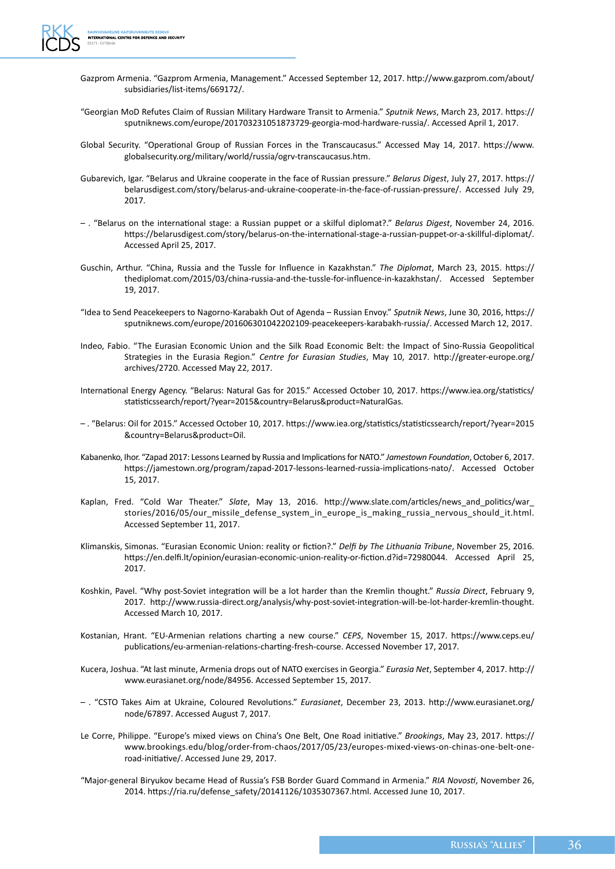- Gazprom Armenia. "Gazprom Armenia, Management." Accessed September 12, 2017. http://www.gazprom.com/about/ subsidiaries/list-items/669172/.
- "Georgian MoD Refutes Claim of Russian Military Hardware Transit to Armenia." *Sputnik News*, March 23, 2017. https:// sputniknews.com/europe/201703231051873729-georgia-mod-hardware-russia/. Accessed April 1, 2017.
- Global Security. "Operational Group of Russian Forces in the Transcaucasus." Accessed May 14, 2017. https://www. globalsecurity.org/military/world/russia/ogrv-transcaucasus.htm.
- Gubarevich, Igar. "Belarus and Ukraine cooperate in the face of Russian pressure." *Belarus Digest*, July 27, 2017. https:// belarusdigest.com/story/belarus-and-ukraine-cooperate-in-the-face-of-russian-pressure/. Accessed July 29, 2017.
- . "Belarus on the international stage: a Russian puppet or a skilful diplomat?." *Belarus Digest*, November 24, 2016. https://belarusdigest.com/story/belarus-on-the-international-stage-a-russian-puppet-or-a-skillful-diplomat/. Accessed April 25, 2017.
- Guschin, Arthur. "China, Russia and the Tussle for Influence in Kazakhstan." *The Diplomat*, March 23, 2015. https:// thediplomat.com/2015/03/china-russia-and-the-tussle-for-influence-in-kazakhstan/. Accessed September 19, 2017.
- "Idea to Send Peacekeepers to Nagorno-Karabakh Out of Agenda Russian Envoy." *Sputnik News*, June 30, 2016, https:// sputniknews.com/europe/201606301042202109-peacekeepers-karabakh-russia/. Accessed March 12, 2017.
- Indeo, Fabio. "The Eurasian Economic Union and the Silk Road Economic Belt: the Impact of Sino-Russia Geopolitical Strategies in the Eurasia Region." *Centre for Eurasian Studies*, May 10, 2017. http://greater-europe.org/ archives/2720. Accessed May 22, 2017.
- International Energy Agency. "Belarus: Natural Gas for 2015." Accessed October 10, 2017. https://www.iea.org/statistics/ statisticssearch/report/?year=2015&country=Belarus&product=NaturalGas.
- . "Belarus: Oil for 2015." Accessed October 10, 2017. https://www.iea.org/statistics/statisticssearch/report/?year=2015 &country=Belarus&product=Oil.
- Kabanenko, Ihor. "Zapad 2017: Lessons Learned by Russia and Implications for NATO." *Jamestown Foundation*, October 6, 2017. https://jamestown.org/program/zapad-2017-lessons-learned-russia-implications-nato/. Accessed October 15, 2017.
- Kaplan, Fred. "Cold War Theater." *Slate*, May 13, 2016. http://www.slate.com/articles/news\_and\_politics/war\_ stories/2016/05/our missile defense system in europe is making russia nervous should it.html. Accessed September 11, 2017.
- Klimanskis, Simonas. "Eurasian Economic Union: reality or fiction?." *Delfi by The Lithuania Tribune*, November 25, 2016. https://en.delfi.lt/opinion/eurasian-economic-union-reality-or-fiction.d?id=72980044. Accessed April 25, 2017.
- Koshkin, Pavel. "Why post-Soviet integration will be a lot harder than the Kremlin thought." *Russia Direct*, February 9, 2017. http://www.russia-direct.org/analysis/why-post-soviet-integration-will-be-lot-harder-kremlin-thought. Accessed March 10, 2017.
- Kostanian, Hrant. "EU-Armenian relations charting a new course." *CEPS*, November 15, 2017. https://www.ceps.eu/ publications/eu-armenian-relations-charting-fresh-course. Accessed November 17, 2017.
- Kucera, Joshua. "At last minute, Armenia drops out of NATO exercises in Georgia." *Eurasia Net*, September 4, 2017. http:// www.eurasianet.org/node/84956. Accessed September 15, 2017.
- . "CSTO Takes Aim at Ukraine, Coloured Revolutions." *Eurasianet*, December 23, 2013. http://www.eurasianet.org/ node/67897. Accessed August 7, 2017.
- Le Corre, Philippe. "Europe's mixed views on China's One Belt, One Road initiative." *Brookings*, May 23, 2017. https:// www.brookings.edu/blog/order-from-chaos/2017/05/23/europes-mixed-views-on-chinas-one-belt-oneroad-initiative/. Accessed June 29, 2017.
- "Major-general Biryukov became Head of Russia's FSB Border Guard Command in Armenia." *RIA Novosti*, November 26, 2014. https://ria.ru/defense\_safety/20141126/1035307367.html. Accessed June 10, 2017.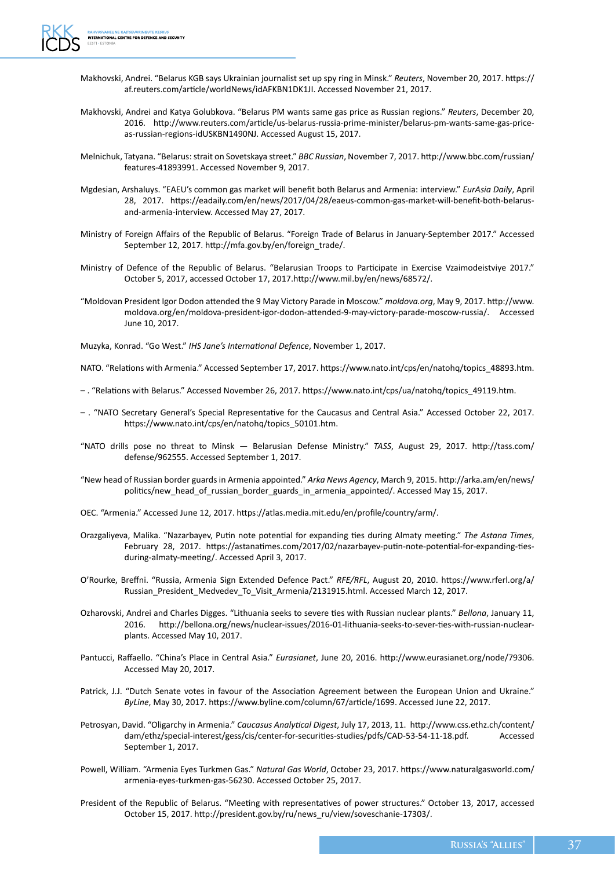- Makhovski, Andrei. "Belarus KGB says Ukrainian journalist set up spy ring in Minsk." *Reuters*, November 20, 2017. https:// af.reuters.com/article/worldNews/idAFKBN1DK1JI. Accessed November 21, 2017.
- Makhovski, Andrei and Katya Golubkova. "Belarus PM wants same gas price as Russian regions." *Reuters*, December 20, 2016. http://www.reuters.com/article/us-belarus-russia-prime-minister/belarus-pm-wants-same-gas-priceas-russian-regions-idUSKBN1490NJ. Accessed August 15, 2017.
- Melnichuk, Tatyana. "Belarus: strait on Sovetskaya street." *BBC Russian*, November 7, 2017. http://www.bbc.com/russian/ features-41893991. Accessed November 9, 2017.
- Mgdesian, Arshaluys. "EAEU's common gas market will benefit both Belarus and Armenia: interview." *EurAsia Daily*, April 28, 2017. https://eadaily.com/en/news/2017/04/28/eaeus-common-gas-market-will-benefit-both-belarusand-armenia-interview. Accessed May 27, 2017.
- Ministry of Foreign Affairs of the Republic of Belarus. "Foreign Trade of Belarus in January-September 2017." Accessed September 12, 2017. http://mfa.gov.by/en/foreign\_trade/.
- Ministry of Defence of the Republic of Belarus. "Belarusian Troops to Participate in Exercise Vzaimodeistviye 2017." October 5, 2017, accessed October 17, 2017.http://www.mil.by/en/news/68572/.
- "Moldovan President Igor Dodon attended the 9 May Victory Parade in Moscow." *moldova.org*, May 9, 2017. http://www. moldova.org/en/moldova-president-igor-dodon-attended-9-may-victory-parade-moscow-russia/. Accessed June 10, 2017.

Muzyka, Konrad. "Go West." *IHS Jane's International Defence*, November 1, 2017.

NATO. "Relations with Armenia." Accessed September 17, 2017. https://www.nato.int/cps/en/natohq/topics\_48893.htm.

- . "Relations with Belarus." Accessed November 26, 2017. https://www.nato.int/cps/ua/natohq/topics\_49119.htm.
- . "NATO Secretary General's Special Representative for the Caucasus and Central Asia." Accessed October 22, 2017. https://www.nato.int/cps/en/natohq/topics\_50101.htm.
- "NATO drills pose no threat to Minsk Belarusian Defense Ministry." *TASS*, August 29, 2017. http://tass.com/ defense/962555. Accessed September 1, 2017.
- "New head of Russian border guards in Armenia appointed." *Arka News Agency*, March 9, 2015. http://arka.am/en/news/ politics/new\_head\_of\_russian\_border\_guards\_in\_armenia\_appointed/. Accessed May 15, 2017.
- OEC. "Armenia." Accessed June 12, 2017. https://atlas.media.mit.edu/en/profile/country/arm/.
- Orazgaliyeva, Malika. "Nazarbayev, Putin note potential for expanding ties during Almaty meeting." *The Astana Times*, February 28, 2017. https://astanatimes.com/2017/02/nazarbayev-putin-note-potential-for-expanding-tiesduring-almaty-meeting/. Accessed April 3, 2017.
- O'Rourke, Breffni. "Russia, Armenia Sign Extended Defence Pact." *RFE/RFL*, August 20, 2010. https://www.rferl.org/a/ Russian\_President\_Medvedev\_To\_Visit\_Armenia/2131915.html. Accessed March 12, 2017.
- Ozharovski, Andrei and Charles Digges. "Lithuania seeks to severe ties with Russian nuclear plants." *Bellona*, January 11, 2016. http://bellona.org/news/nuclear-issues/2016-01-lithuania-seeks-to-sever-ties-with-russian-nuclearplants. Accessed May 10, 2017.
- Pantucci, Raffaello. "China's Place in Central Asia." *Eurasianet*, June 20, 2016. http://www.eurasianet.org/node/79306. Accessed May 20, 2017.
- Patrick, J.J. "Dutch Senate votes in favour of the Association Agreement between the European Union and Ukraine." *ByLine*, May 30, 2017. https://www.byline.com/column/67/article/1699. Accessed June 22, 2017.
- Petrosyan, David. "Oligarchy in Armenia." *Caucasus Analytical Digest*, July 17, 2013, 11. http://www.css.ethz.ch/content/ dam/ethz/special-interest/gess/cis/center-for-securities-studies/pdfs/CAD-53-54-11-18.pdf. Accessed September 1, 2017.
- Powell, William. "Armenia Eyes Turkmen Gas." *Natural Gas World*, October 23, 2017. https://www.naturalgasworld.com/ armenia-eyes-turkmen-gas-56230. Accessed October 25, 2017.
- President of the Republic of Belarus. "Meeting with representatives of power structures." October 13, 2017, accessed October 15, 2017. http://president.gov.by/ru/news\_ru/view/soveschanie-17303/.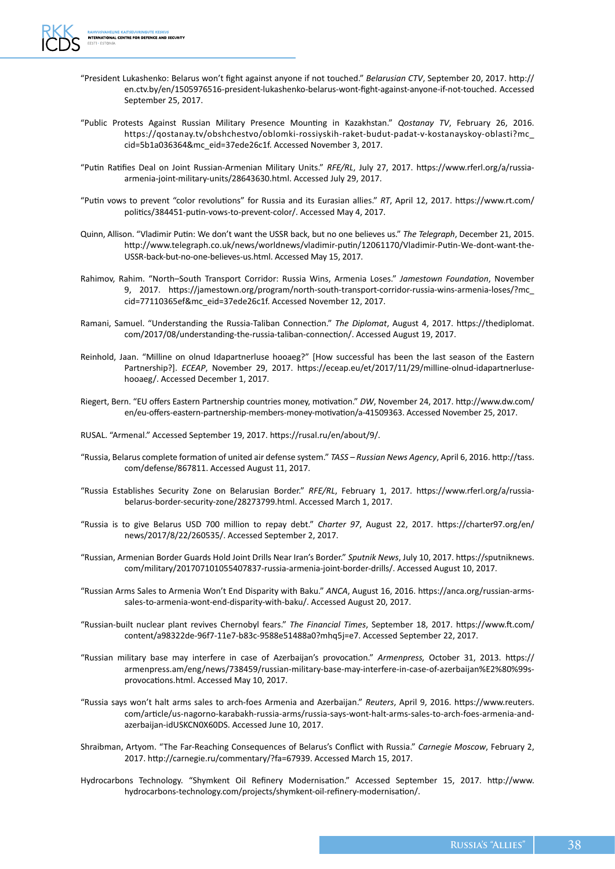- "President Lukashenko: Belarus won't fight against anyone if not touched." *Belarusian CTV*, September 20, 2017. http:// en.ctv.by/en/1505976516-president-lukashenko-belarus-wont-fight-against-anyone-if-not-touched. Accessed September 25, 2017.
- "Public Protests Against Russian Military Presence Mounting in Kazakhstan." *Qostanay TV*, February 26, 2016. https://qostanay.tv/obshchestvo/oblomki-rossiyskih-raket-budut-padat-v-kostanayskoy-oblasti?mc\_ cid=5b1a036364&mc\_eid=37ede26c1f. Accessed November 3, 2017.
- "Putin Ratifies Deal on Joint Russian-Armenian Military Units." *RFE/RL*, July 27, 2017. https://www.rferl.org/a/russiaarmenia-joint-military-units/28643630.html. Accessed July 29, 2017.
- "Putin vows to prevent "color revolutions" for Russia and its Eurasian allies." *RT*, April 12, 2017. https://www.rt.com/ politics/384451-putin-vows-to-prevent-color/. Accessed May 4, 2017.
- Quinn, Allison. "Vladimir Putin: We don't want the USSR back, but no one believes us." *The Telegraph*, December 21, 2015. http://www.telegraph.co.uk/news/worldnews/vladimir-putin/12061170/Vladimir-Putin-We-dont-want-the-USSR-back-but-no-one-believes-us.html. Accessed May 15, 2017.
- Rahimov, Rahim. "North–South Transport Corridor: Russia Wins, Armenia Loses." *Jamestown Foundation*, November 9, 2017. https://jamestown.org/program/north-south-transport-corridor-russia-wins-armenia-loses/?mc\_ cid=77110365ef&mc\_eid=37ede26c1f. Accessed November 12, 2017.
- Ramani, Samuel. "Understanding the Russia-Taliban Connection." *The Diplomat*, August 4, 2017. https://thediplomat. com/2017/08/understanding-the-russia-taliban-connection/. Accessed August 19, 2017.
- Reinhold, Jaan. "Milline on olnud Idapartnerluse hooaeg?" [How successful has been the last season of the Eastern Partnership?]. *ECEAP*, November 29, 2017. https://eceap.eu/et/2017/11/29/milline-olnud-idapartnerlusehooaeg/. Accessed December 1, 2017.
- Riegert, Bern. "EU offers Eastern Partnership countries money, motivation." *DW*, November 24, 2017. http://www.dw.com/ en/eu-offers-eastern-partnership-members-money-motivation/a-41509363. Accessed November 25, 2017.
- RUSAL. "Armenal." Accessed September 19, 2017. https://rusal.ru/en/about/9/.
- "Russia, Belarus complete formation of united air defense system." *TASS Russian News Agency*, April 6, 2016. http://tass. com/defense/867811. Accessed August 11, 2017.
- "Russia Establishes Security Zone on Belarusian Border." *RFE/RL*, February 1, 2017. https://www.rferl.org/a/russiabelarus-border-security-zone/28273799.html. Accessed March 1, 2017.
- "Russia is to give Belarus USD 700 million to repay debt." *Charter 97*, August 22, 2017. https://charter97.org/en/ news/2017/8/22/260535/. Accessed September 2, 2017.
- "Russian, Armenian Border Guards Hold Joint Drills Near Iran's Border." *Sputnik News*, July 10, 2017. https://sputniknews. com/military/201707101055407837-russia-armenia-joint-border-drills/. Accessed August 10, 2017.
- "Russian Arms Sales to Armenia Won't End Disparity with Baku." *ANCA*, August 16, 2016. https://anca.org/russian-armssales-to-armenia-wont-end-disparity-with-baku/. Accessed August 20, 2017.
- "Russian-built nuclear plant revives Chernobyl fears." *The Financial Times*, September 18, 2017. https://www.ft.com/ content/a98322de-96f7-11e7-b83c-9588e51488a0?mhq5j=e7. Accessed September 22, 2017.
- "Russian military base may interfere in case of Azerbaijan's provocation." *Armenpress,* October 31, 2013. https:// armenpress.am/eng/news/738459/russian-military-base-may-interfere-in-case-of-azerbaijan%E2%80%99sprovocations.html. Accessed May 10, 2017.
- "Russia says won't halt arms sales to arch-foes Armenia and Azerbaijan." *Reuters*, April 9, 2016. https://www.reuters. com/article/us-nagorno-karabakh-russia-arms/russia-says-wont-halt-arms-sales-to-arch-foes-armenia-andazerbaijan-idUSKCN0X60DS. Accessed June 10, 2017.
- Shraibman, Artyom. "The Far-Reaching Consequences of Belarus's Conflict with Russia." *Carnegie Moscow*, February 2, 2017. http://carnegie.ru/commentary/?fa=67939. Accessed March 15, 2017.
- Hydrocarbons Technology. "Shymkent Oil Refinery Modernisation." Accessed September 15, 2017. http://www. hydrocarbons-technology.com/projects/shymkent-oil-refinery-modernisation/.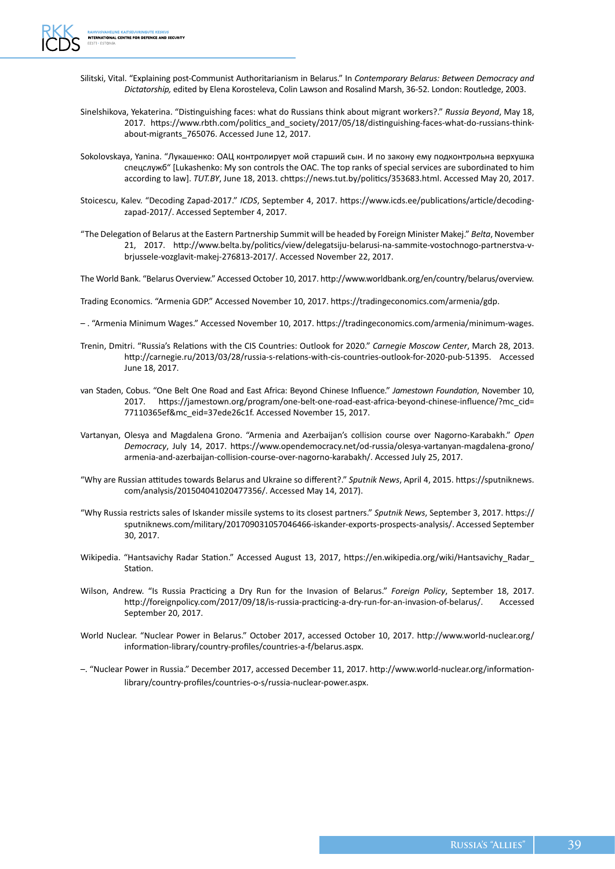- Silitski, Vital. "Explaining post-Communist Authoritarianism in Belarus." In *Contemporary Belarus: Between Democracy and Dictatorship,* edited by Elena Korosteleva, Colin Lawson and Rosalind Marsh, 36-52. London: Routledge, 2003.
- Sinelshikova, Yekaterina. "Distinguishing faces: what do Russians think about migrant workers?." *Russia Beyond*, May 18, 2017. https://www.rbth.com/politics\_and\_society/2017/05/18/distinguishing-faces-what-do-russians-thinkabout-migrants 765076. Accessed June 12, 2017.
- Sokolovskaya, Yanina. "Лукашенко: ОАЦ контролирует мой старший сын. И по закону ему подконтрольна верхушка спецслужб" [Lukashenko: My son controls the OAC. The top ranks of special services are subordinated to him according to law]. *TUT.BY*, June 18, 2013. chttps://news.tut.by/politics/353683.html. Accessed May 20, 2017.
- Stoicescu, Kalev. "Decoding Zapad-2017." *ICDS*, September 4, 2017. https://www.icds.ee/publications/article/decodingzapad-2017/. Accessed September 4, 2017.
- "The Delegation of Belarus at the Eastern Partnership Summit will be headed by Foreign Minister Makej." *Belta*, November 21, 2017. http://www.belta.by/politics/view/delegatsiju-belarusi-na-sammite-vostochnogo-partnerstva-vbrjussele-vozglavit-makej-276813-2017/. Accessed November 22, 2017.

The World Bank. "Belarus Overview." Accessed October 10, 2017. http://www.worldbank.org/en/country/belarus/overview.

Trading Economics. "Armenia GDP." Accessed November 10, 2017. https://tradingeconomics.com/armenia/gdp.

- . "Armenia Minimum Wages." Accessed November 10, 2017. https://tradingeconomics.com/armenia/minimum-wages.
- Trenin, Dmitri. "Russia's Relations with the CIS Countries: Outlook for 2020." *Carnegie Moscow Center*, March 28, 2013. http://carnegie.ru/2013/03/28/russia-s-relations-with-cis-countries-outlook-for-2020-pub-51395. Accessed June 18, 2017.
- van Staden, Cobus. "One Belt One Road and East Africa: Beyond Chinese Influence." *Jamestown Foundation*, November 10, 2017. https://jamestown.org/program/one-belt-one-road-east-africa-beyond-chinese-influence/?mc\_cid= 77110365ef&mc\_eid=37ede26c1f. Accessed November 15, 2017.
- Vartanyan, Olesya and Magdalena Grono. "Armenia and Azerbaijan's collision course over Nagorno-Karabakh." *Open Democracy*, July 14, 2017. https://www.opendemocracy.net/od-russia/olesya-vartanyan-magdalena-grono/ armenia-and-azerbaijan-collision-course-over-nagorno-karabakh/. Accessed July 25, 2017.
- "Why are Russian attitudes towards Belarus and Ukraine so different?." *Sputnik News*, April 4, 2015. https://sputniknews. com/analysis/201504041020477356/. Accessed May 14, 2017).
- "Why Russia restricts sales of Iskander missile systems to its closest partners." *Sputnik News*, September 3, 2017. https:// sputniknews.com/military/201709031057046466-iskander-exports-prospects-analysis/. Accessed September 30, 2017.
- Wikipedia. "Hantsavichy Radar Station." Accessed August 13, 2017, https://en.wikipedia.org/wiki/Hantsavichy\_Radar\_ Station.
- Wilson, Andrew. "Is Russia Practicing a Dry Run for the Invasion of Belarus." *Foreign Policy*, September 18, 2017. http://foreignpolicy.com/2017/09/18/is-russia-practicing-a-dry-run-for-an-invasion-of-belarus/. Accessed September 20, 2017.
- World Nuclear. "Nuclear Power in Belarus." October 2017, accessed October 10, 2017. http://www.world-nuclear.org/ information-library/country-profiles/countries-a-f/belarus.aspx.
- –. "Nuclear Power in Russia." December 2017, accessed December 11, 2017. http://www.world-nuclear.org/informationlibrary/country-profiles/countries-o-s/russia-nuclear-power.aspx.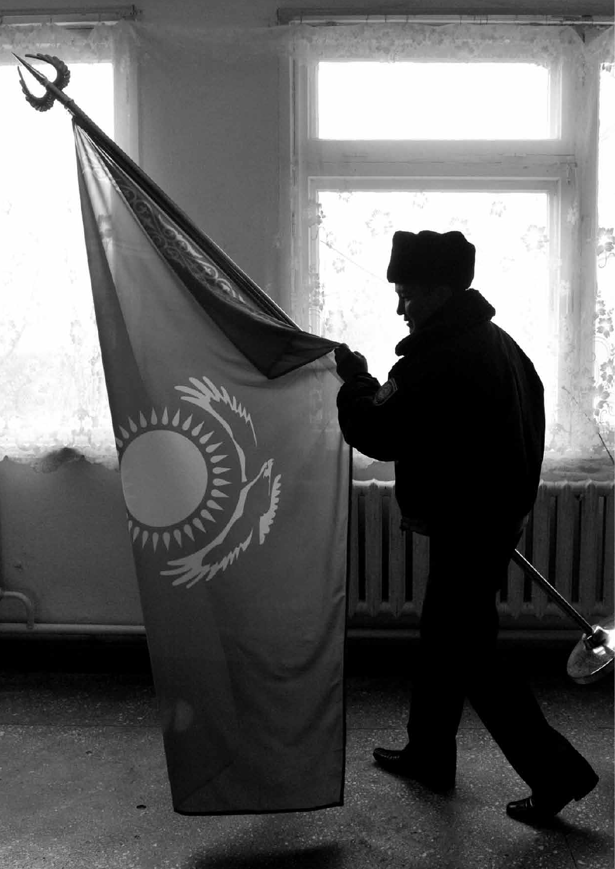